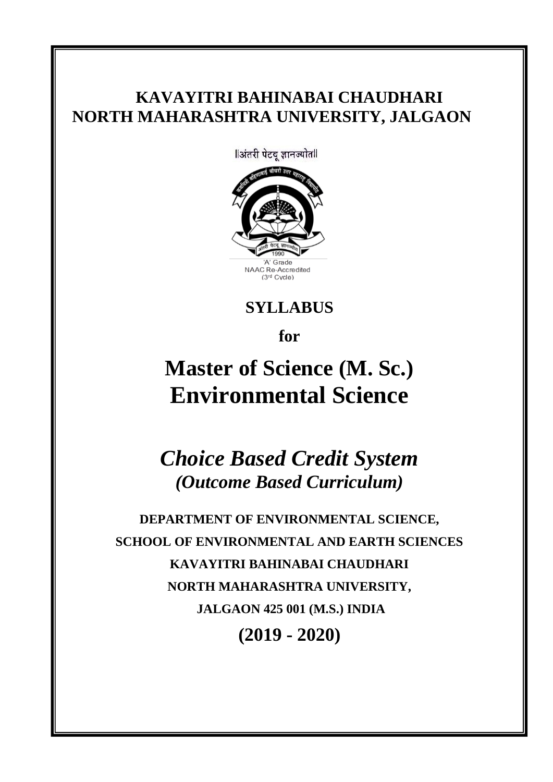# **KAVAYITRI BAHINABAI CHAUDHARI NORTH MAHARASHTRA UNIVERSITY, JALGAON**

llअंतरी पेटवू ज्ञानज्योतll AC Re-Accredited (3<sup>rd</sup> Cycle)

**SYLLABUS** 

**for**

# **Master of Science (M. Sc.) Environmental Science**

*Choice Based Credit System (Outcome Based Curriculum)*

**DEPARTMENT OF ENVIRONMENTAL SCIENCE, SCHOOL OF ENVIRONMENTAL AND EARTH SCIENCES KAVAYITRI BAHINABAI CHAUDHARI NORTH MAHARASHTRA UNIVERSITY, JALGAON 425 001 (M.S.) INDIA (2019 - 2020)**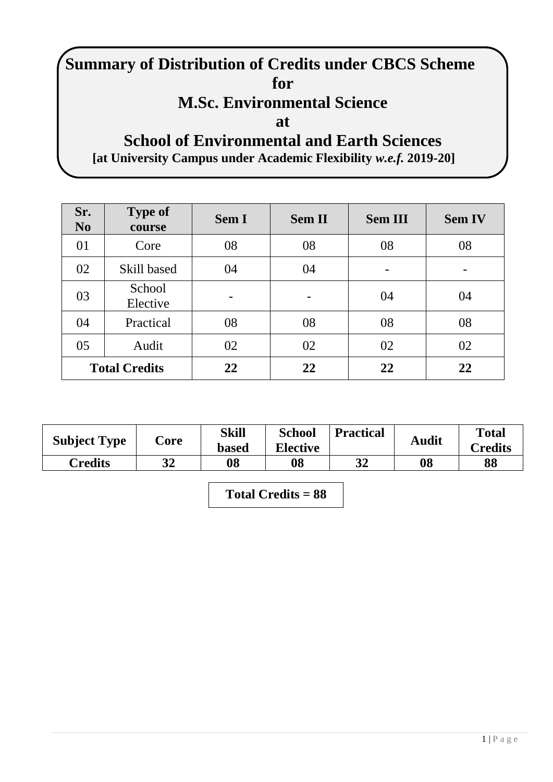# **Summary of Distribution of Credits under CBCS Scheme for**

# **M.Sc. Environmental Science**

**at** 

# **School of Environmental and Earth Sciences [at University Campus under Academic Flexibility** *w.e.f.* **2019-20]**

| Sr.<br>No | <b>Type of</b><br>course | <b>Sem I</b> | <b>Sem II</b> | <b>Sem III</b> | <b>Sem IV</b> |
|-----------|--------------------------|--------------|---------------|----------------|---------------|
| 01        | Core                     | 08           | 08            | 08             | 08            |
| 02        | Skill based              | 04           | 04            |                |               |
| 03        | School<br>Elective       | -            |               | 04             | 04            |
| 04        | Practical                | 08           | 08            | 08             | 08            |
| 05        | Audit                    | 02           | 02            | 02             | 02            |
|           | <b>Total Credits</b>     | 22           | 22            | 22             | 22            |

| <b>Subject Type</b> | Core | Skill<br><b>based</b> | <b>School</b><br><b>Elective</b> | <b>Practical</b> | <b>Audit</b> | <b>Total</b><br>Credits |
|---------------------|------|-----------------------|----------------------------------|------------------|--------------|-------------------------|
| Credits             | 32   | 08                    | 08                               | 32               | 08           | 88                      |

**Total Credits = 88**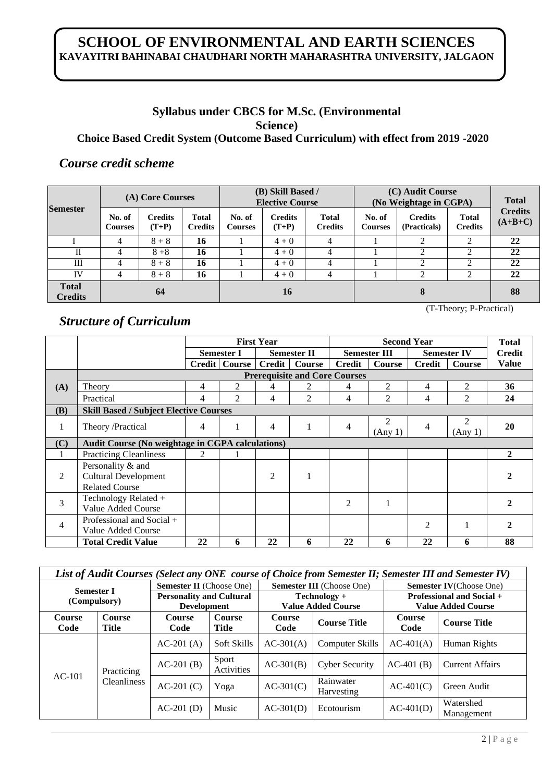# **SCHOOL OF ENVIRONMENTAL AND EARTH SCIENCES KAVAYITRI BAHINABAI CHAUDHARI NORTH MAHARASHTRA UNIVERSITY, JALGAON**

## **Syllabus under CBCS for M.Sc. (Environmental Science) Choice Based Credit System (Outcome Based Curriculum) with effect from 2019 -2020**

## *Course credit scheme*

|                                |                          | (A) Core Courses          |                                |                          | (B) Skill Based /<br><b>Elective Course</b> |                                | (C) Audit Course<br>(No Weightage in CGPA) | <b>Total</b>                   |                                |                             |
|--------------------------------|--------------------------|---------------------------|--------------------------------|--------------------------|---------------------------------------------|--------------------------------|--------------------------------------------|--------------------------------|--------------------------------|-----------------------------|
| <b>Semester</b>                | No. of<br><b>Courses</b> | <b>Credits</b><br>$(T+P)$ | <b>Total</b><br><b>Credits</b> | No. of<br><b>Courses</b> | <b>Credits</b><br>$(T+P)$                   | <b>Total</b><br><b>Credits</b> | No. of<br><b>Courses</b>                   | <b>Credits</b><br>(Practicals) | <b>Total</b><br><b>Credits</b> | <b>Credits</b><br>$(A+B+C)$ |
|                                | 4                        | $8 + 8$                   | 16                             |                          | $4 + 0$                                     | 4                              |                                            |                                | ◠                              | 22                          |
| П                              | 4                        | $8 + 8$                   | 16                             |                          | $4 + 0$                                     | 4                              |                                            |                                | 2                              | 22                          |
| Ш                              | 4                        | $8 + 8$                   | 16                             |                          | $4 + 0$                                     | 4                              |                                            |                                | ◠                              | 22                          |
| IV                             | 4                        | $8 + 8$                   | 16                             |                          | $4 + 0$                                     | 4                              |                                            |                                | 2                              | 22                          |
| <b>Total</b><br><b>Credits</b> |                          | 64                        |                                | 16<br>8                  |                                             |                                |                                            |                                | 88                             |                             |

### *Structure of Curriculum*

|              |                                                                           | <b>First Year</b> |                   |                |                                      |                | <b>Second Year</b>  |                |                           | <b>Total</b>  |
|--------------|---------------------------------------------------------------------------|-------------------|-------------------|----------------|--------------------------------------|----------------|---------------------|----------------|---------------------------|---------------|
|              |                                                                           |                   | <b>Semester I</b> |                | <b>Semester II</b>                   |                | <b>Semester III</b> |                | <b>Semester IV</b>        | <b>Credit</b> |
|              |                                                                           |                   | Credit   Course   | <b>Credit</b>  | <b>Course</b>                        | <b>Credit</b>  | Course              | <b>Credit</b>  | <b>Course</b>             | <b>Value</b>  |
|              |                                                                           |                   |                   |                | <b>Prerequisite and Core Courses</b> |                |                     |                |                           |               |
| (A)          | Theory                                                                    | 4                 | 2                 | 4              | 2                                    | 4              | 2                   | 4              | $\overline{2}$            | 36            |
|              | Practical                                                                 | 4                 | 2                 | 4              | $\overline{2}$                       | 4              | $\overline{2}$      | 4              | $\overline{2}$            | 24            |
| (B)          | <b>Skill Based / Subject Elective Courses</b>                             |                   |                   |                |                                      |                |                     |                |                           |               |
| 1            | Theory /Practical                                                         | 4                 |                   | 4              | 1                                    | 4              | 2<br>(Any 1)        | 4              | $\overline{2}$<br>(Any 1) | 20            |
| (C)          | <b>Audit Course (No weightage in CGPA calculations)</b>                   |                   |                   |                |                                      |                |                     |                |                           |               |
| $\mathbf{I}$ | <b>Practicing Cleanliness</b>                                             | 2                 |                   |                |                                      |                |                     |                |                           | $\mathbf{2}$  |
| 2            | Personality & and<br><b>Cultural Development</b><br><b>Related Course</b> |                   |                   | $\overline{2}$ |                                      |                |                     |                |                           |               |
| 3            | Technology Related +<br>Value Added Course                                |                   |                   |                |                                      | $\mathfrak{D}$ |                     |                |                           | າ             |
| 4            | Professional and Social +<br>Value Added Course                           |                   |                   |                |                                      |                |                     | $\overline{2}$ |                           | 2             |
|              | <b>Total Credit Value</b>                                                 | 22                | 6                 | 22             | 6                                    | 22             | 6                   | 22             | 6                         | 88            |

|                   | List of Audit Courses (Select any ONE course of Choice from Semester II; Semester III and Semester IV) |                                 |                        |                                       |                                  |                                  |                                 |             |                       |             |
|-------------------|--------------------------------------------------------------------------------------------------------|---------------------------------|------------------------|---------------------------------------|----------------------------------|----------------------------------|---------------------------------|-------------|-----------------------|-------------|
| <b>Semester I</b> |                                                                                                        | <b>Semester II</b> (Choose One) |                        |                                       | <b>Semester III</b> (Choose One) |                                  | <b>Semester IV</b> (Choose One) |             |                       |             |
| (Compulsory)      |                                                                                                        | <b>Personality and Cultural</b> |                        |                                       | $Technology +$                   | <b>Professional and Social +</b> |                                 |             |                       |             |
|                   |                                                                                                        | <b>Development</b>              |                        |                                       | <b>Value Added Course</b>        |                                  | <b>Value Added Course</b>       |             |                       |             |
| Course<br>Code    | Course<br><b>Title</b>                                                                                 | <b>Course</b><br>Code           | Course<br><b>Title</b> | Course<br><b>Course Title</b><br>Code |                                  | Course<br>Code                   | <b>Course Title</b>             |             |                       |             |
|                   |                                                                                                        | $AC-201(A)$                     | Soft Skills            | $AC-301(A)$                           | <b>Computer Skills</b>           | $AC-401(A)$                      | Human Rights                    |             |                       |             |
|                   |                                                                                                        | Practicing                      |                        |                                       |                                  | $AC-201(B)$                      | Sport<br><b>Activities</b>      | $AC-301(B)$ | <b>Cyber Security</b> | $AC-401(B)$ |
| $AC-101$          | <b>Cleanliness</b>                                                                                     | $AC-201(C)$                     | Yoga                   | $AC-301(C)$                           | Rainwater<br>Harvesting          | $AC-401(C)$                      | Green Audit                     |             |                       |             |
|                   |                                                                                                        | $AC-201$ (D)                    | Music                  | $AC-301(D)$                           | Ecotourism                       | $AC-401(D)$                      | Watershed<br>Management         |             |                       |             |

(T-Theory; P-Practical)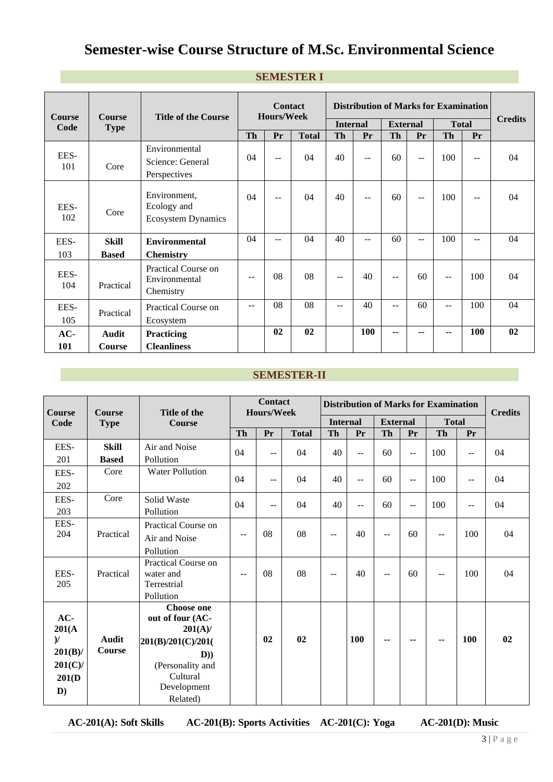# **Semester-wise Course Structure of M.Sc. Environmental Science**

| <b>Course</b> | <b>Course</b> | <b>Title of the Course</b>                               |           | <b>Contact</b><br><b>Hours/Week</b> |              |                 | <b>Distribution of Marks for Examination</b> |                 |                          |              |     | <b>Credits</b> |
|---------------|---------------|----------------------------------------------------------|-----------|-------------------------------------|--------------|-----------------|----------------------------------------------|-----------------|--------------------------|--------------|-----|----------------|
| Code          | <b>Type</b>   |                                                          |           |                                     |              | <b>Internal</b> |                                              | <b>External</b> |                          | <b>Total</b> |     |                |
|               |               |                                                          | <b>Th</b> | <b>Pr</b>                           | <b>Total</b> | Th              | Pr                                           | Th              | Pr                       | <b>Th</b>    | Pr  |                |
| EES-<br>101   | Core          | Environmental<br>Science: General<br>Perspectives        | 04        | $-$                                 | 04           | 40              | $-$                                          | 60              | $-$                      | 100          | $-$ | 04             |
| EES-<br>102   | Core          | Environment,<br>Ecology and<br><b>Ecosystem Dynamics</b> | 04        | $\sim$ $\sim$                       | 04           | 40              | $-$                                          | 60              | $\overline{\phantom{a}}$ | 100          | $-$ | 04             |
| EES-          | Skill         | <b>Environmental</b>                                     | 04        | --                                  | 04           | 40              | $-$                                          | 60              | $-$                      | 100          | $-$ | 04             |
| 103           | <b>Based</b>  | <b>Chemistry</b>                                         |           |                                     |              |                 |                                              |                 |                          |              |     |                |
| EES-<br>104   | Practical     | Practical Course on<br>Environmental<br>Chemistry        | $-$       | 08                                  | 08           | $-$             | 40                                           | $\sim$ $\sim$   | 60                       | $-$          | 100 | 04             |
| EES-<br>105   | Practical     | Practical Course on<br>Ecosystem                         | $-$       | 08                                  | 08           | $- -$           | 40                                           | $-$             | 60                       | $-$          | 100 | 04             |
| $AC-$         | Audit         | Practicing                                               |           | 0 <sub>2</sub>                      | 02           |                 | <b>100</b>                                   | --              | --                       | --           | 100 | 02             |
| 101           | Course        | <b>Cleanliness</b>                                       |           |                                     |              |                 |                                              |                 |                          |              |     |                |

#### **SEMESTER I**

#### **SEMESTER-II**

| Course        | <b>Course</b> | Title of the                   |                          | <b>Contact</b><br>Hours/Week |              |                          | <b>Distribution of Marks for Examination</b> |                          |                          |              |                          |                |  |
|---------------|---------------|--------------------------------|--------------------------|------------------------------|--------------|--------------------------|----------------------------------------------|--------------------------|--------------------------|--------------|--------------------------|----------------|--|
| Code          | <b>Type</b>   | <b>Course</b>                  |                          |                              |              | <b>Internal</b>          |                                              | <b>External</b>          |                          | <b>Total</b> |                          | <b>Credits</b> |  |
|               |               |                                | <b>Th</b>                | Pr                           | <b>Total</b> | <b>Th</b>                | Pr                                           | <b>Th</b>                | Pr                       | Th           | Pr                       |                |  |
| EES-          | <b>Skill</b>  | Air and Noise                  | 04                       |                              | 04           | 40                       |                                              | 60                       |                          | 100          |                          | 04             |  |
| 201           | <b>Based</b>  | Pollution                      |                          | $-$                          |              |                          | $\overline{a}$                               |                          | $\overline{\phantom{a}}$ |              | $\overline{\phantom{a}}$ |                |  |
| EES-          | Core          | <b>Water Pollution</b>         |                          |                              |              |                          |                                              |                          |                          |              |                          |                |  |
| 202           |               |                                | 04                       | $-$                          | 04           | 40                       | --                                           | 60                       | $-$                      | 100          | --                       | 04             |  |
| EES-          | Core          | Solid Waste                    |                          |                              |              |                          |                                              |                          |                          |              |                          |                |  |
| 203           |               | Pollution                      | 04                       | $-$                          | 04           | 40                       | $-$                                          | 60                       | $-$                      | 100          | $\frac{1}{2}$            | 04             |  |
| EES-          |               | Practical Course on            |                          |                              |              |                          |                                              |                          |                          |              |                          |                |  |
| 204           | Practical     | Air and Noise                  | $\overline{\phantom{m}}$ | 08                           | 08           | $\overline{\phantom{a}}$ | 40                                           | $-$                      | 60                       | $-$          | 100                      | 04             |  |
|               |               | Pollution                      |                          |                              |              |                          |                                              |                          |                          |              |                          |                |  |
|               |               | Practical Course on            |                          |                              |              |                          |                                              |                          |                          |              |                          |                |  |
| EES-          | Practical     | water and                      | $\overline{\phantom{m}}$ | 08                           | 08           | $\overline{\phantom{m}}$ | 40                                           | $-$                      | 60                       | --           | 100                      | 04             |  |
| 205           |               | Terrestrial                    |                          |                              |              |                          |                                              |                          |                          |              |                          |                |  |
|               |               | Pollution<br><b>Choose one</b> |                          |                              |              |                          |                                              |                          |                          |              |                          |                |  |
| AC-           |               | out of four (AC-               |                          |                              |              |                          |                                              |                          |                          |              |                          |                |  |
| 201(A)        |               | $201(A)$ /                     |                          |                              |              |                          |                                              |                          |                          |              |                          |                |  |
| $\mathcal{V}$ | <b>Audit</b>  | 201(B)/201(C)/201(             |                          | 02                           | 02           |                          | <b>100</b>                                   | $\overline{\phantom{a}}$ | --                       | ٠.           | 100                      | 02             |  |
| $201(B)$ /    | Course        | D))                            |                          |                              |              |                          |                                              |                          |                          |              |                          |                |  |
| $201(C)$ /    |               | (Personality and               |                          |                              |              |                          |                                              |                          |                          |              |                          |                |  |
| 201(D)        |               | Cultural                       |                          |                              |              |                          |                                              |                          |                          |              |                          |                |  |
| D)            |               | Development                    |                          |                              |              |                          |                                              |                          |                          |              |                          |                |  |
|               |               | Related)                       |                          |                              |              |                          |                                              |                          |                          |              |                          |                |  |

**AC-201(A): Soft Skills AC-201(B): Sports Activities AC-201(C): Yoga AC-201(D): Music**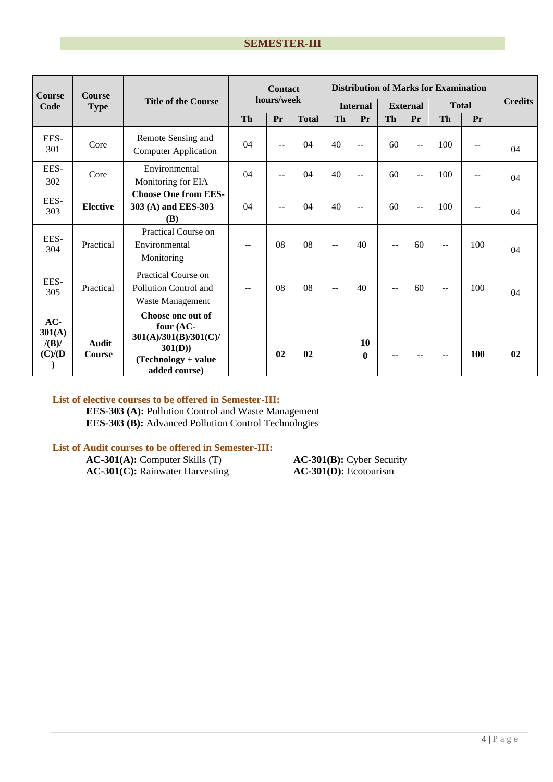| <b>Course</b><br><b>Course</b>       |                               |                                                                                                           |           | <b>Contact</b> |              |                          |                    |           |                 | <b>Distribution of Marks for Examination</b> |               |                |
|--------------------------------------|-------------------------------|-----------------------------------------------------------------------------------------------------------|-----------|----------------|--------------|--------------------------|--------------------|-----------|-----------------|----------------------------------------------|---------------|----------------|
| Code                                 | <b>Type</b>                   | <b>Title of the Course</b>                                                                                |           | hours/week     |              |                          | <b>Internal</b>    |           | <b>External</b> | <b>Total</b>                                 |               | <b>Credits</b> |
|                                      |                               |                                                                                                           | <b>Th</b> | Pr             | <b>Total</b> | <b>Th</b>                | Pr                 | <b>Th</b> | Pr              | <b>Th</b>                                    | Pr            |                |
| EES-<br>301                          | Core                          | Remote Sensing and<br><b>Computer Application</b>                                                         | 04        | $-$            | 04           | 40                       | $-$                | 60        | $\sim$ $\sim$   | 100                                          | $\sim$ $\sim$ | 04             |
| EES-<br>302                          | Core                          | Environmental<br>Monitoring for EIA                                                                       | 04        | --             | 04           | 40                       | $\sim$ $\sim$      | 60        | $-$             | 100                                          | $\sim$ $\sim$ | 04             |
| EES-<br>303                          | <b>Elective</b>               | <b>Choose One from EES-</b><br>303 (A) and EES-303<br>(B)                                                 | 04        | $-$            | 04           | 40                       | $-$                | 60        | $-$             | 100                                          | $\sim$ $\sim$ | 04             |
| EES-<br>304                          | Practical                     | Practical Course on<br>Environmental<br>Monitoring                                                        |           | 08             | 08           | $\mathbf{u}$             | 40                 | $-$       | 60              | $-$                                          | 100           | 04             |
| EES-<br>305                          | Practical                     | Practical Course on<br>Pollution Control and<br>Waste Management                                          |           | 08             | 08           | $\overline{\phantom{m}}$ | 40                 | $-$       | 60              | $- -$                                        | 100           | 04             |
| $AC-$<br>301(A)<br>/(B)/<br>(C)/ (D) | <b>Audit</b><br><b>Course</b> | Choose one out of<br>four (AC-<br>301(A)/301(B)/301(C)<br>301(D))<br>(Technology + value<br>added course) |           | 0 <sub>2</sub> | 02           |                          | 10<br>$\mathbf{0}$ | --        | --              | --                                           | 100           | 02             |

#### **List of elective courses to be offered in Semester-III:**

**EES-303 (A):** Pollution Control and Waste Management **EES-303 (B):** Advanced Pollution Control Technologies

#### **List of Audit courses to be offered in Semester-III:**

**AC-301(A):** Computer Skills (T) **AC-301(B):** Cyber Security **AC-301(C):** Rainwater Harvesting **AC-301(D):** Ecotourism **AC-301(C):** Rainwater Harvesting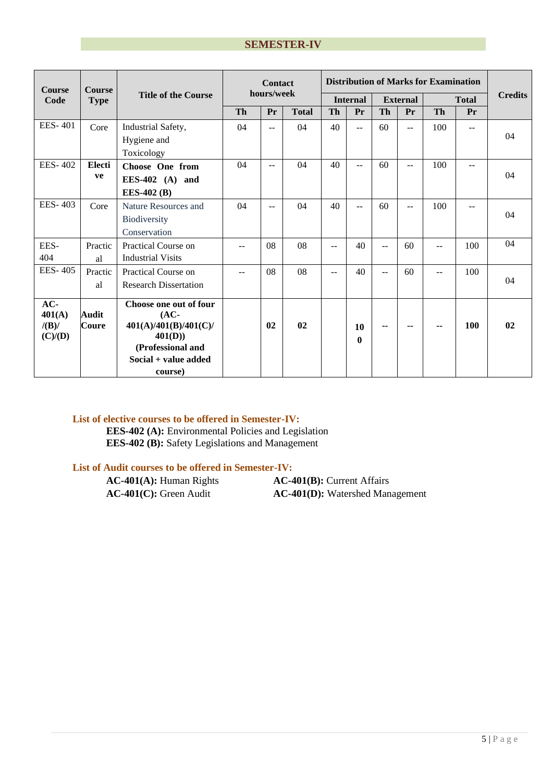| <b>Course</b>                     | <b>Course</b>         |                                                                    | <b>Distribution of Marks for Examination</b><br><b>Contact</b><br>hours/week |      |              |           |                    |                 |                |              |       |                |
|-----------------------------------|-----------------------|--------------------------------------------------------------------|------------------------------------------------------------------------------|------|--------------|-----------|--------------------|-----------------|----------------|--------------|-------|----------------|
| Code                              | <b>Type</b>           | <b>Title of the Course</b>                                         |                                                                              |      |              |           | <b>Internal</b>    | <b>External</b> |                | <b>Total</b> |       | <b>Credits</b> |
|                                   |                       |                                                                    | <b>Th</b>                                                                    | Pr   | <b>Total</b> | <b>Th</b> | Pr                 | Th              | Pr             | <b>Th</b>    | Pr    |                |
| <b>EES-401</b>                    | Core                  | Industrial Safety,                                                 | 04                                                                           | $-1$ | 04           | 40        | $\overline{a}$     | 60              | $\overline{a}$ | 100          | $- -$ |                |
|                                   |                       | Hygiene and                                                        |                                                                              |      |              |           |                    |                 |                |              |       | 04             |
|                                   |                       | Toxicology                                                         |                                                                              |      |              |           |                    |                 |                |              |       |                |
| <b>EES-402</b>                    | Electi                | Choose One from                                                    | 04                                                                           | $-1$ | 04           | 40        | $-1$               | 60              | $-$            | 100          | $-1$  |                |
|                                   | ve                    | EES-402 $(A)$ and                                                  |                                                                              |      |              |           |                    |                 |                |              |       | 04             |
|                                   |                       | <b>EES-402 (B)</b>                                                 |                                                                              |      |              |           |                    |                 |                |              |       |                |
| <b>EES-403</b>                    | Core                  | Nature Resources and                                               | 04                                                                           | $-$  | 04           | 40        | $\sim$             | 60              | $-1$           | 100          | $-$   |                |
|                                   |                       | Biodiversity                                                       |                                                                              |      |              |           |                    |                 |                |              |       | 04             |
|                                   |                       | Conservation                                                       |                                                                              |      |              |           |                    |                 |                |              |       |                |
| EES-                              | Practic               | Practical Course on                                                | $-$                                                                          | 08   | 08           | $-$       | 40                 | $-$             | 60             | $-$          | 100   | 04             |
| 404                               | al                    | <b>Industrial Visits</b>                                           |                                                                              |      |              |           |                    |                 |                |              |       |                |
| <b>EES-405</b>                    | Practic               | Practical Course on                                                | $-$                                                                          | 08   | 08           | $-$       | 40                 | $-$             | 60             | $-$          | 100   |                |
|                                   | al                    | <b>Research Dissertation</b>                                       |                                                                              |      |              |           |                    |                 |                |              |       | 04             |
| AC-<br>401(A)<br>/(B)/<br>(C)/(D) | <b>Audit</b><br>Coure | Choose one out of four<br>$(AC-$<br>401(A)/401(B)/401(C)<br>401(D) |                                                                              | 02   | 02           |           | 10<br>$\mathbf{0}$ | --              | --             |              | 100   | 02             |
|                                   |                       | (Professional and<br>$Social + value added$<br>course)             |                                                                              |      |              |           |                    |                 |                |              |       |                |

#### **List of elective courses to be offered in Semester-IV:**

**EES-402 (A):** Environmental Policies and Legislation **EES-402 (B):** Safety Legislations and Management

#### **List of Audit courses to be offered in Semester-IV:**

**AC-401(A):** Human Rights **AC-401(B):** Current Affairs **AC-401(C):** Green Audit **AC-401(D):** Watershed Management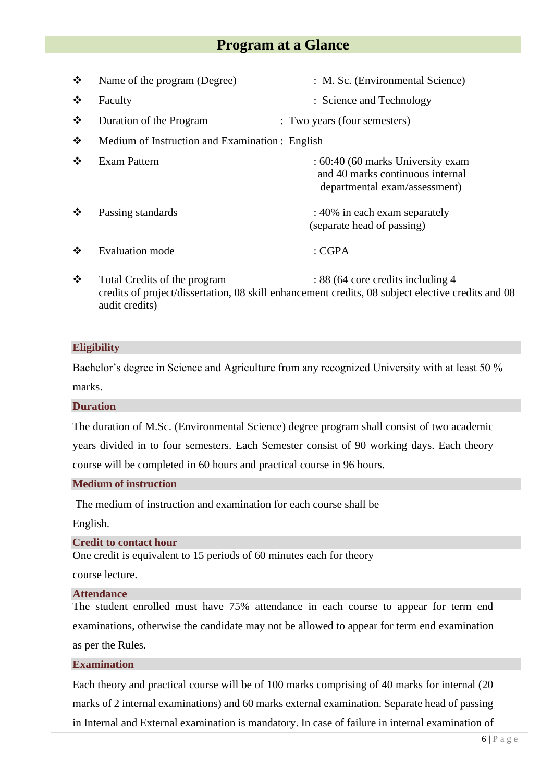# **Program at a Glance**

| $\bullet^{\bullet}_{\bullet} \bullet$ | Name of the program (Degree)                    | : M. Sc. (Environmental Science)                                                                       |
|---------------------------------------|-------------------------------------------------|--------------------------------------------------------------------------------------------------------|
| $\bullet$                             | Faculty                                         | : Science and Technology                                                                               |
| $\cdot$                               | Duration of the Program                         | : Two years (four semesters)                                                                           |
| ❖                                     | Medium of Instruction and Examination : English |                                                                                                        |
| $\cdot$                               | <b>Exam Pattern</b>                             | : 60:40 (60 marks University exam<br>and 40 marks continuous internal<br>departmental exam/assessment) |
| $\frac{1}{2}$                         | Passing standards                               | : 40% in each exam separately<br>(separate head of passing)                                            |
|                                       | Evaluation mode                                 | : CGPA                                                                                                 |

❖ Total Credits of the program : 88 (64 core credits including 4 credits of project/dissertation, 08 skill enhancement credits, 08 subject elective credits and 08 audit credits)

#### **Eligibility**

Bachelor's degree in Science and Agriculture from any recognized University with at least 50 % marks.

**Duration**

The duration of M.Sc. (Environmental Science) degree program shall consist of two academic years divided in to four semesters. Each Semester consist of 90 working days. Each theory course will be completed in 60 hours and practical course in 96 hours.

#### **Medium of instruction**

The medium of instruction and examination for each course shall be

English.

#### **Credit to contact hour**

One credit is equivalent to 15 periods of 60 minutes each for theory

course lecture.

#### **Attendance**

The student enrolled must have 75% attendance in each course to appear for term end examinations, otherwise the candidate may not be allowed to appear for term end examination as per the Rules.

#### **Examination**

Each theory and practical course will be of 100 marks comprising of 40 marks for internal (20 marks of 2 internal examinations) and 60 marks external examination. Separate head of passing in Internal and External examination is mandatory. In case of failure in internal examination of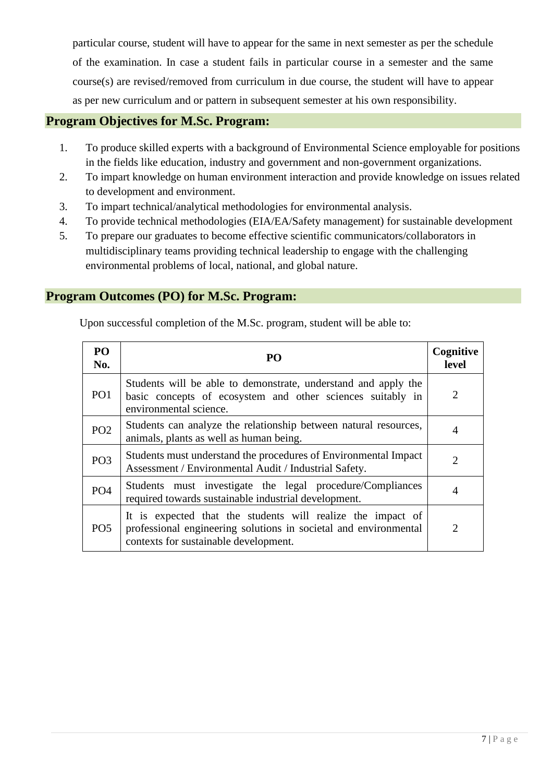particular course, student will have to appear for the same in next semester as per the schedule of the examination. In case a student fails in particular course in a semester and the same course(s) are revised/removed from curriculum in due course, the student will have to appear as per new curriculum and or pattern in subsequent semester at his own responsibility.

### **Program Objectives for M.Sc. Program:**

- 1. To produce skilled experts with a background of Environmental Science employable for positions in the fields like education, industry and government and non-government organizations.
- 2. To impart knowledge on human environment interaction and provide knowledge on issues related to development and environment.
- 3. To impart technical/analytical methodologies for environmental analysis.
- 4. To provide technical methodologies (EIA/EA/Safety management) for sustainable development
- 5. To prepare our graduates to become effective scientific communicators/collaborators in multidisciplinary teams providing technical leadership to engage with the challenging environmental problems of local, national, and global nature.

## **Program Outcomes (PO) for M.Sc. Program:**

Upon successful completion of the M.Sc. program, student will be able to:

| P <sub>O</sub><br>No. | PO                                                                                                                                                                       | Cognitive<br>level          |
|-----------------------|--------------------------------------------------------------------------------------------------------------------------------------------------------------------------|-----------------------------|
| PO <sub>1</sub>       | Students will be able to demonstrate, understand and apply the<br>basic concepts of ecosystem and other sciences suitably in<br>environmental science.                   | $\mathcal{D}_{\mathcal{L}}$ |
| PO <sub>2</sub>       | Students can analyze the relationship between natural resources,<br>animals, plants as well as human being.                                                              | 4                           |
| PO <sub>3</sub>       | Students must understand the procedures of Environmental Impact<br>Assessment / Environmental Audit / Industrial Safety.                                                 | $\mathcal{D}_{\mathcal{L}}$ |
| PO <sub>4</sub>       | Students must investigate the legal procedure/Compliances<br>required towards sustainable industrial development.                                                        | 4                           |
| PO <sub>5</sub>       | It is expected that the students will realize the impact of<br>professional engineering solutions in societal and environmental<br>contexts for sustainable development. | $\mathcal{D}$               |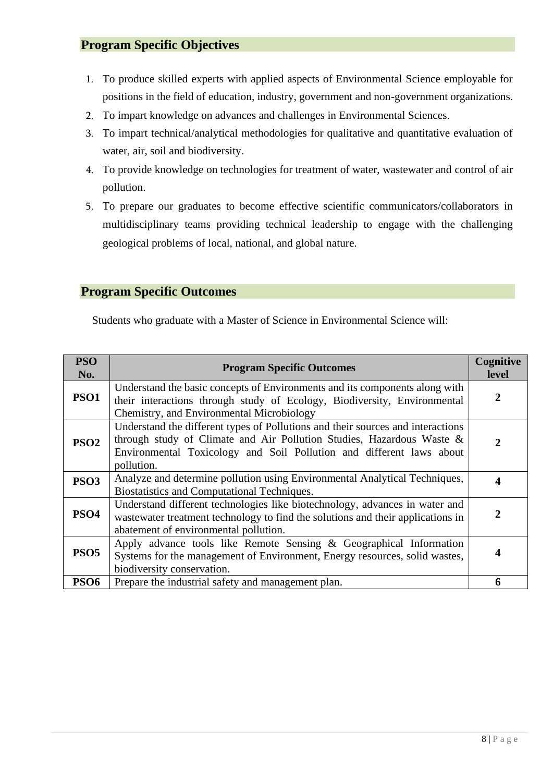- 1. To produce skilled experts with applied aspects of Environmental Science employable for positions in the field of education, industry, government and non-government organizations.
- 2. To impart knowledge on advances and challenges in Environmental Sciences.
- 3. To impart technical/analytical methodologies for qualitative and quantitative evaluation of water, air, soil and biodiversity.
- 4. To provide knowledge on technologies for treatment of water, wastewater and control of air pollution.
- 5. To prepare our graduates to become effective scientific communicators/collaborators in multidisciplinary teams providing technical leadership to engage with the challenging geological problems of local, national, and global nature.

# **Program Specific Outcomes**

Students who graduate with a Master of Science in Environmental Science will:

| <b>PSO</b><br>No. | <b>Program Specific Outcomes</b>                                                                                      | Cognitive<br><b>level</b> |
|-------------------|-----------------------------------------------------------------------------------------------------------------------|---------------------------|
| <b>PSO1</b>       | Understand the basic concepts of Environments and its components along with                                           | 2                         |
|                   | their interactions through study of Ecology, Biodiversity, Environmental<br>Chemistry, and Environmental Microbiology |                           |
|                   | Understand the different types of Pollutions and their sources and interactions                                       |                           |
| PSO <sub>2</sub>  | through study of Climate and Air Pollution Studies, Hazardous Waste &                                                 | 2                         |
|                   | Environmental Toxicology and Soil Pollution and different laws about                                                  |                           |
|                   | pollution.                                                                                                            |                           |
| <b>PSO3</b>       | Analyze and determine pollution using Environmental Analytical Techniques,                                            | 4                         |
|                   | Biostatistics and Computational Techniques.                                                                           |                           |
|                   | Understand different technologies like biotechnology, advances in water and                                           |                           |
| <b>PSO4</b>       | wastewater treatment technology to find the solutions and their applications in                                       | 2                         |
|                   | abatement of environmental pollution.                                                                                 |                           |
|                   | Apply advance tools like Remote Sensing $\&$ Geographical Information                                                 |                           |
| PSO <sub>5</sub>  | Systems for the management of Environment, Energy resources, solid wastes,                                            |                           |
|                   | biodiversity conservation.                                                                                            |                           |
| <b>PSO6</b>       | Prepare the industrial safety and management plan.                                                                    | 6                         |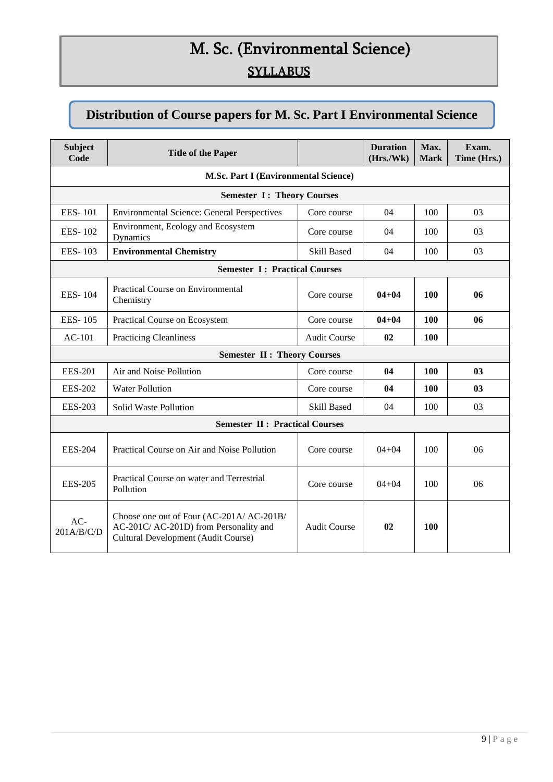# M. Sc. (Environmental Science) **SYLLABUS**

# **Distribution of Course papers for M. Sc. Part I Environmental Science**

| <b>Subject</b><br>Code               | <b>Title of the Paper</b>                                                                                                  |                     | <b>Duration</b><br>(Hrs./Wk) | Max.<br><b>Mark</b> | Exam.<br>Time (Hrs.) |
|--------------------------------------|----------------------------------------------------------------------------------------------------------------------------|---------------------|------------------------------|---------------------|----------------------|
| M.Sc. Part I (Environmental Science) |                                                                                                                            |                     |                              |                     |                      |
|                                      | <b>Semester I: Theory Courses</b>                                                                                          |                     |                              |                     |                      |
| <b>EES-101</b>                       | <b>Environmental Science: General Perspectives</b>                                                                         | Core course         | 04                           | 100                 | 03                   |
| <b>EES-102</b>                       | Environment, Ecology and Ecosystem<br>Dynamics                                                                             | Core course         | 04                           | 100                 | 03                   |
| <b>EES-103</b>                       | <b>Environmental Chemistry</b>                                                                                             | <b>Skill Based</b>  | 04                           | 100                 | 03                   |
|                                      | <b>Semester I: Practical Courses</b>                                                                                       |                     |                              |                     |                      |
| <b>EES-104</b>                       | Practical Course on Environmental<br>Chemistry                                                                             | Core course         | $04 + 04$                    | 100                 | 06                   |
| <b>EES-105</b>                       | Practical Course on Ecosystem                                                                                              | Core course         | $04 + 04$                    | 100                 | 06                   |
| $AC-101$                             | <b>Practicing Cleanliness</b>                                                                                              | <b>Audit Course</b> | 02                           | <b>100</b>          |                      |
|                                      | <b>Semester II: Theory Courses</b>                                                                                         |                     |                              |                     |                      |
| <b>EES-201</b>                       | Air and Noise Pollution                                                                                                    | Core course         | 04                           | 100                 | 03                   |
| <b>EES-202</b>                       | <b>Water Pollution</b>                                                                                                     | Core course         | 04                           | 100                 | 03                   |
| <b>EES-203</b>                       | Solid Waste Pollution                                                                                                      | <b>Skill Based</b>  | 04                           | 100                 | 03                   |
|                                      | <b>Semester II: Practical Courses</b>                                                                                      |                     |                              |                     |                      |
| <b>EES-204</b>                       | Practical Course on Air and Noise Pollution                                                                                | Core course         | $04 + 04$                    | 100                 | 06                   |
| <b>EES-205</b>                       | Practical Course on water and Terrestrial<br>Pollution                                                                     | Core course         | $04 + 04$                    | 100                 | 06                   |
| $AC-$<br>201A/B/C/D                  | Choose one out of Four (AC-201A/ AC-201B/<br>AC-201C/ AC-201D) from Personality and<br>Cultural Development (Audit Course) | <b>Audit Course</b> | 02                           | 100                 |                      |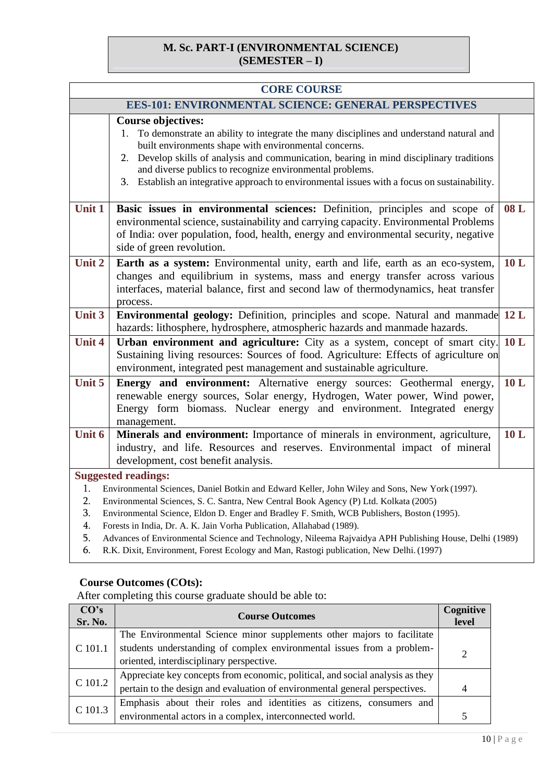## **M. Sc. PART-I (ENVIRONMENTAL SCIENCE) (SEMESTER – I)**

| <b>CORE COURSE</b>                                          |                                                                                                                                                                                                                                                                                                                                                                                                                                                                                                        |     |  |  |
|-------------------------------------------------------------|--------------------------------------------------------------------------------------------------------------------------------------------------------------------------------------------------------------------------------------------------------------------------------------------------------------------------------------------------------------------------------------------------------------------------------------------------------------------------------------------------------|-----|--|--|
| <b>EES-101: ENVIRONMENTAL SCIENCE: GENERAL PERSPECTIVES</b> |                                                                                                                                                                                                                                                                                                                                                                                                                                                                                                        |     |  |  |
|                                                             | <b>Course objectives:</b><br>To demonstrate an ability to integrate the many disciplines and understand natural and<br>1.<br>built environments shape with environmental concerns.<br>Develop skills of analysis and communication, bearing in mind disciplinary traditions<br>2.<br>and diverse publics to recognize environmental problems.<br>3. Establish an integrative approach to environmental issues with a focus on sustainability.                                                          |     |  |  |
| Unit 1                                                      | Basic issues in environmental sciences: Definition, principles and scope of<br>environmental science, sustainability and carrying capacity. Environmental Problems<br>of India: over population, food, health, energy and environmental security, negative<br>side of green revolution.                                                                                                                                                                                                                | 08L |  |  |
| Unit 2                                                      | Earth as a system: Environmental unity, earth and life, earth as an eco-system,<br>changes and equilibrium in systems, mass and energy transfer across various<br>interfaces, material balance, first and second law of thermodynamics, heat transfer<br>process.                                                                                                                                                                                                                                      | 10L |  |  |
| Unit 3                                                      | Environmental geology: Definition, principles and scope. Natural and manmade 12 L<br>hazards: lithosphere, hydrosphere, atmospheric hazards and manmade hazards.                                                                                                                                                                                                                                                                                                                                       |     |  |  |
| <b>Unit 4</b>                                               | Urban environment and agriculture: City as a system, concept of smart city.<br>Sustaining living resources: Sources of food. Agriculture: Effects of agriculture on<br>environment, integrated pest management and sustainable agriculture.                                                                                                                                                                                                                                                            | 10L |  |  |
| Unit 5                                                      | Energy and environment: Alternative energy sources: Geothermal energy,<br>renewable energy sources, Solar energy, Hydrogen, Water power, Wind power,<br>Energy form biomass. Nuclear energy and environment. Integrated energy<br>management.                                                                                                                                                                                                                                                          | 10L |  |  |
| Unit 6                                                      | Minerals and environment: Importance of minerals in environment, agriculture,<br>industry, and life. Resources and reserves. Environmental impact of mineral<br>development, cost benefit analysis.                                                                                                                                                                                                                                                                                                    | 10L |  |  |
| 1.<br>2.<br>3.<br>4.<br>5.                                  | <b>Suggested readings:</b><br>Environmental Sciences, Daniel Botkin and Edward Keller, John Wiley and Sons, New York (1997).<br>Environmental Sciences, S. C. Santra, New Central Book Agency (P) Ltd. Kolkata (2005)<br>Environmental Science, Eldon D. Enger and Bradley F. Smith, WCB Publishers, Boston (1995).<br>Forests in India, Dr. A. K. Jain Vorha Publication, Allahabad (1989).<br>Advances of Environmental Science and Technology, Nileema Rajvaidya APH Publishing House, Delhi (1989) |     |  |  |

6. R.K. Dixit, Environment, Forest Ecology and Man, Rastogi publication, New Delhi.(1997)

#### **Course Outcomes (COts):**

| CO's<br>Sr. No. | <b>Course Outcomes</b>                                                        |  |
|-----------------|-------------------------------------------------------------------------------|--|
|                 | The Environmental Science minor supplements other majors to facilitate        |  |
| C 101.1         | students understanding of complex environmental issues from a problem-        |  |
|                 | oriented, interdisciplinary perspective.                                      |  |
| C 101.2         | Appreciate key concepts from economic, political, and social analysis as they |  |
|                 | pertain to the design and evaluation of environmental general perspectives.   |  |
| C 101.3         | Emphasis about their roles and identities as citizens, consumers and          |  |
|                 | environmental actors in a complex, interconnected world.                      |  |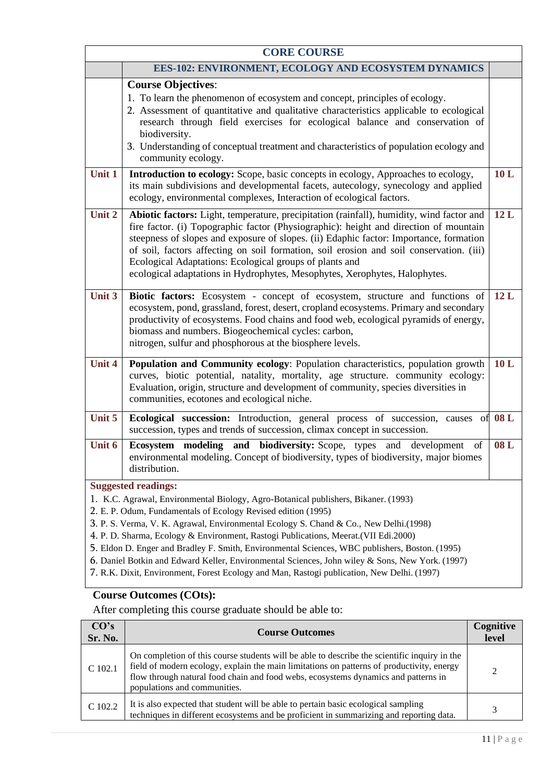| <b>CORE COURSE</b> |                                                                                                                                                                                                                                                                                                                                                                                                                                                                                                                                                                                                                                                                       |     |  |
|--------------------|-----------------------------------------------------------------------------------------------------------------------------------------------------------------------------------------------------------------------------------------------------------------------------------------------------------------------------------------------------------------------------------------------------------------------------------------------------------------------------------------------------------------------------------------------------------------------------------------------------------------------------------------------------------------------|-----|--|
|                    | EES-102: ENVIRONMENT, ECOLOGY AND ECOSYSTEM DYNAMICS                                                                                                                                                                                                                                                                                                                                                                                                                                                                                                                                                                                                                  |     |  |
|                    | <b>Course Objectives:</b><br>1. To learn the phenomenon of ecosystem and concept, principles of ecology.<br>2. Assessment of quantitative and qualitative characteristics applicable to ecological<br>research through field exercises for ecological balance and conservation of<br>biodiversity.<br>3. Understanding of conceptual treatment and characteristics of population ecology and<br>community ecology.                                                                                                                                                                                                                                                    |     |  |
| Unit 1             | Introduction to ecology: Scope, basic concepts in ecology, Approaches to ecology,<br>its main subdivisions and developmental facets, autecology, synecology and applied<br>ecology, environmental complexes, Interaction of ecological factors.                                                                                                                                                                                                                                                                                                                                                                                                                       | 10L |  |
| Unit 2             | Abiotic factors: Light, temperature, precipitation (rainfall), humidity, wind factor and<br>fire factor. (i) Topographic factor (Physiographic): height and direction of mountain<br>steepness of slopes and exposure of slopes. (ii) Edaphic factor: Importance, formation<br>of soil, factors affecting on soil formation, soil erosion and soil conservation. (iii)<br>Ecological Adaptations: Ecological groups of plants and<br>ecological adaptations in Hydrophytes, Mesophytes, Xerophytes, Halophytes.                                                                                                                                                       | 12L |  |
| Unit 3             | Biotic factors: Ecosystem - concept of ecosystem, structure and functions of<br>ecosystem, pond, grassland, forest, desert, cropland ecosystems. Primary and secondary<br>productivity of ecosystems. Food chains and food web, ecological pyramids of energy,<br>biomass and numbers. Biogeochemical cycles: carbon,<br>nitrogen, sulfur and phosphorous at the biosphere levels.                                                                                                                                                                                                                                                                                    | 12L |  |
| <b>Unit 4</b>      | Population and Community ecology: Population characteristics, population growth<br>curves, biotic potential, natality, mortality, age structure. community ecology:<br>Evaluation, origin, structure and development of community, species diversities in<br>communities, ecotones and ecological niche.                                                                                                                                                                                                                                                                                                                                                              | 10L |  |
| Unit 5             | Ecological succession: Introduction, general process of succession, causes of 08 L<br>succession, types and trends of succession, climax concept in succession.                                                                                                                                                                                                                                                                                                                                                                                                                                                                                                       |     |  |
| Unit 6             | Ecosystem modeling<br>and<br><b>biodiversity:</b> Scope, types<br>and<br>development<br>of<br>environmental modeling. Concept of biodiversity, types of biodiversity, major biomes<br>distribution.                                                                                                                                                                                                                                                                                                                                                                                                                                                                   | 08L |  |
|                    | <b>Suggested readings:</b><br>1. K.C. Agrawal, Environmental Biology, Agro-Botanical publishers, Bikaner. (1993)<br>2. E. P. Odum, Fundamentals of Ecology Revised edition (1995)<br>3. P. S. Verma, V. K. Agrawal, Environmental Ecology S. Chand & Co., New Delhi.(1998)<br>4. P. D. Sharma, Ecology & Environment, Rastogi Publications, Meerat. (VII Edi.2000)<br>5. Eldon D. Enger and Bradley F. Smith, Environmental Sciences, WBC publishers, Boston. (1995)<br>6. Daniel Botkin and Edward Keller, Environmental Sciences, John wiley & Sons, New York. (1997)<br>7. R.K. Dixit, Environment, Forest Ecology and Man, Rastogi publication, New Delhi. (1997) |     |  |

| CO's<br>Sr. No. | <b>Course Outcomes</b>                                                                                                                                                                                                                                                                                          | Cognitive<br>level |
|-----------------|-----------------------------------------------------------------------------------------------------------------------------------------------------------------------------------------------------------------------------------------------------------------------------------------------------------------|--------------------|
| $C$ 102.1       | On completion of this course students will be able to describe the scientific inquiry in the<br>field of modern ecology, explain the main limitations on patterns of productivity, energy<br>flow through natural food chain and food webs, ecosystems dynamics and patterns in<br>populations and communities. |                    |
| C 102.2         | It is also expected that student will be able to pertain basic ecological sampling<br>techniques in different ecosystems and be proficient in summarizing and reporting data.                                                                                                                                   |                    |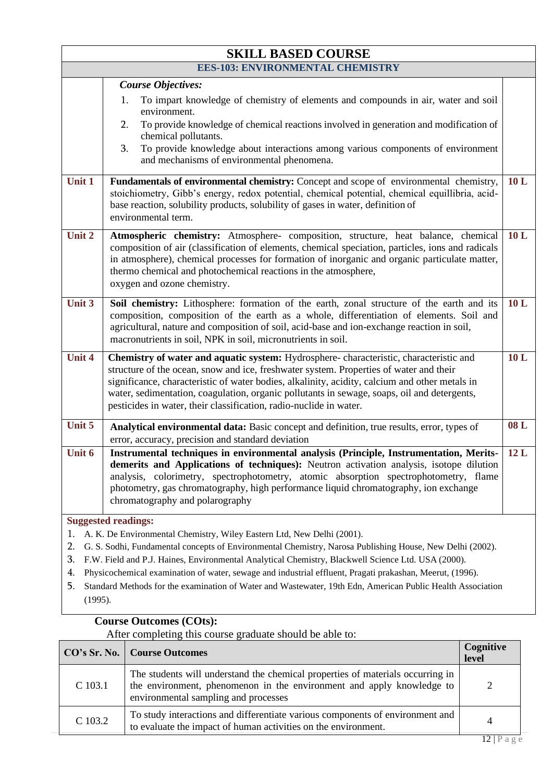| <b>SKILL BASED COURSE</b>               |                                                                                                                                                                                                                                                                                                                                                                                                                                                                                                                                                  |     |  |  |
|-----------------------------------------|--------------------------------------------------------------------------------------------------------------------------------------------------------------------------------------------------------------------------------------------------------------------------------------------------------------------------------------------------------------------------------------------------------------------------------------------------------------------------------------------------------------------------------------------------|-----|--|--|
| <b>EES-103: ENVIRONMENTAL CHEMISTRY</b> |                                                                                                                                                                                                                                                                                                                                                                                                                                                                                                                                                  |     |  |  |
|                                         | <b>Course Objectives:</b><br>To impart knowledge of chemistry of elements and compounds in air, water and soil<br>1.<br>environment.<br>To provide knowledge of chemical reactions involved in generation and modification of<br>2.<br>chemical pollutants.<br>3.<br>To provide knowledge about interactions among various components of environment<br>and mechanisms of environmental phenomena.                                                                                                                                               |     |  |  |
| Unit 1                                  | Fundamentals of environmental chemistry: Concept and scope of environmental chemistry,<br>stoichiometry, Gibb's energy, redox potential, chemical potential, chemical equillibria, acid-<br>base reaction, solubility products, solubility of gases in water, definition of<br>environmental term.                                                                                                                                                                                                                                               | 10L |  |  |
| Unit 2                                  | Atmospheric chemistry: Atmosphere- composition, structure, heat balance, chemical<br>composition of air (classification of elements, chemical speciation, particles, ions and radicals<br>in atmosphere), chemical processes for formation of inorganic and organic particulate matter,<br>thermo chemical and photochemical reactions in the atmosphere,<br>oxygen and ozone chemistry.                                                                                                                                                         | 10L |  |  |
| Unit 3                                  | Soil chemistry: Lithosphere: formation of the earth, zonal structure of the earth and its<br>composition, composition of the earth as a whole, differentiation of elements. Soil and<br>agricultural, nature and composition of soil, acid-base and ion-exchange reaction in soil,<br>macronutrients in soil, NPK in soil, micronutrients in soil.                                                                                                                                                                                               | 10L |  |  |
| <b>Unit 4</b>                           | Chemistry of water and aquatic system: Hydrosphere-characteristic, characteristic and<br>structure of the ocean, snow and ice, freshwater system. Properties of water and their<br>significance, characteristic of water bodies, alkalinity, acidity, calcium and other metals in<br>water, sedimentation, coagulation, organic pollutants in sewage, soaps, oil and detergents,<br>pesticides in water, their classification, radio-nuclide in water.                                                                                           | 10L |  |  |
| Unit 5                                  | Analytical environmental data: Basic concept and definition, true results, error, types of<br>error, accuracy, precision and standard deviation                                                                                                                                                                                                                                                                                                                                                                                                  | 08L |  |  |
| Unit 6                                  | Instrumental techniques in environmental analysis (Principle, Instrumentation, Merits-<br>demerits and Applications of techniques): Neutron activation analysis, isotope dilution<br>analysis, colorimetry, spectrophotometry, atomic absorption spectrophotometry, flame<br>photometry, gas chromatography, high performance liquid chromatography, ion exchange<br>chromatography and polarography                                                                                                                                             | 12L |  |  |
| 1.<br>2.<br>3.<br>4.<br>5.<br>(1995).   | <b>Suggested readings:</b><br>A. K. De Environmental Chemistry, Wiley Eastern Ltd, New Delhi (2001).<br>G. S. Sodhi, Fundamental concepts of Environmental Chemistry, Narosa Publishing House, New Delhi (2002).<br>F.W. Field and P.J. Haines, Environmental Analytical Chemistry, Blackwell Science Ltd. USA (2000).<br>Physicochemical examination of water, sewage and industrial effluent, Pragati prakashan, Meerut, (1996).<br>Standard Methods for the examination of Water and Wastewater, 19th Edn, American Public Health Association |     |  |  |

|         | <b>CO's Sr. No.</b>   Course Outcomes                                                                                                                                                           | Cognitive<br>level |
|---------|-------------------------------------------------------------------------------------------------------------------------------------------------------------------------------------------------|--------------------|
| C 103.1 | The students will understand the chemical properties of materials occurring in<br>the environment, phenomenon in the environment and apply knowledge to<br>environmental sampling and processes | 2                  |
| C 103.2 | To study interactions and differentiate various components of environment and<br>to evaluate the impact of human activities on the environment.                                                 | .                  |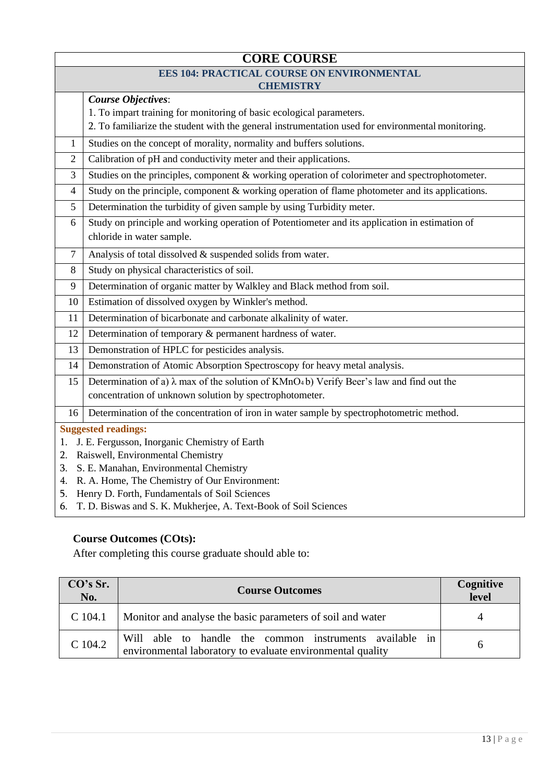|                                              | <b>CORE COURSE</b>                                                                                                     |  |  |  |
|----------------------------------------------|------------------------------------------------------------------------------------------------------------------------|--|--|--|
|                                              | <b>EES 104: PRACTICAL COURSE ON ENVIRONMENTAL</b>                                                                      |  |  |  |
|                                              | <b>CHEMISTRY</b>                                                                                                       |  |  |  |
|                                              | <b>Course Objectives:</b>                                                                                              |  |  |  |
|                                              | 1. To impart training for monitoring of basic ecological parameters.                                                   |  |  |  |
|                                              | 2. To familiarize the student with the general instrumentation used for environmental monitoring.                      |  |  |  |
| $\mathbf{1}$                                 | Studies on the concept of morality, normality and buffers solutions.                                                   |  |  |  |
| 2                                            | Calibration of pH and conductivity meter and their applications.                                                       |  |  |  |
| 3                                            | Studies on the principles, component & working operation of colorimeter and spectrophotometer.                         |  |  |  |
| 4                                            | Study on the principle, component & working operation of flame photometer and its applications.                        |  |  |  |
| 5                                            | Determination the turbidity of given sample by using Turbidity meter.                                                  |  |  |  |
| 6                                            | Study on principle and working operation of Potentiometer and its application in estimation of                         |  |  |  |
|                                              | chloride in water sample.                                                                                              |  |  |  |
| $\tau$                                       | Analysis of total dissolved & suspended solids from water.                                                             |  |  |  |
| 8                                            | Study on physical characteristics of soil.                                                                             |  |  |  |
| 9                                            | Determination of organic matter by Walkley and Black method from soil.                                                 |  |  |  |
| 10                                           | Estimation of dissolved oxygen by Winkler's method.                                                                    |  |  |  |
| 11                                           | Determination of bicarbonate and carbonate alkalinity of water.                                                        |  |  |  |
| 12                                           | Determination of temporary & permanent hardness of water.                                                              |  |  |  |
| 13                                           | Demonstration of HPLC for pesticides analysis.                                                                         |  |  |  |
| 14                                           | Demonstration of Atomic Absorption Spectroscopy for heavy metal analysis.                                              |  |  |  |
| 15                                           | Determination of a) $\lambda$ max of the solution of KMnO <sub>4</sub> b) Verify Beer's law and find out the           |  |  |  |
|                                              | concentration of unknown solution by spectrophotometer.                                                                |  |  |  |
| 16                                           | Determination of the concentration of iron in water sample by spectrophotometric method.                               |  |  |  |
|                                              | <b>Suggested readings:</b>                                                                                             |  |  |  |
| 1.                                           | J. E. Fergusson, Inorganic Chemistry of Earth                                                                          |  |  |  |
| 2.                                           | Raiswell, Environmental Chemistry                                                                                      |  |  |  |
| S. E. Manahan, Environmental Chemistry<br>3. |                                                                                                                        |  |  |  |
|                                              | R. A. Home, The Chemistry of Our Environment:<br>4.                                                                    |  |  |  |
| 5.                                           | Henry D. Forth, Fundamentals of Soil Sciences<br>T. D. Biswas and S. K. Mukherjee, A. Text-Book of Soil Sciences<br>6. |  |  |  |
|                                              |                                                                                                                        |  |  |  |

| CO's Sr.<br>No. | <b>Course Outcomes</b>                                                                                                | Cognitive<br>level |
|-----------------|-----------------------------------------------------------------------------------------------------------------------|--------------------|
| $C$ 104.1       | Monitor and analyse the basic parameters of soil and water                                                            | 4                  |
| C 104.2         | Will able to handle the common instruments available in<br>environmental laboratory to evaluate environmental quality |                    |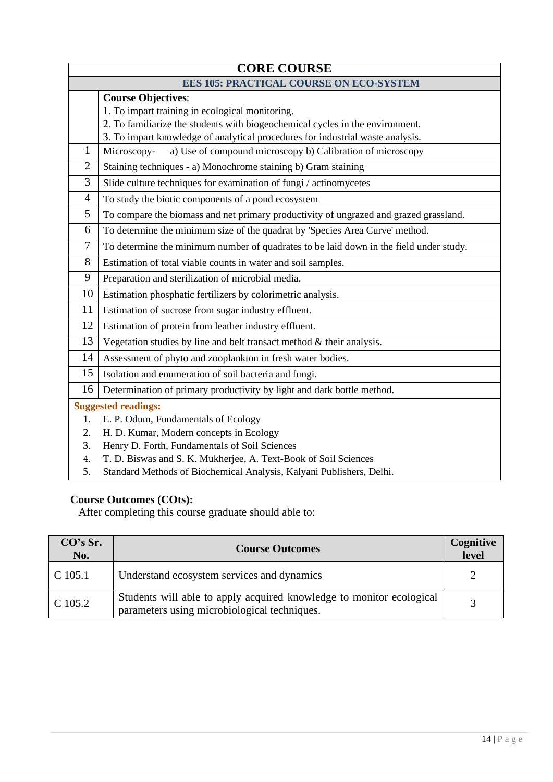|                | <b>CORE COURSE</b>                                                                     |  |  |  |
|----------------|----------------------------------------------------------------------------------------|--|--|--|
|                | <b>EES 105: PRACTICAL COURSE ON ECO-SYSTEM</b>                                         |  |  |  |
|                | <b>Course Objectives:</b>                                                              |  |  |  |
|                | 1. To impart training in ecological monitoring.                                        |  |  |  |
|                | 2. To familiarize the students with biogeochemical cycles in the environment.          |  |  |  |
|                | 3. To impart knowledge of analytical procedures for industrial waste analysis.         |  |  |  |
| 1              | a) Use of compound microscopy b) Calibration of microscopy<br>Microscopy-              |  |  |  |
| $\overline{2}$ | Staining techniques - a) Monochrome staining b) Gram staining                          |  |  |  |
| 3              | Slide culture techniques for examination of fungi / actinomycetes                      |  |  |  |
| $\overline{4}$ | To study the biotic components of a pond ecosystem                                     |  |  |  |
| 5              | To compare the biomass and net primary productivity of ungrazed and grazed grassland.  |  |  |  |
| 6              | To determine the minimum size of the quadrat by 'Species Area Curve' method.           |  |  |  |
| 7              | To determine the minimum number of quadrates to be laid down in the field under study. |  |  |  |
| 8              | Estimation of total viable counts in water and soil samples.                           |  |  |  |
| 9              | Preparation and sterilization of microbial media.                                      |  |  |  |
| 10             | Estimation phosphatic fertilizers by colorimetric analysis.                            |  |  |  |
| 11             | Estimation of sucrose from sugar industry effluent.                                    |  |  |  |
| 12             | Estimation of protein from leather industry effluent.                                  |  |  |  |
| 13             | Vegetation studies by line and belt transact method $\&$ their analysis.               |  |  |  |
| 14             | Assessment of phyto and zooplankton in fresh water bodies.                             |  |  |  |
| 15             | Isolation and enumeration of soil bacteria and fungi.                                  |  |  |  |
| 16             | Determination of primary productivity by light and dark bottle method.                 |  |  |  |
|                | <b>Suggested readings:</b>                                                             |  |  |  |
| 1.             | E. P. Odum, Fundamentals of Ecology                                                    |  |  |  |
| 2.             | H. D. Kumar, Modern concepts in Ecology                                                |  |  |  |
| 3.             | Henry D. Forth, Fundamentals of Soil Sciences                                          |  |  |  |
| 4.             | T. D. Biswas and S. K. Mukherjee, A. Text-Book of Soil Sciences                        |  |  |  |
| 5.             | Standard Methods of Biochemical Analysis, Kalyani Publishers, Delhi.                   |  |  |  |

| CO's Sr.<br>No. | <b>Course Outcomes</b>                                                                                               | Cognitive<br>level |
|-----------------|----------------------------------------------------------------------------------------------------------------------|--------------------|
| $C$ 105.1       | Understand ecosystem services and dynamics                                                                           |                    |
| C 105.2         | Students will able to apply acquired knowledge to monitor ecological<br>parameters using microbiological techniques. |                    |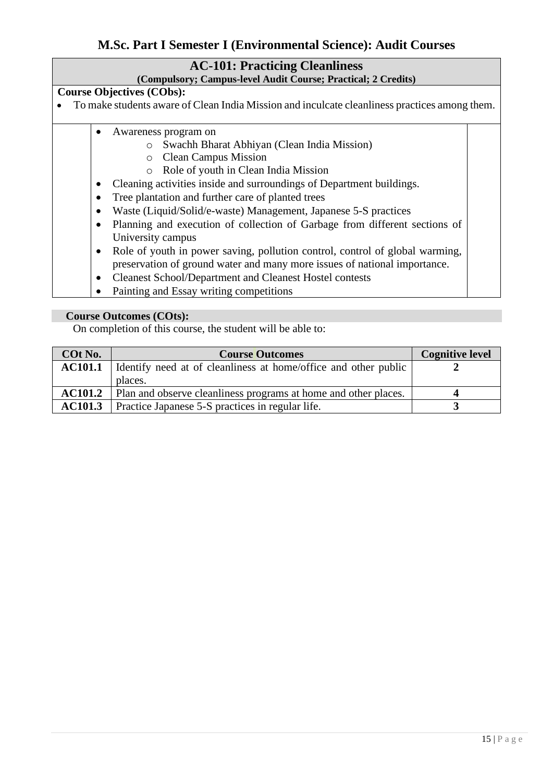# **M.Sc. Part I Semester I (Environmental Science): Audit Courses**

### **AC-101: Practicing Cleanliness**

#### **(Compulsory; Campus-level Audit Course; Practical; 2 Credits)**

#### **Course Objectives (CObs):**

- To make students aware of Clean India Mission and inculcate cleanliness practices among them.
	- Awareness program on
		- o Swachh Bharat Abhiyan (Clean India Mission)
		- o Clean Campus Mission
		- o Role of youth in Clean India Mission
	- Cleaning activities inside and surroundings of Department buildings.
	- Tree plantation and further care of planted trees
	- Waste (Liquid/Solid/e-waste) Management, Japanese 5-S practices
	- Planning and execution of collection of Garbage from different sections of University campus
	- Role of youth in power saving, pollution control, control of global warming, preservation of ground water and many more issues of national importance.
	- Cleanest School/Department and Cleanest Hostel contests
	- Painting and Essay writing competitions

#### **Course Outcomes (COts):**

On completion of this course, the student will be able to:

| <b>COt No.</b> | <b>Course Outcomes</b>                                          | <b>Cognitive level</b> |
|----------------|-----------------------------------------------------------------|------------------------|
| <b>AC101.1</b> | Identify need at of cleanliness at home/office and other public |                        |
|                | places.                                                         |                        |
| <b>AC101.2</b> | Plan and observe cleanliness programs at home and other places. |                        |
| <b>AC101.3</b> | Practice Japanese 5-S practices in regular life.                |                        |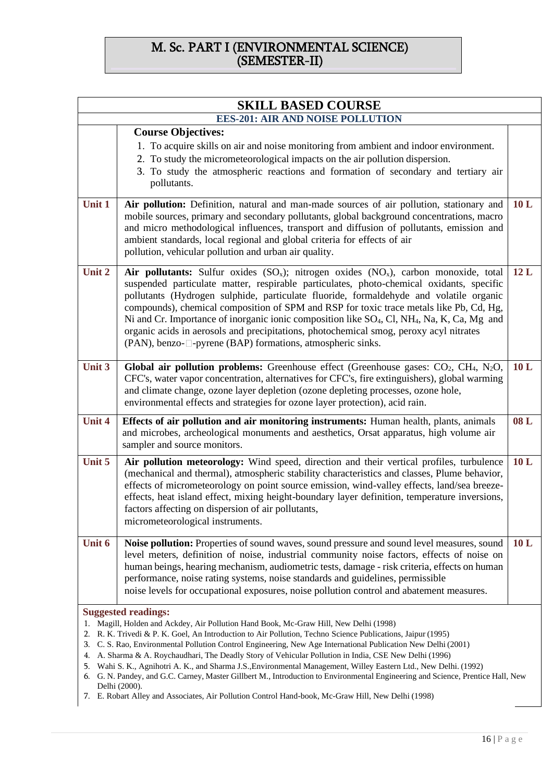# M. Sc. PART I (ENVIRONMENTAL SCIENCE) (SEMESTER-II)

|               | <b>SKILL BASED COURSE</b>                                                                                                                                                                                                                                                                                                                                                                                                                                                                                                                                                                                                                                                                                                                                                                                                                 |     |  |
|---------------|-------------------------------------------------------------------------------------------------------------------------------------------------------------------------------------------------------------------------------------------------------------------------------------------------------------------------------------------------------------------------------------------------------------------------------------------------------------------------------------------------------------------------------------------------------------------------------------------------------------------------------------------------------------------------------------------------------------------------------------------------------------------------------------------------------------------------------------------|-----|--|
|               | <b>EES-201: AIR AND NOISE POLLUTION</b>                                                                                                                                                                                                                                                                                                                                                                                                                                                                                                                                                                                                                                                                                                                                                                                                   |     |  |
|               | <b>Course Objectives:</b><br>1. To acquire skills on air and noise monitoring from ambient and indoor environment.<br>2. To study the micrometeorological impacts on the air pollution dispersion.<br>3. To study the atmospheric reactions and formation of secondary and tertiary air<br>pollutants.                                                                                                                                                                                                                                                                                                                                                                                                                                                                                                                                    |     |  |
| Unit 1        | Air pollution: Definition, natural and man-made sources of air pollution, stationary and<br>mobile sources, primary and secondary pollutants, global background concentrations, macro<br>and micro methodological influences, transport and diffusion of pollutants, emission and<br>ambient standards, local regional and global criteria for effects of air<br>pollution, vehicular pollution and urban air quality.                                                                                                                                                                                                                                                                                                                                                                                                                    | 10L |  |
| Unit 2        | Air pollutants: Sulfur oxides $(SO_x)$ ; nitrogen oxides $(NO_x)$ , carbon monoxide, total<br>suspended particulate matter, respirable particulates, photo-chemical oxidants, specific<br>pollutants (Hydrogen sulphide, particulate fluoride, formaldehyde and volatile organic<br>compounds), chemical composition of SPM and RSP for toxic trace metals like Pb, Cd, Hg,<br>Ni and Cr. Importance of inorganic ionic composition like SO <sub>4</sub> , Cl, NH <sub>4</sub> , Na, K, Ca, Mg and<br>organic acids in aerosols and precipitations, photochemical smog, peroxy acyl nitrates<br>(PAN), benzo-□-pyrene (BAP) formations, atmospheric sinks.                                                                                                                                                                                | 12L |  |
| Unit 3        | Global air pollution problems: Greenhouse effect (Greenhouse gases: $CO2$ , CH <sub>4</sub> , N <sub>2</sub> O,<br>CFC's, water vapor concentration, alternatives for CFC's, fire extinguishers), global warming<br>and climate change, ozone layer depletion (ozone depleting processes, ozone hole,<br>environmental effects and strategies for ozone layer protection), acid rain.                                                                                                                                                                                                                                                                                                                                                                                                                                                     | 10L |  |
| <b>Unit 4</b> | <b>Effects of air pollution and air monitoring instruments:</b> Human health, plants, animals<br>and microbes, archeological monuments and aesthetics, Orsat apparatus, high volume air<br>sampler and source monitors.                                                                                                                                                                                                                                                                                                                                                                                                                                                                                                                                                                                                                   | 08L |  |
| Unit 5        | Air pollution meteorology: Wind speed, direction and their vertical profiles, turbulence<br>(mechanical and thermal), atmospheric stability characteristics and classes, Plume behavior,<br>effects of micrometeorology on point source emission, wind-valley effects, land/sea breeze-<br>effects, heat island effect, mixing height-boundary layer definition, temperature inversions,<br>factors affecting on dispersion of air pollutants,<br>micrometeorological instruments.                                                                                                                                                                                                                                                                                                                                                        | 10L |  |
| Unit 6        | Noise pollution: Properties of sound waves, sound pressure and sound level measures, sound<br>level meters, definition of noise, industrial community noise factors, effects of noise on<br>human beings, hearing mechanism, audiometric tests, damage - risk criteria, effects on human<br>performance, noise rating systems, noise standards and guidelines, permissible<br>noise levels for occupational exposures, noise pollution control and abatement measures.                                                                                                                                                                                                                                                                                                                                                                    | 10L |  |
|               | <b>Suggested readings:</b><br>Magill, Holden and Ackdey, Air Pollution Hand Book, Mc-Graw Hill, New Delhi (1998)<br>2. R. K. Trivedi & P. K. Goel, An Introduction to Air Pollution, Techno Science Publications, Jaipur (1995)<br>3. C. S. Rao, Environmental Pollution Control Engineering, New Age International Publication New Delhi (2001)<br>4. A. Sharma & A. Roychaudhari, The Deadly Story of Vehicular Pollution in India, CSE New Delhi (1996)<br>5. Wahi S. K., Agnihotri A. K., and Sharma J.S., Environmental Management, Willey Eastern Ltd., New Delhi. (1992)<br>6. G. N. Pandey, and G.C. Carney, Master Gillbert M., Introduction to Environmental Engineering and Science, Prentice Hall, New<br>Delhi (2000).<br>7. E. Robart Alley and Associates, Air Pollution Control Hand-book, Mc-Graw Hill, New Delhi (1998) |     |  |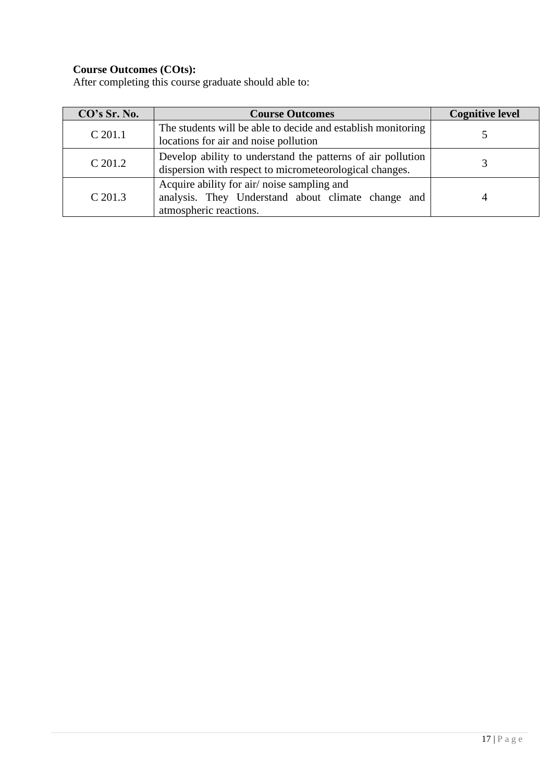| CO's Sr. No. | <b>Course Outcomes</b>                                                                                                     | <b>Cognitive level</b> |
|--------------|----------------------------------------------------------------------------------------------------------------------------|------------------------|
| $C$ 201.1    | The students will be able to decide and establish monitoring<br>locations for air and noise pollution                      |                        |
| C 201.2      | Develop ability to understand the patterns of air pollution<br>dispersion with respect to micrometeorological changes.     |                        |
| $C$ 201.3    | Acquire ability for air/noise sampling and<br>analysis. They Understand about climate change and<br>atmospheric reactions. |                        |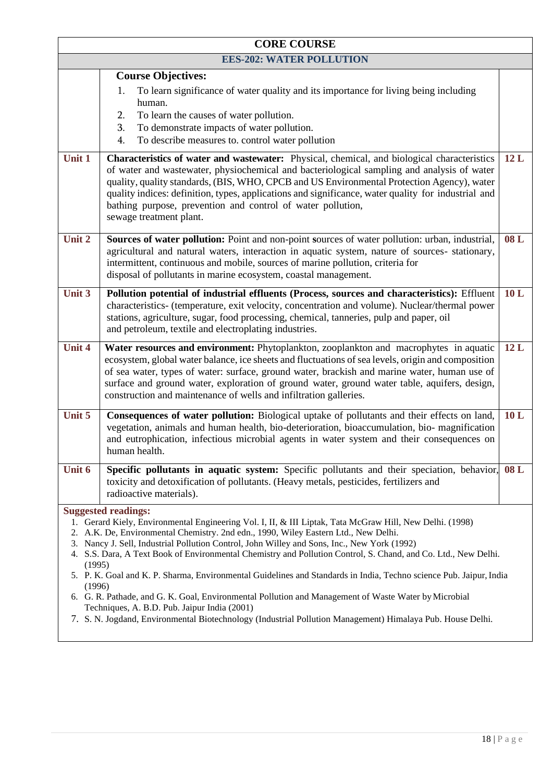| <b>CORE COURSE</b> |                                                                                                                                                                                                                                                                                                                                                                                                                                                                                                                                                                      |     |  |  |
|--------------------|----------------------------------------------------------------------------------------------------------------------------------------------------------------------------------------------------------------------------------------------------------------------------------------------------------------------------------------------------------------------------------------------------------------------------------------------------------------------------------------------------------------------------------------------------------------------|-----|--|--|
|                    | <b>EES-202: WATER POLLUTION</b>                                                                                                                                                                                                                                                                                                                                                                                                                                                                                                                                      |     |  |  |
|                    | <b>Course Objectives:</b>                                                                                                                                                                                                                                                                                                                                                                                                                                                                                                                                            |     |  |  |
|                    | To learn significance of water quality and its importance for living being including<br>1.<br>human.                                                                                                                                                                                                                                                                                                                                                                                                                                                                 |     |  |  |
|                    | To learn the causes of water pollution.<br>2.                                                                                                                                                                                                                                                                                                                                                                                                                                                                                                                        |     |  |  |
|                    | To demonstrate impacts of water pollution.<br>3.                                                                                                                                                                                                                                                                                                                                                                                                                                                                                                                     |     |  |  |
|                    | To describe measures to. control water pollution<br>4.                                                                                                                                                                                                                                                                                                                                                                                                                                                                                                               |     |  |  |
| Unit 1             | Characteristics of water and wastewater: Physical, chemical, and biological characteristics<br>of water and wastewater, physiochemical and bacteriological sampling and analysis of water<br>quality, quality standards, (BIS, WHO, CPCB and US Environmental Protection Agency), water<br>quality indices: definition, types, applications and significance, water quality for industrial and<br>bathing purpose, prevention and control of water pollution,<br>sewage treatment plant.                                                                             | 12L |  |  |
| Unit 2             | Sources of water pollution: Point and non-point sources of water pollution: urban, industrial,<br>agricultural and natural waters, interaction in aquatic system, nature of sources- stationary,<br>intermittent, continuous and mobile, sources of marine pollution, criteria for<br>disposal of pollutants in marine ecosystem, coastal management.                                                                                                                                                                                                                | 08L |  |  |
| Unit 3             | Pollution potential of industrial effluents (Process, sources and characteristics): Effluent<br>characteristics- (temperature, exit velocity, concentration and volume). Nuclear/thermal power<br>stations, agriculture, sugar, food processing, chemical, tanneries, pulp and paper, oil<br>and petroleum, textile and electroplating industries.                                                                                                                                                                                                                   | 10L |  |  |
| Unit 4             | Water resources and environment: Phytoplankton, zooplankton and macrophytes in aquatic<br>ecosystem, global water balance, ice sheets and fluctuations of sea levels, origin and composition<br>of sea water, types of water: surface, ground water, brackish and marine water, human use of<br>surface and ground water, exploration of ground water, ground water table, aquifers, design,<br>construction and maintenance of wells and infiltration galleries.                                                                                                    | 12L |  |  |
| Unit 5             | Consequences of water pollution: Biological uptake of pollutants and their effects on land,<br>vegetation, animals and human health, bio-deterioration, bioaccumulation, bio-magnification<br>and eutrophication, infectious microbial agents in water system and their consequences on<br>human health.                                                                                                                                                                                                                                                             | 10L |  |  |
| Unit 6             | Specific pollutants in aquatic system: Specific pollutants and their speciation, behavior,<br>toxicity and detoxification of pollutants. (Heavy metals, pesticides, fertilizers and<br>radioactive materials).                                                                                                                                                                                                                                                                                                                                                       | 08L |  |  |
| (1995)<br>(1996)   | <b>Suggested readings:</b><br>1. Gerard Kiely, Environmental Engineering Vol. I, II, & III Liptak, Tata McGraw Hill, New Delhi. (1998)<br>2. A.K. De, Environmental Chemistry. 2nd edn., 1990, Wiley Eastern Ltd., New Delhi.<br>3. Nancy J. Sell, Industrial Pollution Control, John Willey and Sons, Inc., New York (1992)<br>4. S.S. Dara, A Text Book of Environmental Chemistry and Pollution Control, S. Chand, and Co. Ltd., New Delhi.<br>5. P. K. Goal and K. P. Sharma, Environmental Guidelines and Standards in India, Techno science Pub. Jaipur, India |     |  |  |
|                    | 6. G. R. Pathade, and G. K. Goal, Environmental Pollution and Management of Waste Water by Microbial<br>Techniques, A. B.D. Pub. Jaipur India (2001)<br>7. S. N. Jogdand, Environmental Biotechnology (Industrial Pollution Management) Himalaya Pub. House Delhi.                                                                                                                                                                                                                                                                                                   |     |  |  |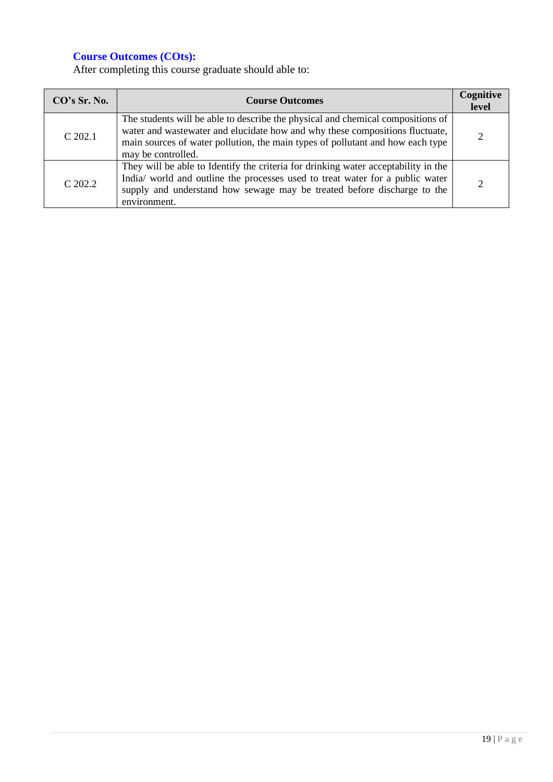| CO's Sr. No. | <b>Course Outcomes</b>                                                                                                                                                                                                                                                  | Cognitive<br>level |
|--------------|-------------------------------------------------------------------------------------------------------------------------------------------------------------------------------------------------------------------------------------------------------------------------|--------------------|
| $C$ 202.1    | The students will be able to describe the physical and chemical compositions of<br>water and wastewater and elucidate how and why these compositions fluctuate,<br>main sources of water pollution, the main types of pollutant and how each type<br>may be controlled. | ◠                  |
| $C$ 202.2    | They will be able to Identify the criteria for drinking water acceptability in the<br>India/ world and outline the processes used to treat water for a public water<br>supply and understand how sewage may be treated before discharge to the<br>environment.          |                    |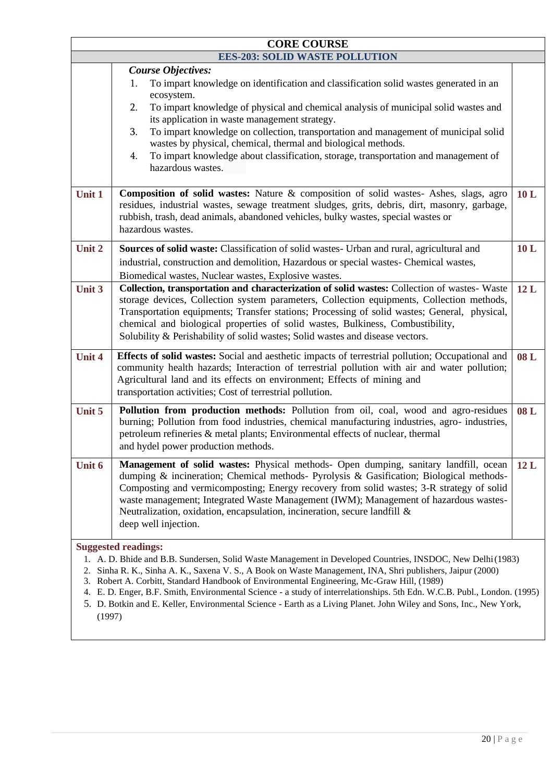| <b>CORE COURSE</b> |                                                                                                                                                                                                                                                                                                                                                                                                                                                                                                                                                                      |     |
|--------------------|----------------------------------------------------------------------------------------------------------------------------------------------------------------------------------------------------------------------------------------------------------------------------------------------------------------------------------------------------------------------------------------------------------------------------------------------------------------------------------------------------------------------------------------------------------------------|-----|
|                    | <b>EES-203: SOLID WASTE POLLUTION</b>                                                                                                                                                                                                                                                                                                                                                                                                                                                                                                                                |     |
|                    | <b>Course Objectives:</b><br>To impart knowledge on identification and classification solid wastes generated in an<br>1.<br>ecosystem.<br>To impart knowledge of physical and chemical analysis of municipal solid wastes and<br>2.<br>its application in waste management strategy.<br>To impart knowledge on collection, transportation and management of municipal solid<br>3.<br>wastes by physical, chemical, thermal and biological methods.<br>To impart knowledge about classification, storage, transportation and management of<br>4.<br>hazardous wastes. |     |
| Unit 1             | Composition of solid wastes: Nature & composition of solid wastes- Ashes, slags, agro<br>residues, industrial wastes, sewage treatment sludges, grits, debris, dirt, masonry, garbage,<br>rubbish, trash, dead animals, abandoned vehicles, bulky wastes, special wastes or<br>hazardous wastes.                                                                                                                                                                                                                                                                     | 10L |
| Unit 2             | Sources of solid waste: Classification of solid wastes- Urban and rural, agricultural and<br>industrial, construction and demolition, Hazardous or special wastes- Chemical wastes,<br>Biomedical wastes, Nuclear wastes, Explosive wastes.                                                                                                                                                                                                                                                                                                                          | 10L |
| Unit 3             | Collection, transportation and characterization of solid wastes: Collection of wastes- Waste<br>storage devices, Collection system parameters, Collection equipments, Collection methods,<br>Transportation equipments; Transfer stations; Processing of solid wastes; General, physical,<br>chemical and biological properties of solid wastes, Bulkiness, Combustibility,<br>Solubility & Perishability of solid wastes; Solid wastes and disease vectors.                                                                                                         | 12L |
| <b>Unit 4</b>      | Effects of solid wastes: Social and aesthetic impacts of terrestrial pollution; Occupational and<br>community health hazards; Interaction of terrestrial pollution with air and water pollution;<br>Agricultural land and its effects on environment; Effects of mining and<br>transportation activities; Cost of terrestrial pollution.                                                                                                                                                                                                                             | 08L |
| Unit 5             | Pollution from production methods: Pollution from oil, coal, wood and agro-residues<br>burning; Pollution from food industries, chemical manufacturing industries, agro- industries,<br>petroleum refineries & metal plants; Environmental effects of nuclear, thermal<br>and hydel power production methods.                                                                                                                                                                                                                                                        | 08L |
| <b>Unit 6</b>      | Management of solid wastes: Physical methods- Open dumping, sanitary landfill, ocean<br>dumping & incineration; Chemical methods- Pyrolysis & Gasification; Biological methods-<br>Composting and vermicomposting; Energy recovery from solid wastes; 3-R strategy of solid<br>waste management; Integrated Waste Management (IWM); Management of hazardous wastes-<br>Neutralization, oxidation, encapsulation, incineration, secure landfill $\&$<br>deep well injection.                                                                                          | 12L |
|                    | <b>Suggested readings:</b><br>1. A. D. Bhide and B.B. Sundersen, Solid Waste Management in Developed Countries, INSDOC, New Delhi (1983)<br>Sinha R. K., Sinha A. K., Saxena V. S., A Book on Waste Management, INA, Shri publishers, Jaipur (2000)<br>3. Robert A. Corbitt, Standard Handbook of Environmental Engineering, Mc-Graw Hill, (1989)                                                                                                                                                                                                                    |     |

- 4. E. D. Enger, B.F. Smith, Environmental Science a study of interrelationships. 5th Edn. W.C.B. Publ., London. (1995)
- 5. D. Botkin and E. Keller, Environmental Science Earth as a Living Planet. John Wiley and Sons, Inc., New York, (1997)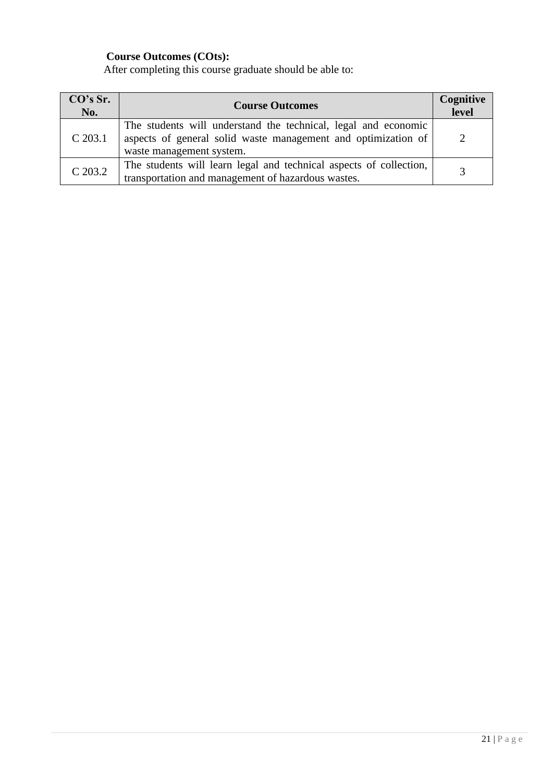| CO's Sr.<br>No. | <b>Course Outcomes</b>                                                                                                                                      | Cognitive<br>level |
|-----------------|-------------------------------------------------------------------------------------------------------------------------------------------------------------|--------------------|
| $C$ 203.1       | The students will understand the technical, legal and economic<br>aspects of general solid waste management and optimization of<br>waste management system. |                    |
| $C$ 203.2       | The students will learn legal and technical aspects of collection,<br>transportation and management of hazardous wastes.                                    |                    |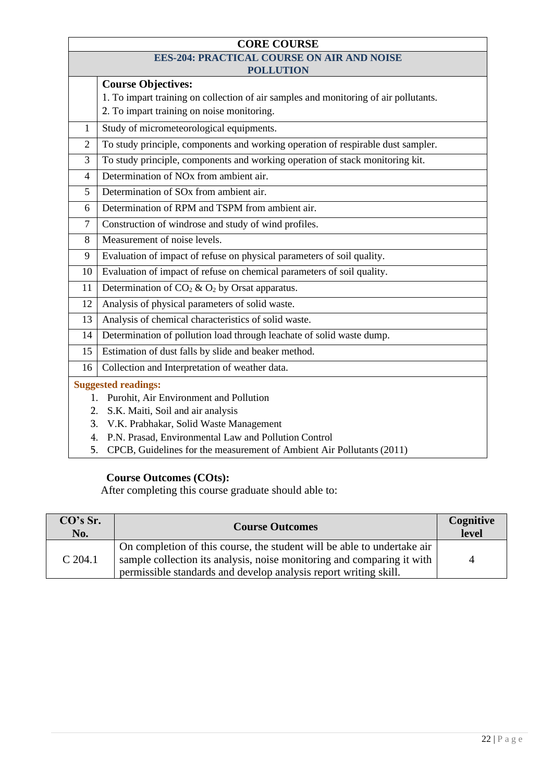| <b>CORE COURSE</b>         |                                                                                      |  |
|----------------------------|--------------------------------------------------------------------------------------|--|
|                            | <b>EES-204: PRACTICAL COURSE ON AIR AND NOISE</b>                                    |  |
|                            | <b>POLLUTION</b>                                                                     |  |
|                            | <b>Course Objectives:</b>                                                            |  |
|                            | 1. To impart training on collection of air samples and monitoring of air pollutants. |  |
|                            | 2. To impart training on noise monitoring.                                           |  |
| $\mathbf{1}$               | Study of micrometeorological equipments.                                             |  |
| $\overline{2}$             | To study principle, components and working operation of respirable dust sampler.     |  |
| 3                          | To study principle, components and working operation of stack monitoring kit.        |  |
| $\overline{4}$             | Determination of NO <sub>x</sub> from ambient air.                                   |  |
| 5                          | Determination of SO <sub>x</sub> from ambient air.                                   |  |
| 6                          | Determination of RPM and TSPM from ambient air.                                      |  |
| $\tau$                     | Construction of windrose and study of wind profiles.                                 |  |
| 8                          | Measurement of noise levels.                                                         |  |
| 9                          | Evaluation of impact of refuse on physical parameters of soil quality.               |  |
| 10                         | Evaluation of impact of refuse on chemical parameters of soil quality.               |  |
| 11                         | Determination of $CO_2 \& O_2$ by Orsat apparatus.                                   |  |
| 12                         | Analysis of physical parameters of solid waste.                                      |  |
| 13                         | Analysis of chemical characteristics of solid waste.                                 |  |
| 14                         | Determination of pollution load through leachate of solid waste dump.                |  |
| 15                         | Estimation of dust falls by slide and beaker method.                                 |  |
| 16                         | Collection and Interpretation of weather data.                                       |  |
| <b>Suggested readings:</b> |                                                                                      |  |
| 1.                         | Purohit, Air Environment and Pollution                                               |  |
| 2.                         | S.K. Maiti, Soil and air analysis                                                    |  |
| 3.                         | V.K. Prabhakar, Solid Waste Management                                               |  |
| 4.                         | P.N. Prasad, Environmental Law and Pollution Control                                 |  |
| 5.                         | CPCB, Guidelines for the measurement of Ambient Air Pollutants (2011)                |  |

| CO's Sr.<br>No. | <b>Course Outcomes</b>                                                                                                                                                                                                | <b>Cognitive</b><br>level |
|-----------------|-----------------------------------------------------------------------------------------------------------------------------------------------------------------------------------------------------------------------|---------------------------|
| $C$ 204.1       | On completion of this course, the student will be able to undertake air<br>sample collection its analysis, noise monitoring and comparing it with<br>permissible standards and develop analysis report writing skill. | $\Delta$                  |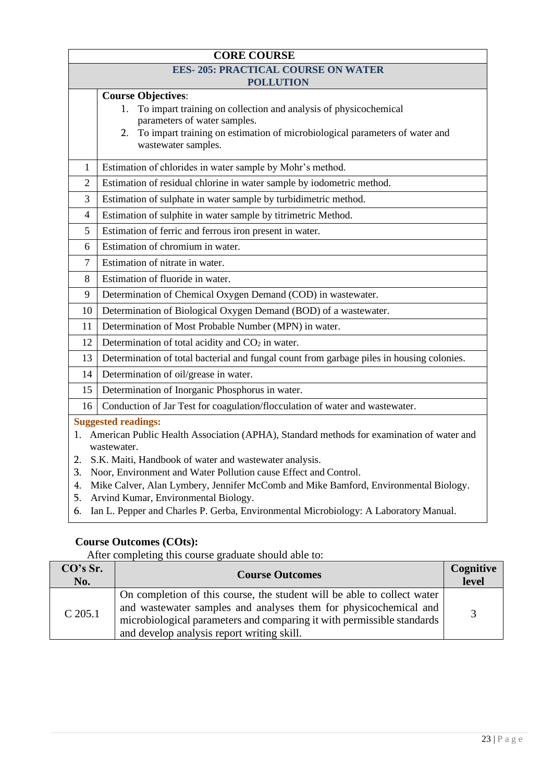| <b>CORE COURSE</b>                        |                                                                                                                             |  |  |
|-------------------------------------------|-----------------------------------------------------------------------------------------------------------------------------|--|--|
| <b>EES-205: PRACTICAL COURSE ON WATER</b> |                                                                                                                             |  |  |
|                                           | <b>POLLUTION</b>                                                                                                            |  |  |
|                                           | <b>Course Objectives:</b>                                                                                                   |  |  |
|                                           | To impart training on collection and analysis of physicochemical<br>1.                                                      |  |  |
|                                           | parameters of water samples.<br>To impart training on estimation of microbiological parameters of water and<br>2.           |  |  |
|                                           | wastewater samples.                                                                                                         |  |  |
|                                           |                                                                                                                             |  |  |
| 1                                         | Estimation of chlorides in water sample by Mohr's method.                                                                   |  |  |
| $\overline{2}$                            | Estimation of residual chlorine in water sample by iodometric method.                                                       |  |  |
| 3                                         | Estimation of sulphate in water sample by turbidimetric method.                                                             |  |  |
| 4                                         | Estimation of sulphite in water sample by titrimetric Method.                                                               |  |  |
| 5                                         | Estimation of ferric and ferrous iron present in water.                                                                     |  |  |
| 6                                         | Estimation of chromium in water.                                                                                            |  |  |
| 7                                         | Estimation of nitrate in water.                                                                                             |  |  |
| 8                                         | Estimation of fluoride in water.                                                                                            |  |  |
| 9                                         | Determination of Chemical Oxygen Demand (COD) in wastewater.                                                                |  |  |
| 10                                        | Determination of Biological Oxygen Demand (BOD) of a wastewater.                                                            |  |  |
| 11                                        | Determination of Most Probable Number (MPN) in water.                                                                       |  |  |
| 12                                        | Determination of total acidity and $CO2$ in water.                                                                          |  |  |
| 13                                        | Determination of total bacterial and fungal count from garbage piles in housing colonies.                                   |  |  |
| 14                                        | Determination of oil/grease in water.                                                                                       |  |  |
| 15                                        | Determination of Inorganic Phosphorus in water.                                                                             |  |  |
| 16                                        | Conduction of Jar Test for coagulation/flocculation of water and wastewater.                                                |  |  |
| <b>Suggested readings:</b>                |                                                                                                                             |  |  |
| 1.                                        | American Public Health Association (APHA), Standard methods for examination of water and                                    |  |  |
|                                           | wastewater.                                                                                                                 |  |  |
| 2.                                        | S.K. Maiti, Handbook of water and wastewater analysis.                                                                      |  |  |
| 3.                                        | Noor, Environment and Water Pollution cause Effect and Control.                                                             |  |  |
| 4.<br>5.                                  | Mike Calver, Alan Lymbery, Jennifer McComb and Mike Bamford, Environmental Biology.<br>Arvind Kumar, Environmental Biology. |  |  |

6. Ian L. Pepper and Charles P. Gerba, Environmental Microbiology: A Laboratory Manual.

# **Course Outcomes (COts):**

| CO's Sr.<br>No. | <b>Course Outcomes</b>                                                                                                                                                                                                                                              | Cognitive<br>level |
|-----------------|---------------------------------------------------------------------------------------------------------------------------------------------------------------------------------------------------------------------------------------------------------------------|--------------------|
| $C$ 205.1       | On completion of this course, the student will be able to collect water<br>and wastewater samples and analyses them for physicochemical and<br>microbiological parameters and comparing it with permissible standards<br>and develop analysis report writing skill. |                    |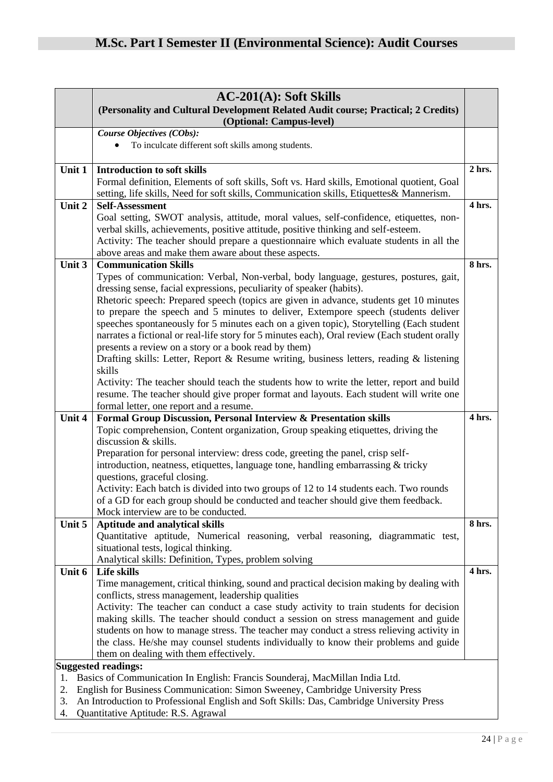|                                                                                     | $AC-201(A)$ : Soft Skills                                                                                                                                                              |        |
|-------------------------------------------------------------------------------------|----------------------------------------------------------------------------------------------------------------------------------------------------------------------------------------|--------|
|                                                                                     | (Personality and Cultural Development Related Audit course; Practical; 2 Credits)                                                                                                      |        |
|                                                                                     | (Optional: Campus-level)                                                                                                                                                               |        |
|                                                                                     | Course Objectives (CObs):                                                                                                                                                              |        |
|                                                                                     | To inculcate different soft skills among students.                                                                                                                                     |        |
| Unit 1                                                                              | <b>Introduction to soft skills</b>                                                                                                                                                     | 2 hrs. |
|                                                                                     | Formal definition, Elements of soft skills, Soft vs. Hard skills, Emotional quotient, Goal<br>setting, life skills, Need for soft skills, Communication skills, Etiquettes& Mannerism. |        |
| Unit 2                                                                              | <b>Self-Assessment</b>                                                                                                                                                                 | 4 hrs. |
|                                                                                     | Goal setting, SWOT analysis, attitude, moral values, self-confidence, etiquettes, non-                                                                                                 |        |
|                                                                                     | verbal skills, achievements, positive attitude, positive thinking and self-esteem.                                                                                                     |        |
|                                                                                     | Activity: The teacher should prepare a questionnaire which evaluate students in all the                                                                                                |        |
| Unit 3                                                                              | above areas and make them aware about these aspects.<br><b>Communication Skills</b>                                                                                                    | 8 hrs. |
|                                                                                     | Types of communication: Verbal, Non-verbal, body language, gestures, postures, gait,                                                                                                   |        |
|                                                                                     | dressing sense, facial expressions, peculiarity of speaker (habits).                                                                                                                   |        |
|                                                                                     | Rhetoric speech: Prepared speech (topics are given in advance, students get 10 minutes                                                                                                 |        |
|                                                                                     | to prepare the speech and 5 minutes to deliver, Extempore speech (students deliver                                                                                                     |        |
|                                                                                     | speeches spontaneously for 5 minutes each on a given topic), Storytelling (Each student                                                                                                |        |
|                                                                                     | narrates a fictional or real-life story for 5 minutes each), Oral review (Each student orally                                                                                          |        |
|                                                                                     | presents a review on a story or a book read by them)                                                                                                                                   |        |
|                                                                                     | Drafting skills: Letter, Report & Resume writing, business letters, reading & listening                                                                                                |        |
|                                                                                     | skills                                                                                                                                                                                 |        |
|                                                                                     | Activity: The teacher should teach the students how to write the letter, report and build                                                                                              |        |
|                                                                                     | resume. The teacher should give proper format and layouts. Each student will write one                                                                                                 |        |
|                                                                                     | formal letter, one report and a resume.                                                                                                                                                | 4 hrs. |
| Unit 4                                                                              | Formal Group Discussion, Personal Interview & Presentation skills<br>Topic comprehension, Content organization, Group speaking etiquettes, driving the                                 |        |
|                                                                                     | discussion & skills.                                                                                                                                                                   |        |
|                                                                                     | Preparation for personal interview: dress code, greeting the panel, crisp self-                                                                                                        |        |
|                                                                                     | introduction, neatness, etiquettes, language tone, handling embarrassing & tricky                                                                                                      |        |
|                                                                                     | questions, graceful closing.                                                                                                                                                           |        |
|                                                                                     | Activity: Each batch is divided into two groups of 12 to 14 students each. Two rounds                                                                                                  |        |
|                                                                                     | of a GD for each group should be conducted and teacher should give them feedback.                                                                                                      |        |
|                                                                                     | Mock interview are to be conducted.                                                                                                                                                    |        |
| Unit 5                                                                              | <b>Aptitude and analytical skills</b>                                                                                                                                                  | 8 hrs. |
|                                                                                     | Quantitative aptitude, Numerical reasoning, verbal reasoning, diagrammatic test,                                                                                                       |        |
|                                                                                     | situational tests, logical thinking.                                                                                                                                                   |        |
|                                                                                     | Analytical skills: Definition, Types, problem solving                                                                                                                                  |        |
| Unit 6                                                                              | Life skills                                                                                                                                                                            | 4 hrs. |
|                                                                                     | Time management, critical thinking, sound and practical decision making by dealing with<br>conflicts, stress management, leadership qualities                                          |        |
|                                                                                     | Activity: The teacher can conduct a case study activity to train students for decision                                                                                                 |        |
|                                                                                     | making skills. The teacher should conduct a session on stress management and guide                                                                                                     |        |
|                                                                                     | students on how to manage stress. The teacher may conduct a stress relieving activity in                                                                                               |        |
|                                                                                     | the class. He/she may counsel students individually to know their problems and guide                                                                                                   |        |
|                                                                                     | them on dealing with them effectively.                                                                                                                                                 |        |
|                                                                                     | <b>Suggested readings:</b>                                                                                                                                                             |        |
| 1.                                                                                  | Basics of Communication In English: Francis Sounderaj, MacMillan India Ltd.                                                                                                            |        |
| English for Business Communication: Simon Sweeney, Cambridge University Press<br>2. |                                                                                                                                                                                        |        |
| 3.                                                                                  | An Introduction to Professional English and Soft Skills: Das, Cambridge University Press                                                                                               |        |
| 4.                                                                                  | Quantitative Aptitude: R.S. Agrawal                                                                                                                                                    |        |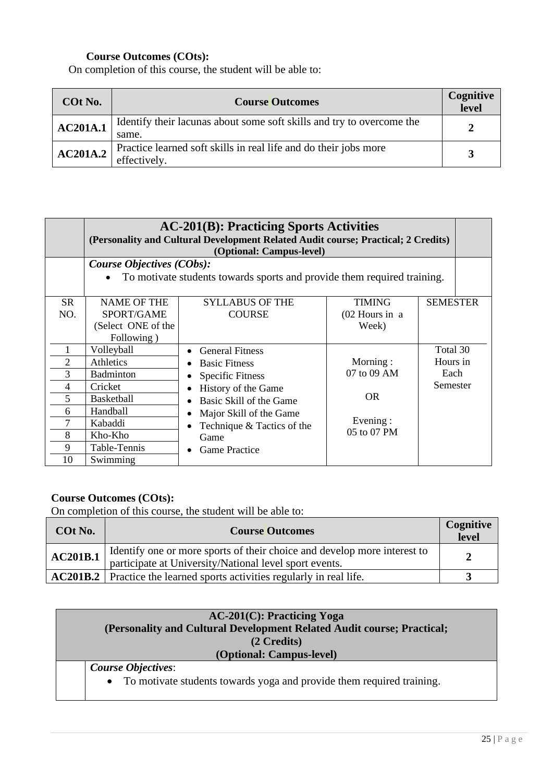On completion of this course, the student will be able to:

| COt No.         | <b>Course Outcomes</b>                                                           | Cognitive<br>level |
|-----------------|----------------------------------------------------------------------------------|--------------------|
| <b>AC201A.1</b> | Identify their lacunas about some soft skills and try to overcome the<br>same.   | 2                  |
| AC201A.2        | Practice learned soft skills in real life and do their jobs more<br>effectively. | $\mathbf{z}$       |

|                             | <b>AC-201(B): Practicing Sports Activities</b><br>(Personality and Cultural Development Related Audit course; Practical; 2 Credits)<br>(Optional: Campus-level) |                                                                                                                                                                                                                      |                                                                 |                                          |  |  |
|-----------------------------|-----------------------------------------------------------------------------------------------------------------------------------------------------------------|----------------------------------------------------------------------------------------------------------------------------------------------------------------------------------------------------------------------|-----------------------------------------------------------------|------------------------------------------|--|--|
|                             | <b>Course Objectives (CObs):</b><br>To motivate students towards sports and provide them required training.                                                     |                                                                                                                                                                                                                      |                                                                 |                                          |  |  |
| <b>SR</b><br>NO.            | <b>NAME OF THE</b><br>SPORT/GAME<br>(Select ONE of the<br>Following)                                                                                            | <b>SYLLABUS OF THE</b><br><b>COURSE</b>                                                                                                                                                                              | <b>TIMING</b><br>(02 Hours in a<br>Week)                        | <b>SEMESTER</b>                          |  |  |
| 4<br>5<br>6<br>8<br>9<br>10 | Volleyball<br>Athletics<br><b>Badminton</b><br>Cricket<br><b>Basketball</b><br>Handball<br>Kabaddi<br>Kho-Kho<br>Table-Tennis<br>Swimming                       | <b>General Fitness</b><br><b>Basic Fitness</b><br><b>Specific Fitness</b><br>History of the Game<br>Basic Skill of the Game<br>Major Skill of the Game<br>Technique & Tactics of the<br>Game<br><b>Game Practice</b> | Morning:<br>07 to 09 AM<br><b>OR</b><br>Evening:<br>05 to 07 PM | Total 30<br>Hours in<br>Each<br>Semester |  |  |

## **Course Outcomes (COts):**

On completion of this course, the student will be able to:

| COt No.  | Cognitive<br><b>Course Outcomes</b>                                                                                                |  |
|----------|------------------------------------------------------------------------------------------------------------------------------------|--|
| AC201B.1 | Identify one or more sports of their choice and develop more interest to<br>participate at University/National level sport events. |  |
|          | <b>AC201B.2</b> Practice the learned sports activities regularly in real life.                                                     |  |

| $AC-201(C)$ : Practicing Yoga                                                      |  |  |  |
|------------------------------------------------------------------------------------|--|--|--|
| (Personality and Cultural Development Related Audit course; Practical;             |  |  |  |
| (2 Credits)                                                                        |  |  |  |
| (Optional: Campus-level)                                                           |  |  |  |
| <b>Course Objectives:</b>                                                          |  |  |  |
| To motivate students towards yoga and provide them required training.<br>$\bullet$ |  |  |  |
|                                                                                    |  |  |  |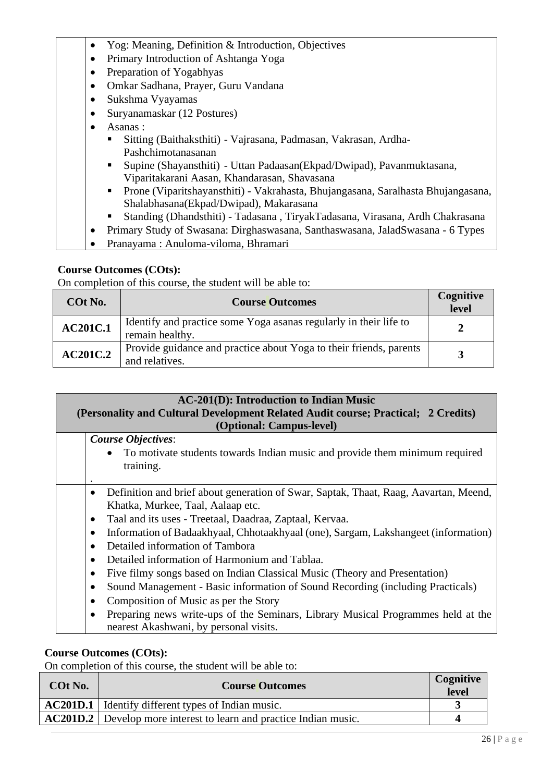|  |  |  | Yog: Meaning, Definition & Introduction, Objectives |  |
|--|--|--|-----------------------------------------------------|--|
|--|--|--|-----------------------------------------------------|--|

- Primary Introduction of Ashtanga Yoga
- Preparation of Yogabhyas
- Omkar Sadhana, Prayer, Guru Vandana
- Sukshma Vyayamas
- Suryanamaskar (12 Postures)
- Asanas :
	- Sitting (Baithaksthiti) Vajrasana, Padmasan, Vakrasan, Ardha-Pashchimotanasanan
	- Supine (Shayansthiti) Uttan Padaasan(Ekpad/Dwipad), Pavanmuktasana, Viparitakarani Aasan, Khandarasan, Shavasana
	- Prone (Viparitshayansthiti) Vakrahasta, Bhujangasana, Saralhasta Bhujangasana, Shalabhasana(Ekpad/Dwipad), Makarasana
	- Standing (Dhandsthiti) Tadasana , TiryakTadasana, Virasana, Ardh Chakrasana
- Primary Study of Swasana: Dirghaswasana, Santhaswasana, JaladSwasana 6 Types
- Pranayama : Anuloma-viloma, Bhramari

On completion of this course, the student will be able to:

| COt No.         | <b>Course Outcomes</b>                                                               | Cognitive<br>level |
|-----------------|--------------------------------------------------------------------------------------|--------------------|
| <b>AC201C.1</b> | Identify and practice some Yoga as a regularly in their life to<br>remain healthy.   |                    |
| <b>AC201C.2</b> | Provide guidance and practice about Yoga to their friends, parents<br>and relatives. |                    |

| <b>AC-201(D): Introduction to Indian Music</b><br>(Personality and Cultural Development Related Audit course; Practical; 2 Credits)<br>(Optional: Campus-level) |
|-----------------------------------------------------------------------------------------------------------------------------------------------------------------|
| <b>Course Objectives:</b><br>• To motivate students towards Indian music and provide them minimum required                                                      |
| training.                                                                                                                                                       |
| Definition and brief about generation of Swar, Saptak, Thaat, Raag, Aavartan, Meend,<br>Khatka, Murkee, Taal, Aalaap etc.                                       |
| Taal and its uses - Treetaal, Daadraa, Zaptaal, Kervaa.<br>$\bullet$                                                                                            |
| Information of Badaakhyaal, Chhotaakhyaal (one), Sargam, Lakshangeet (information)<br>$\bullet$                                                                 |
| Detailed information of Tambora                                                                                                                                 |
| Detailed information of Harmonium and Tablaa.                                                                                                                   |
| Five filmy songs based on Indian Classical Music (Theory and Presentation)                                                                                      |
| Sound Management - Basic information of Sound Recording (including Practicals)                                                                                  |
| Composition of Music as per the Story                                                                                                                           |
| Preparing news write-ups of the Seminars, Library Musical Programmes held at the<br>nearest Akashwani, by personal visits.                                      |

#### **Course Outcomes (COts):**

On completion of this course, the student will be able to:

| COt No. | <b>Cognitive</b><br><b>Course Outcomes</b>                                |  |
|---------|---------------------------------------------------------------------------|--|
|         | <b>AC201D.1</b>   Identify different types of Indian music.               |  |
|         | <b>AC201D.2</b> Develop more interest to learn and practice Indian music. |  |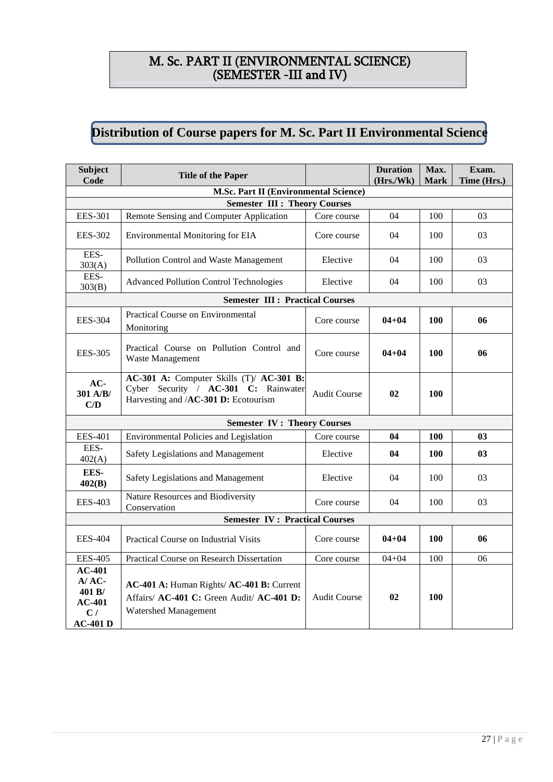# M. Sc. PART II (ENVIRONMENTAL SCIENCE) (SEMESTER -III and IV)

#### **Distribution of Course papers for M. Sc. Part II Environmental Science**

| <b>Subject</b><br>Code                                              | <b>Title of the Paper</b>                                                                                                |                     | <b>Duration</b><br>(Hrs./Wk) | Max.<br><b>Mark</b> | Exam.<br>Time (Hrs.) |
|---------------------------------------------------------------------|--------------------------------------------------------------------------------------------------------------------------|---------------------|------------------------------|---------------------|----------------------|
|                                                                     | <b>M.Sc. Part II (Environmental Science)</b>                                                                             |                     |                              |                     |                      |
| <b>EES-301</b>                                                      | <b>Semester III : Theory Courses</b><br>Remote Sensing and Computer Application                                          | Core course         | 04                           | 100                 | 03                   |
|                                                                     |                                                                                                                          |                     |                              |                     |                      |
| <b>EES-302</b>                                                      | <b>Environmental Monitoring for EIA</b>                                                                                  | Core course         | 04                           | 100                 | 03                   |
| EES-<br>303(A)                                                      | Pollution Control and Waste Management                                                                                   | Elective            | 04                           | 100                 | 03                   |
| EES-<br>303(B)                                                      | <b>Advanced Pollution Control Technologies</b>                                                                           | Elective            | 04                           | 100                 | 03                   |
|                                                                     | <b>Semester III : Practical Courses</b>                                                                                  |                     |                              |                     |                      |
| <b>EES-304</b>                                                      | Practical Course on Environmental<br>Monitoring                                                                          | Core course         | $04 + 04$                    | 100                 | 06                   |
| <b>EES-305</b>                                                      | Practical Course on Pollution Control and<br>Waste Management                                                            | Core course         | $04 + 04$                    | 100                 | 06                   |
| $AC-$<br>301 A/B/<br>C/D                                            | AC-301 A: Computer Skills (T)/ AC-301 B:<br>Cyber Security / AC-301 C: Rainwater<br>Harvesting and /AC-301 D: Ecotourism | <b>Audit Course</b> | 02                           | <b>100</b>          |                      |
|                                                                     | <b>Semester IV: Theory Courses</b>                                                                                       |                     |                              |                     |                      |
| <b>EES-401</b>                                                      | Environmental Policies and Legislation                                                                                   | Core course         | 04                           | <b>100</b>          | 0 <sub>3</sub>       |
| EES-<br>402(A)                                                      | Safety Legislations and Management                                                                                       | Elective            | 04                           | 100                 | 0 <sub>3</sub>       |
| EES-<br>402(B)                                                      | Safety Legislations and Management                                                                                       | Elective            | 04                           | 100                 | 03                   |
| <b>EES-403</b>                                                      | Nature Resources and Biodiversity<br>Conservation                                                                        | Core course         | 04                           | 100                 | 03                   |
| <b>Semester IV: Practical Courses</b>                               |                                                                                                                          |                     |                              |                     |                      |
| <b>EES-404</b>                                                      | Practical Course on Industrial Visits                                                                                    | Core course         | $04 + 04$                    | 100                 | 06                   |
| <b>EES-405</b>                                                      | Practical Course on Research Dissertation                                                                                | Core course         | $04 + 04$                    | 100                 | 06                   |
| $AC-401$<br>$A/AC$ -<br>401 B/<br>$AC-401$<br>C/<br><b>AC-401 D</b> | AC-401 A: Human Rights/ AC-401 B: Current<br>Affairs/ AC-401 C: Green Audit/ AC-401 D:<br>Watershed Management           | <b>Audit Course</b> | 02                           | 100                 |                      |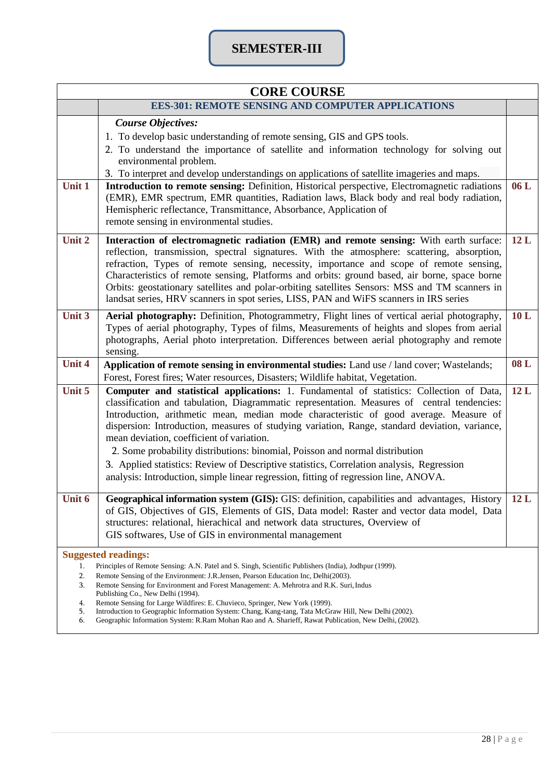# **SEMESTER-III**

| <b>CORE COURSE</b>                                                                                                                                                                                                                                                                                                                                                                                                                                                                                                                                                                                                                                                                           |                                                                                                                                                                                                                                                                                                                                                                                                                                                                                                                                                                                                                                                                                                      |     |  |  |  |
|----------------------------------------------------------------------------------------------------------------------------------------------------------------------------------------------------------------------------------------------------------------------------------------------------------------------------------------------------------------------------------------------------------------------------------------------------------------------------------------------------------------------------------------------------------------------------------------------------------------------------------------------------------------------------------------------|------------------------------------------------------------------------------------------------------------------------------------------------------------------------------------------------------------------------------------------------------------------------------------------------------------------------------------------------------------------------------------------------------------------------------------------------------------------------------------------------------------------------------------------------------------------------------------------------------------------------------------------------------------------------------------------------------|-----|--|--|--|
|                                                                                                                                                                                                                                                                                                                                                                                                                                                                                                                                                                                                                                                                                              | <b>EES-301: REMOTE SENSING AND COMPUTER APPLICATIONS</b>                                                                                                                                                                                                                                                                                                                                                                                                                                                                                                                                                                                                                                             |     |  |  |  |
| Unit 1                                                                                                                                                                                                                                                                                                                                                                                                                                                                                                                                                                                                                                                                                       | <b>Course Objectives:</b><br>1. To develop basic understanding of remote sensing, GIS and GPS tools.<br>2. To understand the importance of satellite and information technology for solving out<br>environmental problem.<br>3. To interpret and develop understandings on applications of satellite imageries and maps.<br>Introduction to remote sensing: Definition, Historical perspective, Electromagnetic radiations<br>(EMR), EMR spectrum, EMR quantities, Radiation laws, Black body and real body radiation,<br>Hemispheric reflectance, Transmittance, Absorbance, Application of<br>remote sensing in environmental studies.                                                             | 06L |  |  |  |
| Unit 2                                                                                                                                                                                                                                                                                                                                                                                                                                                                                                                                                                                                                                                                                       | Interaction of electromagnetic radiation (EMR) and remote sensing: With earth surface:<br>reflection, transmission, spectral signatures. With the atmosphere: scattering, absorption,<br>refraction, Types of remote sensing, necessity, importance and scope of remote sensing,<br>Characteristics of remote sensing, Platforms and orbits: ground based, air borne, space borne<br>Orbits: geostationary satellites and polar-orbiting satellites Sensors: MSS and TM scanners in<br>landsat series, HRV scanners in spot series, LISS, PAN and WiFS scanners in IRS series                                                                                                                        | 12L |  |  |  |
| Unit 3                                                                                                                                                                                                                                                                                                                                                                                                                                                                                                                                                                                                                                                                                       | Aerial photography: Definition, Photogrammetry, Flight lines of vertical aerial photography,<br>Types of aerial photography, Types of films, Measurements of heights and slopes from aerial<br>photographs, Aerial photo interpretation. Differences between aerial photography and remote<br>sensing.                                                                                                                                                                                                                                                                                                                                                                                               | 10L |  |  |  |
| <b>Unit 4</b>                                                                                                                                                                                                                                                                                                                                                                                                                                                                                                                                                                                                                                                                                | Application of remote sensing in environmental studies: Land use / land cover; Wastelands;<br>Forest, Forest fires; Water resources, Disasters; Wildlife habitat, Vegetation.                                                                                                                                                                                                                                                                                                                                                                                                                                                                                                                        | 08L |  |  |  |
| Unit 5                                                                                                                                                                                                                                                                                                                                                                                                                                                                                                                                                                                                                                                                                       | Computer and statistical applications: 1. Fundamental of statistics: Collection of Data,<br>classification and tabulation, Diagrammatic representation. Measures of central tendencies:<br>Introduction, arithmetic mean, median mode characteristic of good average. Measure of<br>dispersion: Introduction, measures of studying variation, Range, standard deviation, variance,<br>mean deviation, coefficient of variation.<br>2. Some probability distributions: binomial, Poisson and normal distribution<br>3. Applied statistics: Review of Descriptive statistics, Correlation analysis, Regression<br>analysis: Introduction, simple linear regression, fitting of regression line, ANOVA. | 12L |  |  |  |
| Unit 6                                                                                                                                                                                                                                                                                                                                                                                                                                                                                                                                                                                                                                                                                       | Geographical information system (GIS): GIS: definition, capabilities and advantages, History<br>of GIS, Objectives of GIS, Elements of GIS, Data model: Raster and vector data model, Data<br>structures: relational, hierachical and network data structures, Overview of<br>GIS softwares, Use of GIS in environmental management                                                                                                                                                                                                                                                                                                                                                                  | 12L |  |  |  |
| <b>Suggested readings:</b><br>Principles of Remote Sensing: A.N. Patel and S. Singh, Scientific Publishers (India), Jodhpur (1999).<br>1.<br>2.<br>Remote Sensing of the Environment: J.R.Jensen, Pearson Education Inc, Delhi(2003).<br>Remote Sensing for Environment and Forest Management: A. Mehrotra and R.K. Suri, Indus<br>3.<br>Publishing Co., New Delhi (1994).<br>Remote Sensing for Large Wildfires: E. Chuvieco, Springer, New York (1999).<br>4.<br>5.<br>Introduction to Geographic Information System: Chang, Kang-tang, Tata McGraw Hill, New Delhi (2002).<br>6.<br>Geographic Information System: R.Ram Mohan Rao and A. Sharieff, Rawat Publication, New Delhi, (2002). |                                                                                                                                                                                                                                                                                                                                                                                                                                                                                                                                                                                                                                                                                                      |     |  |  |  |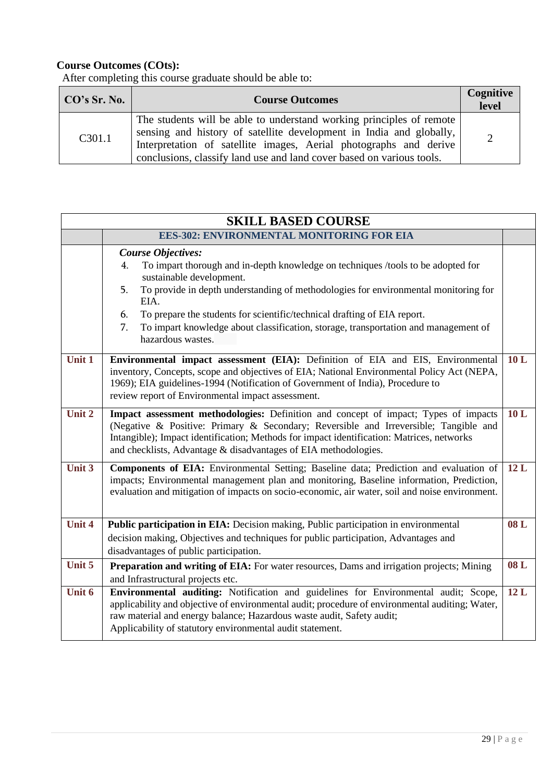| CO's Sr. No. | <b>Course Outcomes</b>                                                                                                                                                                                                                                                                    |               |
|--------------|-------------------------------------------------------------------------------------------------------------------------------------------------------------------------------------------------------------------------------------------------------------------------------------------|---------------|
| C301.1       | The students will be able to understand working principles of remote<br>sensing and history of satellite development in India and globally,<br>Interpretation of satellite images, Aerial photographs and derive<br>conclusions, classify land use and land cover based on various tools. | $\mathcal{D}$ |

|               | <b>SKILL BASED COURSE</b>                                                                                                                                                                                                                                                                                                                                                                                                                                |     |  |  |
|---------------|----------------------------------------------------------------------------------------------------------------------------------------------------------------------------------------------------------------------------------------------------------------------------------------------------------------------------------------------------------------------------------------------------------------------------------------------------------|-----|--|--|
|               | <b>EES-302: ENVIRONMENTAL MONITORING FOR EIA</b>                                                                                                                                                                                                                                                                                                                                                                                                         |     |  |  |
|               | <b>Course Objectives:</b><br>To impart thorough and in-depth knowledge on techniques /tools to be adopted for<br>4.<br>sustainable development.<br>To provide in depth understanding of methodologies for environmental monitoring for<br>5.<br>EIA.<br>6.<br>To prepare the students for scientific/technical drafting of EIA report.<br>7.<br>To impart knowledge about classification, storage, transportation and management of<br>hazardous wastes. |     |  |  |
| Unit 1        | Environmental impact assessment (EIA): Definition of EIA and EIS, Environmental<br>inventory, Concepts, scope and objectives of EIA; National Environmental Policy Act (NEPA,<br>1969); EIA guidelines-1994 (Notification of Government of India), Procedure to<br>review report of Environmental impact assessment.                                                                                                                                     | 10L |  |  |
| Unit 2        | Impact assessment methodologies: Definition and concept of impact; Types of impacts<br>(Negative & Positive: Primary & Secondary; Reversible and Irreversible; Tangible and<br>Intangible); Impact identification; Methods for impact identification: Matrices, networks<br>and checklists, Advantage & disadvantages of EIA methodologies.                                                                                                              | 10L |  |  |
| Unit 3        | Components of EIA: Environmental Setting; Baseline data; Prediction and evaluation of<br>impacts; Environmental management plan and monitoring, Baseline information, Prediction,<br>evaluation and mitigation of impacts on socio-economic, air water, soil and noise environment.                                                                                                                                                                      | 12L |  |  |
| <b>Unit 4</b> | <b>Public participation in EIA:</b> Decision making, Public participation in environmental<br>decision making, Objectives and techniques for public participation, Advantages and<br>disadvantages of public participation.                                                                                                                                                                                                                              | 08L |  |  |
| Unit 5        | Preparation and writing of EIA: For water resources, Dams and irrigation projects; Mining<br>and Infrastructural projects etc.                                                                                                                                                                                                                                                                                                                           | 08L |  |  |
| Unit 6        | Environmental auditing: Notification and guidelines for Environmental audit; Scope,<br>applicability and objective of environmental audit; procedure of environmental auditing; Water,<br>raw material and energy balance; Hazardous waste audit, Safety audit;<br>Applicability of statutory environmental audit statement.                                                                                                                             | 12L |  |  |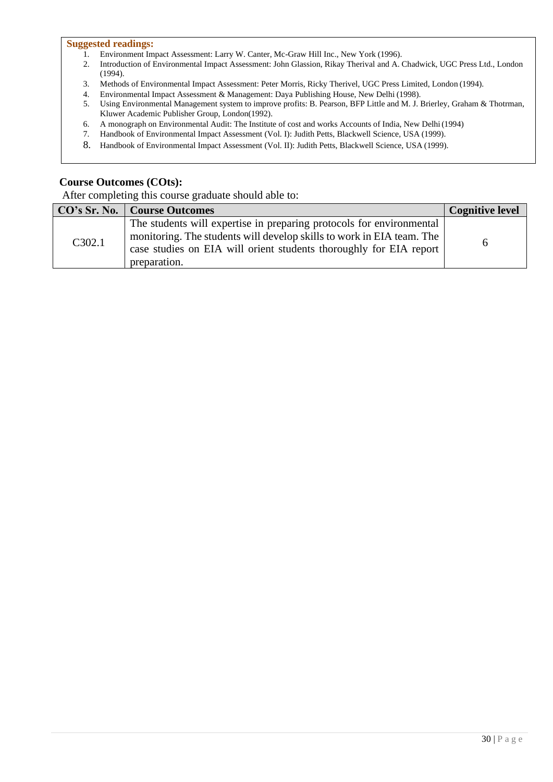#### **Suggested readings:**

- 1. Environment Impact Assessment: Larry W. Canter, Mc-Graw Hill Inc., New York (1996).
- 2. Introduction of Environmental Impact Assessment: John Glassion, Rikay Therival and A. Chadwick, UGC Press Ltd., London (1994).
- 
- 4. Environmental Impact Assessment & Management: Daya Publishing House, New Delhi (1998).
- 3. Methods of Environmental Impact Assessment: Peter Morris, Ricky Therivel, UGC Press Limited, London (1994).<br>4. Environmental Impact Assessment & Management: Daya Publishing House, New Delhi (1998).<br>5. Using Environmenta Using Environmental Management system to improve profits: B. Pearson, BFP Little and M. J. Brierley, Graham & Thotrman, Kluwer Academic Publisher Group, London(1992).
- 6. A monograph on Environmental Audit: The Institute of cost and works Accounts of India, New Delhi(1994)
- 7. Handbook of Environmental Impact Assessment (Vol. I): Judith Petts, Blackwell Science, USA (1999).
- 8. Handbook of Environmental Impact Assessment (Vol. II): Judith Petts, Blackwell Science, USA (1999).

#### **Course Outcomes (COts):**

|        | CO's Sr. No.   Course Outcomes                                                                                                                                                                                                      | <b>Cognitive level</b> |
|--------|-------------------------------------------------------------------------------------------------------------------------------------------------------------------------------------------------------------------------------------|------------------------|
| C302.1 | The students will expertise in preparing protocols for environmental<br>monitoring. The students will develop skills to work in EIA team. The<br>case studies on EIA will orient students thoroughly for EIA report<br>preparation. | n                      |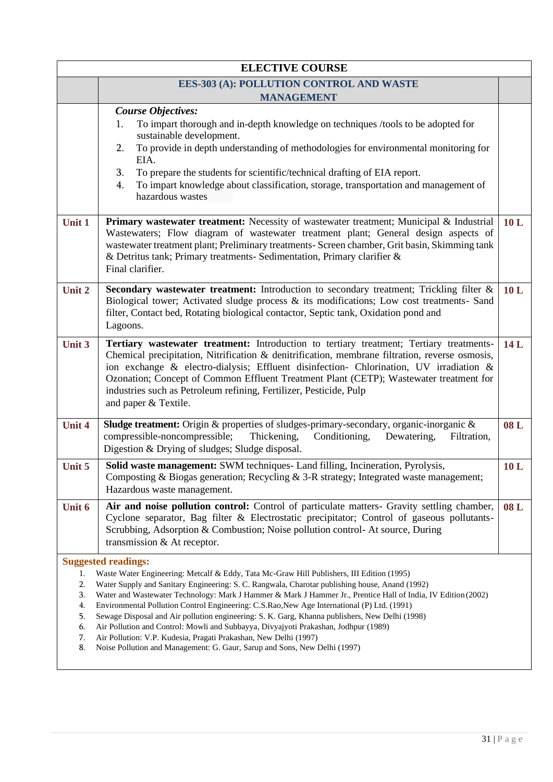| <b>ELECTIVE COURSE</b>                       |                                                                                                                                                                                                                                                                                                                                                                                                                                                                                                                                                                                                                                                                                                                                                                                     |     |
|----------------------------------------------|-------------------------------------------------------------------------------------------------------------------------------------------------------------------------------------------------------------------------------------------------------------------------------------------------------------------------------------------------------------------------------------------------------------------------------------------------------------------------------------------------------------------------------------------------------------------------------------------------------------------------------------------------------------------------------------------------------------------------------------------------------------------------------------|-----|
|                                              | EES-303 (A): POLLUTION CONTROL AND WASTE                                                                                                                                                                                                                                                                                                                                                                                                                                                                                                                                                                                                                                                                                                                                            |     |
|                                              | <b>MANAGEMENT</b>                                                                                                                                                                                                                                                                                                                                                                                                                                                                                                                                                                                                                                                                                                                                                                   |     |
|                                              | <b>Course Objectives:</b><br>To impart thorough and in-depth knowledge on techniques /tools to be adopted for<br>1.<br>sustainable development.<br>To provide in depth understanding of methodologies for environmental monitoring for<br>2.<br>EIA.<br>3.<br>To prepare the students for scientific/technical drafting of EIA report.<br>To impart knowledge about classification, storage, transportation and management of<br>4.<br>hazardous wastes                                                                                                                                                                                                                                                                                                                             |     |
| Unit 1                                       | <b>Primary wastewater treatment:</b> Necessity of wastewater treatment; Municipal & Industrial<br>Wastewaters; Flow diagram of wastewater treatment plant; General design aspects of<br>wastewater treatment plant; Preliminary treatments- Screen chamber, Grit basin, Skimming tank<br>& Detritus tank; Primary treatments- Sedimentation, Primary clarifier &<br>Final clarifier.                                                                                                                                                                                                                                                                                                                                                                                                | 10L |
| Unit 2                                       | <b>Secondary wastewater treatment:</b> Introduction to secondary treatment; Trickling filter &<br>Biological tower; Activated sludge process $\&$ its modifications; Low cost treatments- Sand<br>filter, Contact bed, Rotating biological contactor, Septic tank, Oxidation pond and<br>Lagoons.                                                                                                                                                                                                                                                                                                                                                                                                                                                                                   | 10L |
| Unit 3                                       | Tertiary wastewater treatment: Introduction to tertiary treatment; Tertiary treatments-<br>Chemical precipitation, Nitrification & denitrification, membrane filtration, reverse osmosis,<br>ion exchange & electro-dialysis; Effluent disinfection- Chlorination, UV irradiation &<br>Ozonation; Concept of Common Effluent Treatment Plant (CETP); Wastewater treatment for<br>industries such as Petroleum refining, Fertilizer, Pesticide, Pulp<br>and paper & Textile.                                                                                                                                                                                                                                                                                                         | 14L |
| <b>Unit 4</b>                                | Sludge treatment: Origin & properties of sludges-primary-secondary, organic-inorganic &<br>compressible-noncompressible;<br>Thickening,<br>Conditioning,<br>Dewatering,<br>Filtration,<br>Digestion & Drying of sludges; Sludge disposal.                                                                                                                                                                                                                                                                                                                                                                                                                                                                                                                                           | 08L |
| Unit 5                                       | Solid waste management: SWM techniques- Land filling, Incineration, Pyrolysis,<br>Composting & Biogas generation; Recycling & 3-R strategy; Integrated waste management;<br>Hazardous waste management.                                                                                                                                                                                                                                                                                                                                                                                                                                                                                                                                                                             | 10L |
| Unit 6                                       | Air and noise pollution control: Control of particulate matters- Gravity settling chamber,<br>Cyclone separator, Bag filter & Electrostatic precipitator; Control of gaseous pollutants-<br>Scrubbing, Adsorption & Combustion; Noise pollution control- At source, During<br>transmission & At receptor.                                                                                                                                                                                                                                                                                                                                                                                                                                                                           | 08L |
| 1.<br>2.<br>3.<br>4.<br>5.<br>6.<br>7.<br>8. | <b>Suggested readings:</b><br>Waste Water Engineering: Metcalf & Eddy, Tata Mc-Graw Hill Publishers, III Edition (1995)<br>Water Supply and Sanitary Engineering: S. C. Rangwala, Charotar publishing house, Anand (1992)<br>Water and Wastewater Technology: Mark J Hammer & Mark J Hammer Jr., Prentice Hall of India, IV Edition (2002)<br>Environmental Pollution Control Engineering: C.S.Rao, New Age International (P) Ltd. (1991)<br>Sewage Disposal and Air pollution engineering: S. K. Garg, Khanna publishers, New Delhi (1998)<br>Air Pollution and Control: Mowli and Subbayya, Divyajyoti Prakashan, Jodhpur (1989)<br>Air Pollution: V.P. Kudesia, Pragati Prakashan, New Delhi (1997)<br>Noise Pollution and Management: G. Gaur, Sarup and Sons, New Delhi (1997) |     |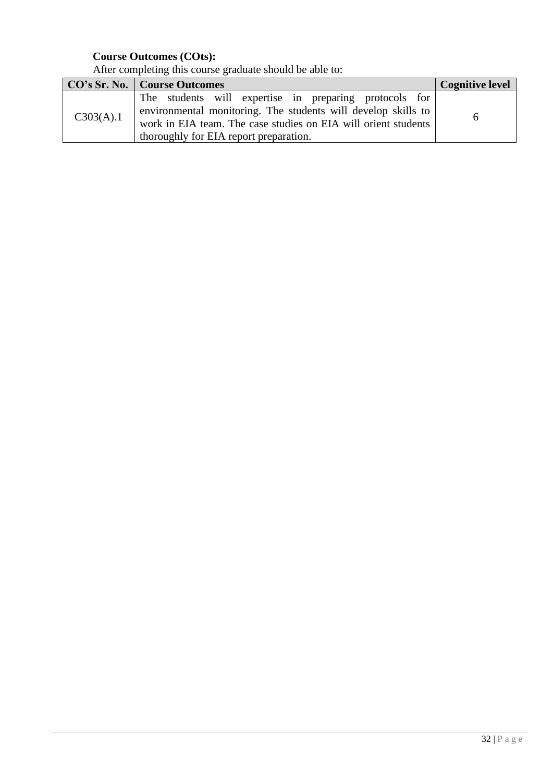|           | <b>CO's Sr. No.</b>   Course Outcomes                                                                                                                                                                                               | <b>Cognitive level</b> |
|-----------|-------------------------------------------------------------------------------------------------------------------------------------------------------------------------------------------------------------------------------------|------------------------|
| C303(A).1 | The students will expertise in preparing protocols for<br>environmental monitoring. The students will develop skills to<br>work in EIA team. The case studies on EIA will orient students<br>thoroughly for EIA report preparation. | <sub>0</sub>           |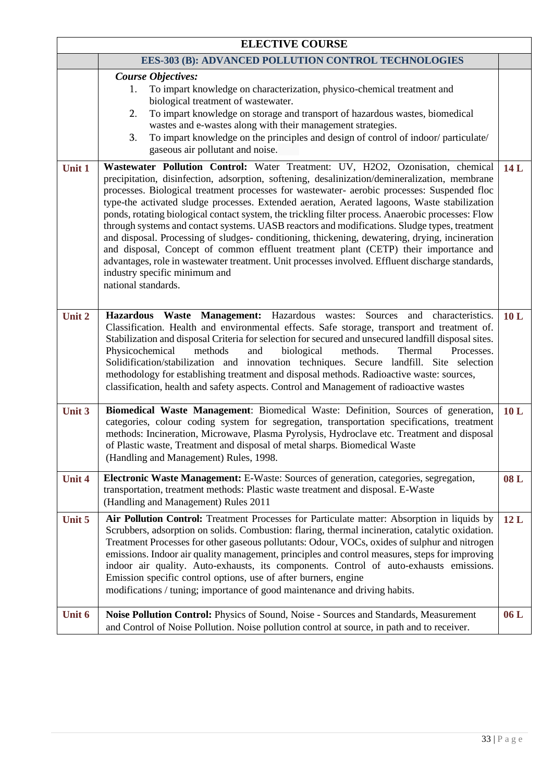| <b>ELECTIVE COURSE</b> |                                                                                                                                                                                                                                                                                                                                                                                                                                                                                                                                                                                                                                                                                                                                                                                                                                                                                                                                             |     |  |
|------------------------|---------------------------------------------------------------------------------------------------------------------------------------------------------------------------------------------------------------------------------------------------------------------------------------------------------------------------------------------------------------------------------------------------------------------------------------------------------------------------------------------------------------------------------------------------------------------------------------------------------------------------------------------------------------------------------------------------------------------------------------------------------------------------------------------------------------------------------------------------------------------------------------------------------------------------------------------|-----|--|
|                        | <b>EES-303 (B): ADVANCED POLLUTION CONTROL TECHNOLOGIES</b>                                                                                                                                                                                                                                                                                                                                                                                                                                                                                                                                                                                                                                                                                                                                                                                                                                                                                 |     |  |
|                        | <b>Course Objectives:</b><br>To impart knowledge on characterization, physico-chemical treatment and<br>1.<br>biological treatment of wastewater.<br>To impart knowledge on storage and transport of hazardous wastes, biomedical<br>2.<br>wastes and e-wastes along with their management strategies.<br>To impart knowledge on the principles and design of control of indoor/particulate/<br>3.<br>gaseous air pollutant and noise.                                                                                                                                                                                                                                                                                                                                                                                                                                                                                                      |     |  |
| Unit 1                 | Wastewater Pollution Control: Water Treatment: UV, H2O2, Ozonisation, chemical<br>precipitation, disinfection, adsorption, softening, desalinization/demineralization, membrane<br>processes. Biological treatment processes for wastewater- aerobic processes: Suspended floc<br>type-the activated sludge processes. Extended aeration, Aerated lagoons, Waste stabilization<br>ponds, rotating biological contact system, the trickling filter process. Anaerobic processes: Flow<br>through systems and contact systems. UASB reactors and modifications. Sludge types, treatment<br>and disposal. Processing of sludges-conditioning, thickening, dewatering, drying, incineration<br>and disposal, Concept of common effluent treatment plant (CETP) their importance and<br>advantages, role in wastewater treatment. Unit processes involved. Effluent discharge standards,<br>industry specific minimum and<br>national standards. | 14L |  |
| Unit 2                 | Hazardous Waste Management: Hazardous wastes: Sources and characteristics.<br>10L<br>Classification. Health and environmental effects. Safe storage, transport and treatment of.<br>Stabilization and disposal Criteria for selection for secured and unsecured landfill disposal sites.<br>Physicochemical<br>methods<br>biological<br>methods.<br>Processes.<br>and<br>Thermal<br>Solidification/stabilization and innovation techniques. Secure landfill. Site selection<br>methodology for establishing treatment and disposal methods. Radioactive waste: sources,<br>classification, health and safety aspects. Control and Management of radioactive wastes                                                                                                                                                                                                                                                                          |     |  |
| Unit 3                 | Biomedical Waste Management: Biomedical Waste: Definition, Sources of generation,<br>categories, colour coding system for segregation, transportation specifications, treatment<br>methods: Incineration, Microwave, Plasma Pyrolysis, Hydroclave etc. Treatment and disposal<br>of Plastic waste, Treatment and disposal of metal sharps. Biomedical Waste<br>(Handling and Management) Rules, 1998.                                                                                                                                                                                                                                                                                                                                                                                                                                                                                                                                       | 10L |  |
| <b>Unit 4</b>          | Electronic Waste Management: E-Waste: Sources of generation, categories, segregation,<br>transportation, treatment methods: Plastic waste treatment and disposal. E-Waste<br>(Handling and Management) Rules 2011                                                                                                                                                                                                                                                                                                                                                                                                                                                                                                                                                                                                                                                                                                                           | 08L |  |
| Unit 5                 | Air Pollution Control: Treatment Processes for Particulate matter: Absorption in liquids by<br>Scrubbers, adsorption on solids. Combustion: flaring, thermal incineration, catalytic oxidation.<br>Treatment Processes for other gaseous pollutants: Odour, VOCs, oxides of sulphur and nitrogen<br>emissions. Indoor air quality management, principles and control measures, steps for improving<br>indoor air quality. Auto-exhausts, its components. Control of auto-exhausts emissions.<br>Emission specific control options, use of after burners, engine<br>modifications / tuning; importance of good maintenance and driving habits.                                                                                                                                                                                                                                                                                               | 12L |  |
| Unit 6                 | Noise Pollution Control: Physics of Sound, Noise - Sources and Standards, Measurement<br>and Control of Noise Pollution. Noise pollution control at source, in path and to receiver.                                                                                                                                                                                                                                                                                                                                                                                                                                                                                                                                                                                                                                                                                                                                                        | 06L |  |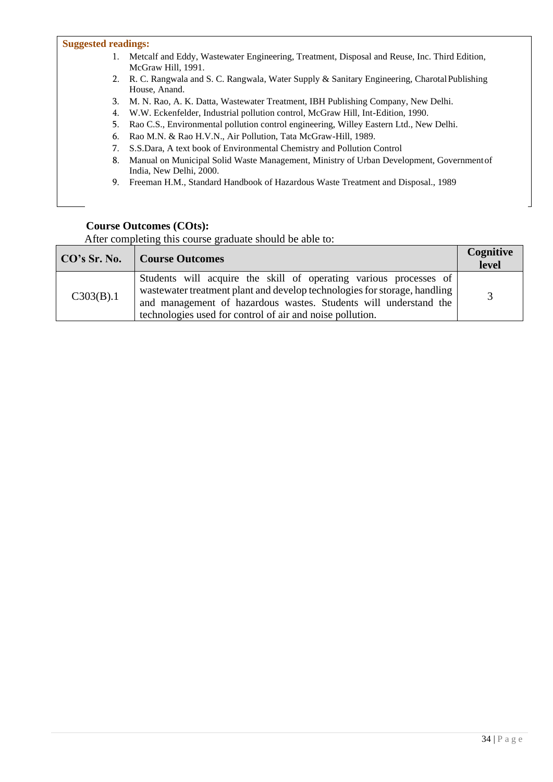#### **Suggested readings:**

- 1. Metcalf and Eddy, Wastewater Engineering, Treatment, Disposal and Reuse, Inc. Third Edition, McGraw Hill, 1991.
- 2. R. C. Rangwala and S. C. Rangwala, Water Supply & Sanitary Engineering, Charotal Publishing House, Anand.
- 3. M. N. Rao, A. K. Datta, Wastewater Treatment, IBH Publishing Company, New Delhi.
- 4. W.W. Eckenfelder, Industrial pollution control, McGraw Hill, Int-Edition, 1990.
- 5. Rao C.S., Environmental pollution control engineering, Willey Eastern Ltd., New Delhi.
- 6. Rao M.N. & Rao H.V.N., Air Pollution, Tata McGraw-Hill, 1989.
- 7. S.S.Dara, A text book of Environmental Chemistry and Pollution Control
- 8. Manual on Municipal Solid Waste Management, Ministry of Urban Development, Governmentof India, New Delhi, 2000.
- 9. Freeman H.M., Standard Handbook of Hazardous Waste Treatment and Disposal., 1989

#### **Course Outcomes (COts):**

| CO's Sr. No. | Course Outcomes                                                                                                                                                                                                                                                                 | Cognitive<br>level |
|--------------|---------------------------------------------------------------------------------------------------------------------------------------------------------------------------------------------------------------------------------------------------------------------------------|--------------------|
| C303(B).1    | Students will acquire the skill of operating various processes of<br>wastewater treatment plant and develop technologies for storage, handling<br>and management of hazardous wastes. Students will understand the<br>technologies used for control of air and noise pollution. |                    |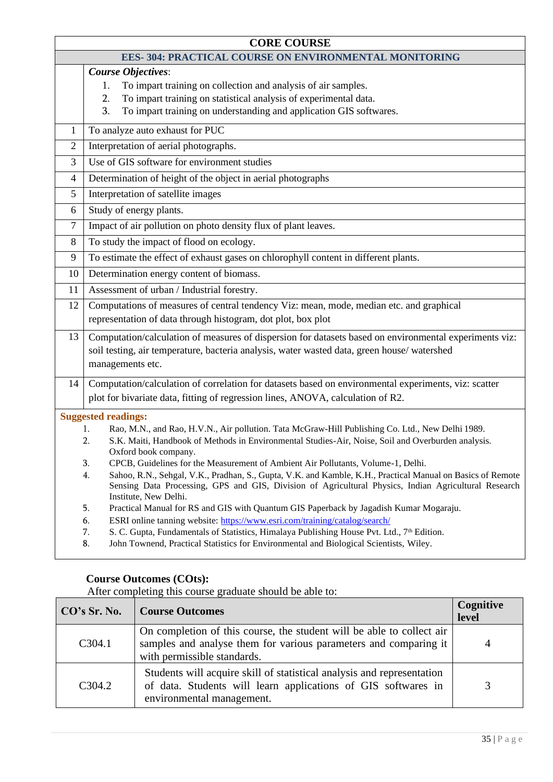| <b>CORE COURSE</b>                                                                                                                                                                                                                                                                                                                                                                                                                                                                                                                                                                                                                                                                                                                                                                                                                                                                                                                                                                                              |                                                                                                                                                                                                                                                        |  |  |
|-----------------------------------------------------------------------------------------------------------------------------------------------------------------------------------------------------------------------------------------------------------------------------------------------------------------------------------------------------------------------------------------------------------------------------------------------------------------------------------------------------------------------------------------------------------------------------------------------------------------------------------------------------------------------------------------------------------------------------------------------------------------------------------------------------------------------------------------------------------------------------------------------------------------------------------------------------------------------------------------------------------------|--------------------------------------------------------------------------------------------------------------------------------------------------------------------------------------------------------------------------------------------------------|--|--|
| <b>EES-304: PRACTICAL COURSE ON ENVIRONMENTAL MONITORING</b>                                                                                                                                                                                                                                                                                                                                                                                                                                                                                                                                                                                                                                                                                                                                                                                                                                                                                                                                                    |                                                                                                                                                                                                                                                        |  |  |
|                                                                                                                                                                                                                                                                                                                                                                                                                                                                                                                                                                                                                                                                                                                                                                                                                                                                                                                                                                                                                 | <b>Course Objectives:</b><br>To impart training on collection and analysis of air samples.<br>1.<br>To impart training on statistical analysis of experimental data.<br>2.<br>3.<br>To impart training on understanding and application GIS softwares. |  |  |
| 1                                                                                                                                                                                                                                                                                                                                                                                                                                                                                                                                                                                                                                                                                                                                                                                                                                                                                                                                                                                                               | To analyze auto exhaust for PUC                                                                                                                                                                                                                        |  |  |
| $\overline{2}$                                                                                                                                                                                                                                                                                                                                                                                                                                                                                                                                                                                                                                                                                                                                                                                                                                                                                                                                                                                                  | Interpretation of aerial photographs.                                                                                                                                                                                                                  |  |  |
| 3                                                                                                                                                                                                                                                                                                                                                                                                                                                                                                                                                                                                                                                                                                                                                                                                                                                                                                                                                                                                               | Use of GIS software for environment studies                                                                                                                                                                                                            |  |  |
| 4                                                                                                                                                                                                                                                                                                                                                                                                                                                                                                                                                                                                                                                                                                                                                                                                                                                                                                                                                                                                               | Determination of height of the object in aerial photographs                                                                                                                                                                                            |  |  |
| 5                                                                                                                                                                                                                                                                                                                                                                                                                                                                                                                                                                                                                                                                                                                                                                                                                                                                                                                                                                                                               | Interpretation of satellite images                                                                                                                                                                                                                     |  |  |
| 6                                                                                                                                                                                                                                                                                                                                                                                                                                                                                                                                                                                                                                                                                                                                                                                                                                                                                                                                                                                                               | Study of energy plants.                                                                                                                                                                                                                                |  |  |
| 7                                                                                                                                                                                                                                                                                                                                                                                                                                                                                                                                                                                                                                                                                                                                                                                                                                                                                                                                                                                                               | Impact of air pollution on photo density flux of plant leaves.                                                                                                                                                                                         |  |  |
| 8                                                                                                                                                                                                                                                                                                                                                                                                                                                                                                                                                                                                                                                                                                                                                                                                                                                                                                                                                                                                               | To study the impact of flood on ecology.                                                                                                                                                                                                               |  |  |
| 9                                                                                                                                                                                                                                                                                                                                                                                                                                                                                                                                                                                                                                                                                                                                                                                                                                                                                                                                                                                                               | To estimate the effect of exhaust gases on chlorophyll content in different plants.                                                                                                                                                                    |  |  |
| 10                                                                                                                                                                                                                                                                                                                                                                                                                                                                                                                                                                                                                                                                                                                                                                                                                                                                                                                                                                                                              | Determination energy content of biomass.                                                                                                                                                                                                               |  |  |
| 11                                                                                                                                                                                                                                                                                                                                                                                                                                                                                                                                                                                                                                                                                                                                                                                                                                                                                                                                                                                                              | Assessment of urban / Industrial forestry.                                                                                                                                                                                                             |  |  |
| 12                                                                                                                                                                                                                                                                                                                                                                                                                                                                                                                                                                                                                                                                                                                                                                                                                                                                                                                                                                                                              | Computations of measures of central tendency Viz: mean, mode, median etc. and graphical<br>representation of data through histogram, dot plot, box plot                                                                                                |  |  |
| 13                                                                                                                                                                                                                                                                                                                                                                                                                                                                                                                                                                                                                                                                                                                                                                                                                                                                                                                                                                                                              | Computation/calculation of measures of dispersion for datasets based on environmental experiments viz:<br>soil testing, air temperature, bacteria analysis, water wasted data, green house/watershed<br>managements etc.                               |  |  |
| 14                                                                                                                                                                                                                                                                                                                                                                                                                                                                                                                                                                                                                                                                                                                                                                                                                                                                                                                                                                                                              | Computation/calculation of correlation for datasets based on environmental experiments, viz: scatter<br>plot for bivariate data, fitting of regression lines, ANOVA, calculation of R2.                                                                |  |  |
| <b>Suggested readings:</b><br>Rao, M.N., and Rao, H.V.N., Air pollution. Tata McGraw-Hill Publishing Co. Ltd., New Delhi 1989.<br>1.<br>2.<br>S.K. Maiti, Handbook of Methods in Environmental Studies-Air, Noise, Soil and Overburden analysis.<br>Oxford book company.<br>3.<br>CPCB, Guidelines for the Measurement of Ambient Air Pollutants, Volume-1, Delhi.<br>Sahoo, R.N., Sehgal, V.K., Pradhan, S., Gupta, V.K. and Kamble, K.H., Practical Manual on Basics of Remote<br>4.<br>Sensing Data Processing, GPS and GIS, Division of Agricultural Physics, Indian Agricultural Research<br>Institute, New Delhi.<br>Practical Manual for RS and GIS with Quantum GIS Paperback by Jagadish Kumar Mogaraju.<br>5.<br>ESRI online tanning website: https://www.esri.com/training/catalog/search/<br>6.<br>S. C. Gupta, Fundamentals of Statistics, Himalaya Publishing House Pvt. Ltd., 7th Edition.<br>7.<br>John Townend, Practical Statistics for Environmental and Biological Scientists, Wiley.<br>8. |                                                                                                                                                                                                                                                        |  |  |

| CO's Sr. No.        | <b>Course Outcomes</b>                                                                                                                                                   | Cognitive<br>level |
|---------------------|--------------------------------------------------------------------------------------------------------------------------------------------------------------------------|--------------------|
| C <sub>3</sub> 04.1 | On completion of this course, the student will be able to collect air<br>samples and analyse them for various parameters and comparing it<br>with permissible standards. |                    |
| C <sub>3</sub> 04.2 | Students will acquire skill of statistical analysis and representation<br>of data. Students will learn applications of GIS softwares in<br>environmental management.     |                    |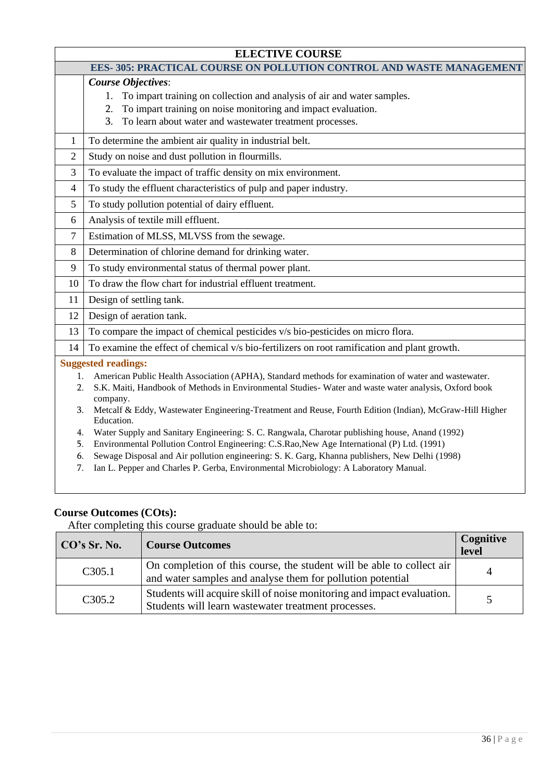| <b>ELECTIVE COURSE</b>                                                     |                                                                                                                     |  |
|----------------------------------------------------------------------------|---------------------------------------------------------------------------------------------------------------------|--|
| <b>EES-305: PRACTICAL COURSE ON POLLUTION CONTROL AND WASTE MANAGEMENT</b> |                                                                                                                     |  |
|                                                                            | <b>Course Objectives:</b>                                                                                           |  |
|                                                                            | To impart training on collection and analysis of air and water samples.<br>1.                                       |  |
|                                                                            | To impart training on noise monitoring and impact evaluation.<br>2.                                                 |  |
|                                                                            | To learn about water and wastewater treatment processes.<br>3.                                                      |  |
| 1                                                                          | To determine the ambient air quality in industrial belt.                                                            |  |
| $\overline{2}$                                                             | Study on noise and dust pollution in flourmills.                                                                    |  |
| 3                                                                          | To evaluate the impact of traffic density on mix environment.                                                       |  |
| $\overline{4}$                                                             | To study the effluent characteristics of pulp and paper industry.                                                   |  |
| 5                                                                          | To study pollution potential of dairy effluent.                                                                     |  |
| 6                                                                          | Analysis of textile mill effluent.                                                                                  |  |
| 7                                                                          | Estimation of MLSS, MLVSS from the sewage.                                                                          |  |
| 8                                                                          | Determination of chlorine demand for drinking water.                                                                |  |
| 9                                                                          | To study environmental status of thermal power plant.                                                               |  |
| 10                                                                         | To draw the flow chart for industrial effluent treatment.                                                           |  |
| 11                                                                         | Design of settling tank.                                                                                            |  |
| 12                                                                         | Design of aeration tank.                                                                                            |  |
| 13                                                                         | To compare the impact of chemical pesticides v/s bio-pesticides on micro flora.                                     |  |
| 14                                                                         | To examine the effect of chemical v/s bio-fertilizers on root ramification and plant growth.                        |  |
|                                                                            | <b>Suggested readings:</b>                                                                                          |  |
| 1.                                                                         | American Public Health Association (APHA), Standard methods for examination of water and wastewater.                |  |
| 2.                                                                         | S.K. Maiti, Handbook of Methods in Environmental Studies-Water and waste water analysis, Oxford book                |  |
| 3.                                                                         | company.<br>Metcalf & Eddy, Wastewater Engineering-Treatment and Reuse, Fourth Edition (Indian), McGraw-Hill Higher |  |
|                                                                            | Education.                                                                                                          |  |
| 4.                                                                         | Water Supply and Sanitary Engineering: S. C. Rangwala, Charotar publishing house, Anand (1992)                      |  |
| 5.                                                                         | Environmental Pollution Control Engineering: C.S.Rao, New Age International (P) Ltd. (1991)                         |  |
| 6.                                                                         | Sewage Disposal and Air pollution engineering: S. K. Garg, Khanna publishers, New Delhi (1998)                      |  |
| 7.                                                                         | Ian L. Pepper and Charles P. Gerba, Environmental Microbiology: A Laboratory Manual.                                |  |

| CO's Sr. No.                                                                                                                                         | <b>Course Outcomes</b>                                                                                                              | Cognitive<br>level |
|------------------------------------------------------------------------------------------------------------------------------------------------------|-------------------------------------------------------------------------------------------------------------------------------------|--------------------|
| C305.1                                                                                                                                               | On completion of this course, the student will be able to collect air<br>and water samples and analyse them for pollution potential |                    |
| Students will acquire skill of noise monitoring and impact evaluation.<br>C <sub>3</sub> 05.2<br>Students will learn wastewater treatment processes. |                                                                                                                                     |                    |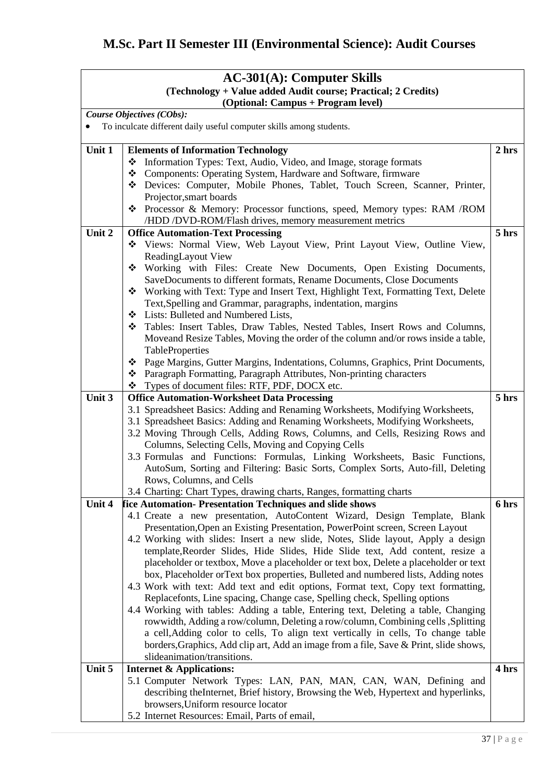# **M.Sc. Part II Semester III (Environmental Science): Audit Courses**

| $AC-301(A)$ : Computer Skills                                 |                                                                                                                                                                         |       |
|---------------------------------------------------------------|-------------------------------------------------------------------------------------------------------------------------------------------------------------------------|-------|
| (Technology + Value added Audit course; Practical; 2 Credits) |                                                                                                                                                                         |       |
| (Optional: Campus + Program level)                            |                                                                                                                                                                         |       |
|                                                               | Course Objectives (CObs):                                                                                                                                               |       |
|                                                               | To inculcate different daily useful computer skills among students.                                                                                                     |       |
|                                                               |                                                                                                                                                                         |       |
| Unit 1                                                        | <b>Elements of Information Technology</b>                                                                                                                               | 2 hrs |
|                                                               | Information Types: Text, Audio, Video, and Image, storage formats<br>❖                                                                                                  |       |
|                                                               | Components: Operating System, Hardware and Software, firmware<br>❖                                                                                                      |       |
|                                                               | Devices: Computer, Mobile Phones, Tablet, Touch Screen, Scanner, Printer,                                                                                               |       |
|                                                               | Projector, smart boards                                                                                                                                                 |       |
|                                                               | ❖ Processor & Memory: Processor functions, speed, Memory types: RAM /ROM                                                                                                |       |
| Unit 2                                                        | /HDD /DVD-ROM/Flash drives, memory measurement metrics                                                                                                                  | 5 hrs |
|                                                               | <b>Office Automation-Text Processing</b>                                                                                                                                |       |
|                                                               | Views: Normal View, Web Layout View, Print Layout View, Outline View,<br>ReadingLayout View                                                                             |       |
|                                                               | Working with Files: Create New Documents, Open Existing Documents,                                                                                                      |       |
|                                                               | SaveDocuments to different formats, Rename Documents, Close Documents                                                                                                   |       |
|                                                               | ❖ Working with Text: Type and Insert Text, Highlight Text, Formatting Text, Delete                                                                                      |       |
|                                                               | Text, Spelling and Grammar, paragraphs, indentation, margins                                                                                                            |       |
|                                                               | ❖ Lists: Bulleted and Numbered Lists,                                                                                                                                   |       |
|                                                               | * Tables: Insert Tables, Draw Tables, Nested Tables, Insert Rows and Columns,                                                                                           |       |
|                                                               | Moveand Resize Tables, Moving the order of the column and/or rows inside a table,                                                                                       |       |
|                                                               | TableProperties                                                                                                                                                         |       |
|                                                               | ❖ Page Margins, Gutter Margins, Indentations, Columns, Graphics, Print Documents,                                                                                       |       |
|                                                               | * Paragraph Formatting, Paragraph Attributes, Non-printing characters                                                                                                   |       |
|                                                               | Types of document files: RTF, PDF, DOCX etc.                                                                                                                            |       |
| Unit 3                                                        | <b>Office Automation-Worksheet Data Processing</b>                                                                                                                      | 5 hrs |
|                                                               | 3.1 Spreadsheet Basics: Adding and Renaming Worksheets, Modifying Worksheets,                                                                                           |       |
|                                                               | 3.1 Spreadsheet Basics: Adding and Renaming Worksheets, Modifying Worksheets,                                                                                           |       |
|                                                               | 3.2 Moving Through Cells, Adding Rows, Columns, and Cells, Resizing Rows and                                                                                            |       |
|                                                               | Columns, Selecting Cells, Moving and Copying Cells                                                                                                                      |       |
|                                                               | 3.3 Formulas and Functions: Formulas, Linking Worksheets, Basic Functions,                                                                                              |       |
|                                                               | AutoSum, Sorting and Filtering: Basic Sorts, Complex Sorts, Auto-fill, Deleting                                                                                         |       |
|                                                               | Rows, Columns, and Cells                                                                                                                                                |       |
|                                                               | 3.4 Charting: Chart Types, drawing charts, Ranges, formatting charts                                                                                                    |       |
| Unit 4                                                        | fice Automation-Presentation Techniques and slide shows                                                                                                                 | 6 hrs |
|                                                               | 4.1 Create a new presentation, AutoContent Wizard, Design Template, Blank                                                                                               |       |
|                                                               | Presentation, Open an Existing Presentation, PowerPoint screen, Screen Layout                                                                                           |       |
|                                                               | 4.2 Working with slides: Insert a new slide, Notes, Slide layout, Apply a design                                                                                        |       |
|                                                               | template, Reorder Slides, Hide Slides, Hide Slide text, Add content, resize a                                                                                           |       |
|                                                               | placeholder or textbox, Move a placeholder or text box, Delete a placeholder or text                                                                                    |       |
|                                                               | box, Placeholder orText box properties, Bulleted and numbered lists, Adding notes                                                                                       |       |
|                                                               | 4.3 Work with text: Add text and edit options, Format text, Copy text formatting,                                                                                       |       |
|                                                               | Replacefonts, Line spacing, Change case, Spelling check, Spelling options                                                                                               |       |
|                                                               | 4.4 Working with tables: Adding a table, Entering text, Deleting a table, Changing<br>rowwidth, Adding a row/column, Deleting a row/column, Combining cells , Splitting |       |
|                                                               | a cell, Adding color to cells, To align text vertically in cells, To change table                                                                                       |       |
|                                                               | borders, Graphics, Add clip art, Add an image from a file, Save & Print, slide shows,                                                                                   |       |
|                                                               | slideanimation/transitions.                                                                                                                                             |       |
| Unit 5                                                        | <b>Internet &amp; Applications:</b>                                                                                                                                     | 4 hrs |
|                                                               | 5.1 Computer Network Types: LAN, PAN, MAN, CAN, WAN, Defining and                                                                                                       |       |
|                                                               | describing theInternet, Brief history, Browsing the Web, Hypertext and hyperlinks,                                                                                      |       |
|                                                               | browsers, Uniform resource locator                                                                                                                                      |       |
|                                                               | 5.2 Internet Resources: Email, Parts of email,                                                                                                                          |       |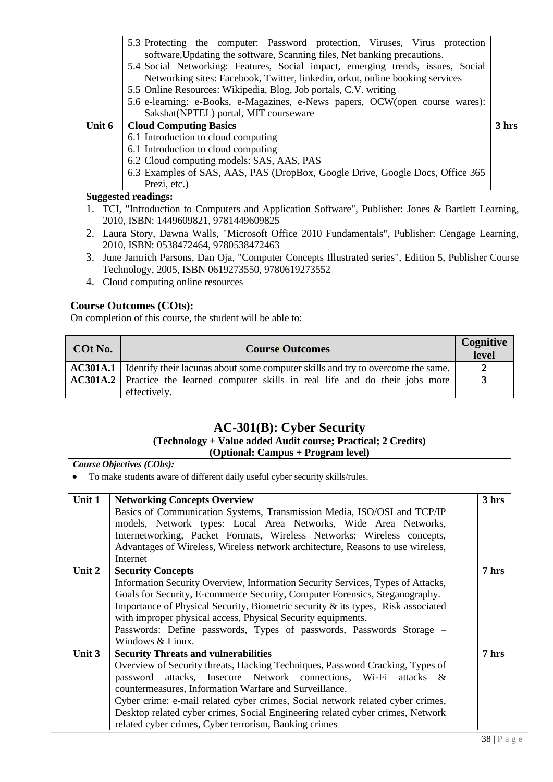|                                                                                                     | 5.3 Protecting the computer: Password protection, Viruses, Virus protection     |  |  |
|-----------------------------------------------------------------------------------------------------|---------------------------------------------------------------------------------|--|--|
|                                                                                                     | software, Updating the software, Scanning files, Net banking precautions.       |  |  |
|                                                                                                     | 5.4 Social Networking: Features, Social impact, emerging trends, issues, Social |  |  |
|                                                                                                     | Networking sites: Facebook, Twitter, linkedin, orkut, online booking services   |  |  |
|                                                                                                     | 5.5 Online Resources: Wikipedia, Blog, Job portals, C.V. writing                |  |  |
|                                                                                                     | 5.6 e-learning: e-Books, e-Magazines, e-News papers, OCW(open course wares):    |  |  |
|                                                                                                     | Sakshat(NPTEL) portal, MIT courseware                                           |  |  |
| Unit 6                                                                                              | <b>Cloud Computing Basics</b><br>3 hrs                                          |  |  |
|                                                                                                     | 6.1 Introduction to cloud computing                                             |  |  |
|                                                                                                     | 6.1 Introduction to cloud computing                                             |  |  |
|                                                                                                     | 6.2 Cloud computing models: SAS, AAS, PAS                                       |  |  |
|                                                                                                     | 6.3 Examples of SAS, AAS, PAS (DropBox, Google Drive, Google Docs, Office 365   |  |  |
|                                                                                                     | Prezi, etc.)                                                                    |  |  |
| <b>Suggested readings:</b>                                                                          |                                                                                 |  |  |
| 1. TCI, "Introduction to Computers and Application Software", Publisher: Jones & Bartlett Learning, |                                                                                 |  |  |
| 2010, ISBN: 1449609821, 9781449609825                                                               |                                                                                 |  |  |

- 2. Laura Story, Dawna Walls, "Microsoft Office 2010 Fundamentals", Publisher: Cengage Learning, 2010, ISBN: 0538472464, 9780538472463
- 3. June Jamrich Parsons, Dan Oja, "Computer Concepts Illustrated series", Edition 5, Publisher Course Technology, 2005, ISBN 0619273550, 9780619273552
- 4. Cloud computing online resources

On completion of this course, the student will be able to:

| COt No. | Cognitive<br><b>Course Outcomes</b>                                                                      |  |  |  |
|---------|----------------------------------------------------------------------------------------------------------|--|--|--|
|         | <b>AC301A.1</b> Identify their lacunas about some computer skills and try to overcome the same.          |  |  |  |
|         | <b>AC301A.2</b> Practice the learned computer skills in real life and do their jobs more<br>effectively. |  |  |  |

| $AC-301(B)$ : Cyber Security                     |
|--------------------------------------------------|
| slagy + Value added Audit course: Drastical: 2.6 |

#### **(Technology + Value added Audit course; Practical; 2 Credits) (Optional: Campus + Program level)**

*Course Objectives (CObs):* 

• To make students aware of different daily useful cyber security skills/rules.

|                                                                                  | 3 hrs                                                                                                                                                                                                                                                                                                                                                                                                                                                                                                                                                                                                                                       |
|----------------------------------------------------------------------------------|---------------------------------------------------------------------------------------------------------------------------------------------------------------------------------------------------------------------------------------------------------------------------------------------------------------------------------------------------------------------------------------------------------------------------------------------------------------------------------------------------------------------------------------------------------------------------------------------------------------------------------------------|
| Basics of Communication Systems, Transmission Media, ISO/OSI and TCP/IP          |                                                                                                                                                                                                                                                                                                                                                                                                                                                                                                                                                                                                                                             |
|                                                                                  |                                                                                                                                                                                                                                                                                                                                                                                                                                                                                                                                                                                                                                             |
|                                                                                  |                                                                                                                                                                                                                                                                                                                                                                                                                                                                                                                                                                                                                                             |
|                                                                                  |                                                                                                                                                                                                                                                                                                                                                                                                                                                                                                                                                                                                                                             |
| Internet                                                                         |                                                                                                                                                                                                                                                                                                                                                                                                                                                                                                                                                                                                                                             |
| <b>Security Concepts</b>                                                         | 7 hrs                                                                                                                                                                                                                                                                                                                                                                                                                                                                                                                                                                                                                                       |
| Information Security Overview, Information Security Services, Types of Attacks,  |                                                                                                                                                                                                                                                                                                                                                                                                                                                                                                                                                                                                                                             |
| Goals for Security, E-commerce Security, Computer Forensics, Steganography.      |                                                                                                                                                                                                                                                                                                                                                                                                                                                                                                                                                                                                                                             |
| Importance of Physical Security, Biometric security & its types, Risk associated |                                                                                                                                                                                                                                                                                                                                                                                                                                                                                                                                                                                                                                             |
| with improper physical access, Physical Security equipments.                     |                                                                                                                                                                                                                                                                                                                                                                                                                                                                                                                                                                                                                                             |
|                                                                                  |                                                                                                                                                                                                                                                                                                                                                                                                                                                                                                                                                                                                                                             |
| Windows & Linux.                                                                 |                                                                                                                                                                                                                                                                                                                                                                                                                                                                                                                                                                                                                                             |
| <b>Security Threats and vulnerabilities</b>                                      | 7 hrs                                                                                                                                                                                                                                                                                                                                                                                                                                                                                                                                                                                                                                       |
| Overview of Security threats, Hacking Techniques, Password Cracking, Types of    |                                                                                                                                                                                                                                                                                                                                                                                                                                                                                                                                                                                                                                             |
|                                                                                  |                                                                                                                                                                                                                                                                                                                                                                                                                                                                                                                                                                                                                                             |
| countermeasures, Information Warfare and Surveillance.                           |                                                                                                                                                                                                                                                                                                                                                                                                                                                                                                                                                                                                                                             |
|                                                                                  |                                                                                                                                                                                                                                                                                                                                                                                                                                                                                                                                                                                                                                             |
|                                                                                  |                                                                                                                                                                                                                                                                                                                                                                                                                                                                                                                                                                                                                                             |
|                                                                                  |                                                                                                                                                                                                                                                                                                                                                                                                                                                                                                                                                                                                                                             |
|                                                                                  | <b>Networking Concepts Overview</b><br>models, Network types: Local Area Networks, Wide Area Networks,<br>Internetworking, Packet Formats, Wireless Networks: Wireless concepts,<br>Advantages of Wireless, Wireless network architecture, Reasons to use wireless,<br>Passwords: Define passwords, Types of passwords, Passwords Storage –<br>password attacks, Insecure Network connections, Wi-Fi attacks &<br>Cyber crime: e-mail related cyber crimes, Social network related cyber crimes,<br>Desktop related cyber crimes, Social Engineering related cyber crimes, Network<br>related cyber crimes, Cyber terrorism, Banking crimes |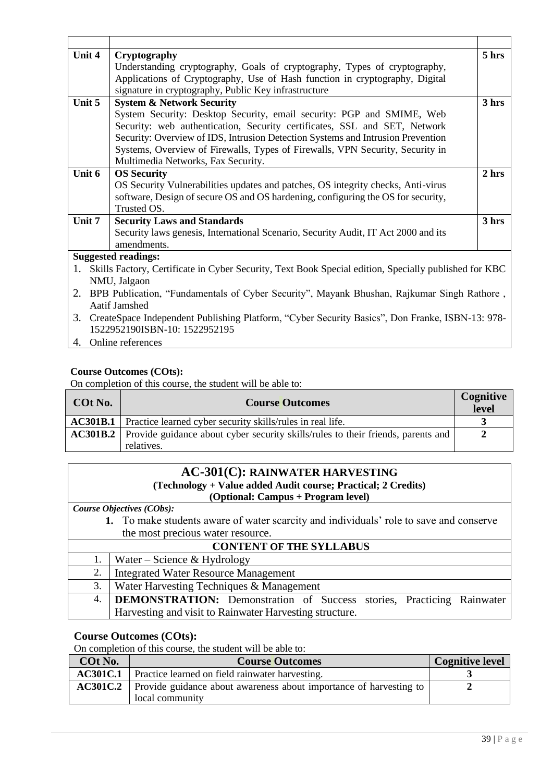| Unit 4       | Cryptography                                                                                                                     | 5 hrs |  |
|--------------|----------------------------------------------------------------------------------------------------------------------------------|-------|--|
|              | Understanding cryptography, Goals of cryptography, Types of cryptography,                                                        |       |  |
|              | Applications of Cryptography, Use of Hash function in cryptography, Digital                                                      |       |  |
|              | signature in cryptography, Public Key infrastructure                                                                             |       |  |
| Unit 5       | <b>System &amp; Network Security</b>                                                                                             | 3 hrs |  |
|              | System Security: Desktop Security, email security: PGP and SMIME, Web                                                            |       |  |
|              | Security: web authentication, Security certificates, SSL and SET, Network                                                        |       |  |
|              | Security: Overview of IDS, Intrusion Detection Systems and Intrusion Prevention                                                  |       |  |
|              | Systems, Overview of Firewalls, Types of Firewalls, VPN Security, Security in                                                    |       |  |
|              | Multimedia Networks, Fax Security.                                                                                               |       |  |
| Unit 6       | <b>OS Security</b>                                                                                                               | 2 hrs |  |
|              | OS Security Vulnerabilities updates and patches, OS integrity checks, Anti-virus                                                 |       |  |
|              | software, Design of secure OS and OS hardening, configuring the OS for security,                                                 |       |  |
|              | Trusted OS.                                                                                                                      |       |  |
| Unit 7       | <b>Security Laws and Standards</b>                                                                                               | 3 hrs |  |
|              | Security laws genesis, International Scenario, Security Audit, IT Act 2000 and its                                               |       |  |
|              | amendments.                                                                                                                      |       |  |
|              | <b>Suggested readings:</b>                                                                                                       |       |  |
| 1.           | Skills Factory, Certificate in Cyber Security, Text Book Special edition, Specially published for KBC                            |       |  |
| NMU, Jalgaon |                                                                                                                                  |       |  |
| 2.           | BPB Publication, "Fundamentals of Cyber Security", Mayank Bhushan, Rajkumar Singh Rathore,                                       |       |  |
|              | Aatif Jamshed                                                                                                                    |       |  |
| 3.           | CreateSpace Independent Publishing Platform, "Cyber Security Basics", Don Franke, ISBN-13: 978-<br>1522952190ISBN-10: 1522952195 |       |  |

4. Online references

### **Course Outcomes (COts):**

On completion of this course, the student will be able to:

| COt No. | <b>Course Outcomes</b>                                                                                         | <b>Cognitive</b><br>level |
|---------|----------------------------------------------------------------------------------------------------------------|---------------------------|
|         | <b>AC301B.1</b> Practice learned cyber security skills/rules in real life.                                     |                           |
|         | <b>AC301B.2</b> Provide guidance about cyber security skills/rules to their friends, parents and<br>relatives. | 2                         |
|         |                                                                                                                |                           |

#### **AC-301(C): RAINWATER HARVESTING (Technology + Value added Audit course; Practical; 2 Credits) (Optional: Campus + Program level)**

*Course Objectives (CObs):* 

**1.** To make students aware of water scarcity and individuals' role to save and conserve the most precious water resource.

| <b>CONTENT OF THE SYLLABUS</b> |                                                                          |  |  |  |
|--------------------------------|--------------------------------------------------------------------------|--|--|--|
| 1.                             | Water – Science & Hydrology                                              |  |  |  |
| 2.                             | Integrated Water Resource Management                                     |  |  |  |
| 3.                             | Water Harvesting Techniques & Management                                 |  |  |  |
|                                | 4. DEMONSTRATION: Demonstration of Success stories, Practicing Rainwater |  |  |  |
|                                | Harvesting and visit to Rainwater Harvesting structure.                  |  |  |  |

#### **Course Outcomes (COts):**

On completion of this course, the student will be able to:

| COt No.         | <b>Course Outcomes</b>                                                                | <b>Cognitive level</b> |  |
|-----------------|---------------------------------------------------------------------------------------|------------------------|--|
| <b>AC301C.1</b> | Practice learned on field rainwater harvesting.                                       |                        |  |
| AC301C.2        | Provide guidance about awareness about importance of harvesting to<br>local community |                        |  |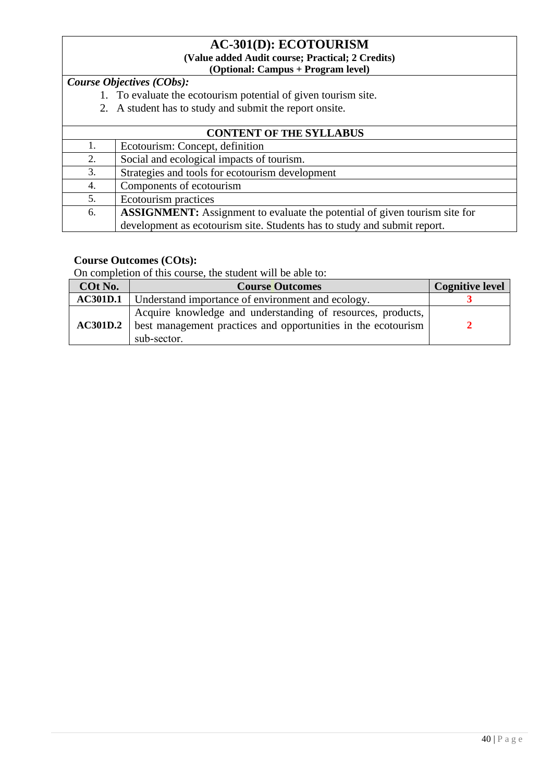#### **AC-301(D): ECOTOURISM (Value added Audit course; Practical; 2 Credits) (Optional: Campus + Program level)**

*Course Objectives (CObs):* 

- 1. To evaluate the ecotourism potential of given tourism site.
- 2. A student has to study and submit the report onsite.

| <b>CONTENT OF THE SYLLABUS</b> |                                                                                   |  |
|--------------------------------|-----------------------------------------------------------------------------------|--|
| 1.                             | Ecotourism: Concept, definition                                                   |  |
| 2.                             | Social and ecological impacts of tourism.                                         |  |
| 3.                             | Strategies and tools for ecotourism development                                   |  |
| 4.                             | Components of ecotourism                                                          |  |
| 5.                             | Ecotourism practices                                                              |  |
| 6.                             | <b>ASSIGNMENT:</b> Assignment to evaluate the potential of given tourism site for |  |
|                                | development as ecotourism site. Students has to study and submit report.          |  |

### **Course Outcomes (COts):**

On completion of this course, the student will be able to:

| COt No.         | <b>Course Outcomes</b>                                                                                                                      | <b>Cognitive level</b> |
|-----------------|---------------------------------------------------------------------------------------------------------------------------------------------|------------------------|
| <b>AC301D.1</b> | Understand importance of environment and ecology.                                                                                           |                        |
| <b>AC301D.2</b> | Acquire knowledge and understanding of resources, products,<br>best management practices and opportunities in the ecotourism<br>sub-sector. |                        |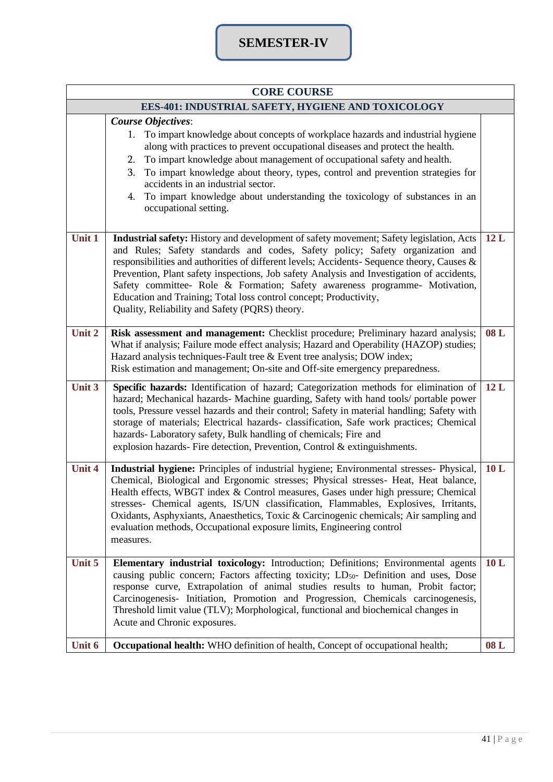| <b>CORE COURSE</b> |                                                                                                                                                                                                                                                                                                                                                                                                                                                                                                                                                                           |     |  |
|--------------------|---------------------------------------------------------------------------------------------------------------------------------------------------------------------------------------------------------------------------------------------------------------------------------------------------------------------------------------------------------------------------------------------------------------------------------------------------------------------------------------------------------------------------------------------------------------------------|-----|--|
|                    | EES-401: INDUSTRIAL SAFETY, HYGIENE AND TOXICOLOGY                                                                                                                                                                                                                                                                                                                                                                                                                                                                                                                        |     |  |
|                    | <b>Course Objectives:</b><br>1. To impart knowledge about concepts of workplace hazards and industrial hygiene<br>along with practices to prevent occupational diseases and protect the health.<br>To impart knowledge about management of occupational safety and health.<br>2.<br>To impart knowledge about theory, types, control and prevention strategies for<br>3.<br>accidents in an industrial sector.<br>4. To impart knowledge about understanding the toxicology of substances in an<br>occupational setting.                                                  |     |  |
| Unit 1             | Industrial safety: History and development of safety movement; Safety legislation, Acts<br>and Rules; Safety standards and codes, Safety policy; Safety organization and<br>responsibilities and authorities of different levels; Accidents- Sequence theory, Causes &<br>Prevention, Plant safety inspections, Job safety Analysis and Investigation of accidents,<br>Safety committee- Role & Formation; Safety awareness programme- Motivation,<br>Education and Training; Total loss control concept; Productivity,<br>Quality, Reliability and Safety (PQRS) theory. | 12L |  |
| Unit 2             | Risk assessment and management: Checklist procedure; Preliminary hazard analysis;<br>What if analysis; Failure mode effect analysis; Hazard and Operability (HAZOP) studies;<br>Hazard analysis techniques-Fault tree & Event tree analysis; DOW index;<br>Risk estimation and management; On-site and Off-site emergency preparedness.                                                                                                                                                                                                                                   | 08L |  |
| Unit 3             | Specific hazards: Identification of hazard; Categorization methods for elimination of<br>hazard; Mechanical hazards- Machine guarding, Safety with hand tools/ portable power<br>tools, Pressure vessel hazards and their control; Safety in material handling; Safety with<br>storage of materials; Electrical hazards- classification, Safe work practices; Chemical<br>hazards- Laboratory safety, Bulk handling of chemicals; Fire and<br>explosion hazards- Fire detection, Prevention, Control & extinguishments.                                                   | 12L |  |
| Unit 4             | Industrial hygiene: Principles of industrial hygiene; Environmental stresses- Physical,<br>Chemical, Biological and Ergonomic stresses; Physical stresses- Heat, Heat balance,<br>Health effects, WBGT index & Control measures, Gases under high pressure; Chemical<br>stresses- Chemical agents, IS/UN classification, Flammables, Explosives, Irritants,<br>Oxidants, Asphyxiants, Anaesthetics, Toxic & Carcinogenic chemicals; Air sampling and<br>evaluation methods, Occupational exposure limits, Engineering control<br>measures.                                | 10L |  |
| Unit 5             | Elementary industrial toxicology: Introduction; Definitions; Environmental agents<br>causing public concern; Factors affecting toxicity; LD <sub>50</sub> - Definition and uses, Dose<br>response curve, Extrapolation of animal studies results to human, Probit factor;<br>Carcinogenesis- Initiation, Promotion and Progression, Chemicals carcinogenesis,<br>Threshold limit value (TLV); Morphological, functional and biochemical changes in<br>Acute and Chronic exposures.                                                                                        | 10L |  |
| Unit 6             | Occupational health: WHO definition of health, Concept of occupational health;                                                                                                                                                                                                                                                                                                                                                                                                                                                                                            | 08L |  |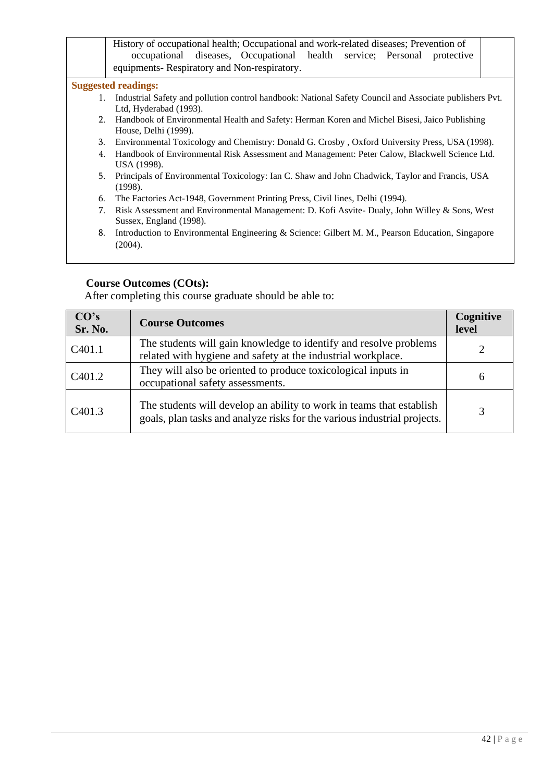|    | History of occupational health; Occupational and work-related diseases; Prevention of<br>occupational diseases, Occupational health service; Personal<br>protective<br>equipments-Respiratory and Non-respiratory. |  |  |
|----|--------------------------------------------------------------------------------------------------------------------------------------------------------------------------------------------------------------------|--|--|
|    | <b>Suggested readings:</b>                                                                                                                                                                                         |  |  |
| 1. | Industrial Safety and pollution control handbook: National Safety Council and Associate publishers Pvt.<br>Ltd, Hyderabad (1993).                                                                                  |  |  |
|    | Handbook of Environmental Health and Safety: Herman Koren and Michel Bisesi, Jaico Publishing<br>2.<br>House, Delhi (1999).                                                                                        |  |  |
| 3. | Environmental Toxicology and Chemistry: Donald G. Crosby, Oxford University Press, USA (1998).                                                                                                                     |  |  |
| 4. | Handbook of Environmental Risk Assessment and Management: Peter Calow, Blackwell Science Ltd.<br>USA (1998).                                                                                                       |  |  |
| 5. | Principals of Environmental Toxicology: Ian C. Shaw and John Chadwick, Taylor and Francis, USA<br>(1998).                                                                                                          |  |  |
| 6. | The Factories Act-1948, Government Printing Press, Civil lines, Delhi (1994).                                                                                                                                      |  |  |
| 7. | Risk Assessment and Environmental Management: D. Kofi Asvite- Dualy, John Willey & Sons, West<br>Sussex, England (1998).                                                                                           |  |  |
| 8. | Introduction to Environmental Engineering & Science: Gilbert M. M., Pearson Education, Singapore<br>(2004).                                                                                                        |  |  |
|    |                                                                                                                                                                                                                    |  |  |

| CO's<br>Sr. No.     | <b>Course Outcomes</b>                                                                                                                           | Cognitive<br>level |
|---------------------|--------------------------------------------------------------------------------------------------------------------------------------------------|--------------------|
| C <sub>401.1</sub>  | The students will gain knowledge to identify and resolve problems<br>related with hygiene and safety at the industrial workplace.                |                    |
| C <sub>4</sub> 01.2 | They will also be oriented to produce toxicological inputs in<br>occupational safety assessments.                                                | <sub>0</sub>       |
| C <sub>401.3</sub>  | The students will develop an ability to work in teams that establish<br>goals, plan tasks and analyze risks for the various industrial projects. |                    |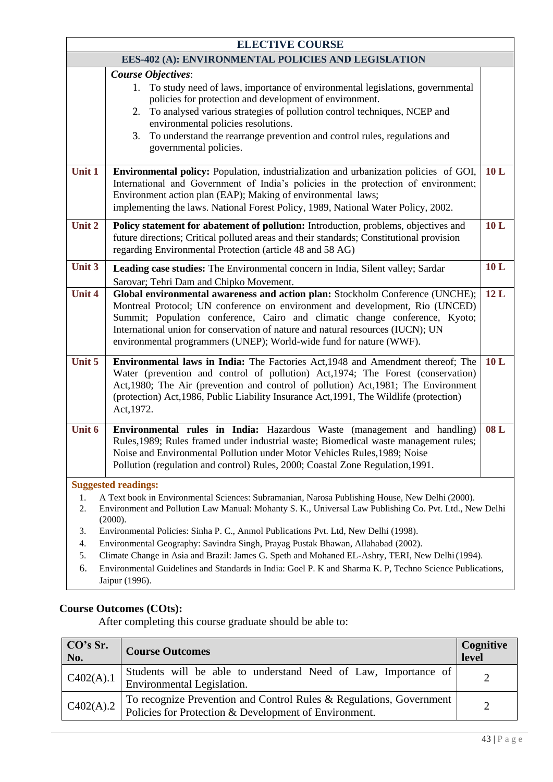| <b>ELECTIVE COURSE</b>                              |                                                                                                                                                                                                                                                                                                                                                                                                             |     |  |
|-----------------------------------------------------|-------------------------------------------------------------------------------------------------------------------------------------------------------------------------------------------------------------------------------------------------------------------------------------------------------------------------------------------------------------------------------------------------------------|-----|--|
| EES-402 (A): ENVIRONMENTAL POLICIES AND LEGISLATION |                                                                                                                                                                                                                                                                                                                                                                                                             |     |  |
|                                                     | <b>Course Objectives:</b><br>1. To study need of laws, importance of environmental legislations, governmental<br>policies for protection and development of environment.<br>2. To analysed various strategies of pollution control techniques, NCEP and<br>environmental policies resolutions.<br>To understand the rearrange prevention and control rules, regulations and<br>3.<br>governmental policies. |     |  |
| Unit 1                                              | Environmental policy: Population, industrialization and urbanization policies of GOI,<br>International and Government of India's policies in the protection of environment;<br>Environment action plan (EAP); Making of environmental laws;<br>implementing the laws. National Forest Policy, 1989, National Water Policy, 2002.                                                                            | 10L |  |
| Unit 2                                              | Policy statement for abatement of pollution: Introduction, problems, objectives and<br>future directions; Critical polluted areas and their standards; Constitutional provision<br>regarding Environmental Protection (article 48 and 58 AG)                                                                                                                                                                | 10L |  |
| Unit 3                                              | Leading case studies: The Environmental concern in India, Silent valley; Sardar                                                                                                                                                                                                                                                                                                                             | 10L |  |
|                                                     | Sarovar; Tehri Dam and Chipko Movement.                                                                                                                                                                                                                                                                                                                                                                     |     |  |
| <b>Unit 4</b>                                       | Global environmental awareness and action plan: Stockholm Conference (UNCHE);<br>Montreal Protocol; UN conference on environment and development, Rio (UNCED)<br>Summit; Population conference, Cairo and climatic change conference, Kyoto;<br>International union for conservation of nature and natural resources (IUCN); UN<br>environmental programmers (UNEP); World-wide fund for nature (WWF).      | 12L |  |
| Unit 5                                              | <b>Environmental laws in India:</b> The Factories Act, 1948 and Amendment thereof; The<br>Water (prevention and control of pollution) Act, 1974; The Forest (conservation)<br>Act, 1980; The Air (prevention and control of pollution) Act, 1981; The Environment<br>(protection) Act, 1986, Public Liability Insurance Act, 1991, The Wildlife (protection)<br>Act, 1972.                                  | 10L |  |
| Unit 6                                              | Environmental rules in India: Hazardous Waste (management and handling)<br>Rules, 1989; Rules framed under industrial waste; Biomedical waste management rules;<br>Noise and Environmental Pollution under Motor Vehicles Rules, 1989; Noise<br>Pollution (regulation and control) Rules, 2000; Coastal Zone Regulation, 1991.                                                                              | 08L |  |
|                                                     | <b>Suggested readings:</b>                                                                                                                                                                                                                                                                                                                                                                                  |     |  |
| 1.<br>2.                                            | A Text book in Environmental Sciences: Subramanian, Narosa Publishing House, New Delhi (2000).<br>Environment and Pollution Law Manual: Mohanty S. K., Universal Law Publishing Co. Pvt. Ltd., New Delhi<br>(2000).                                                                                                                                                                                         |     |  |
| 3.                                                  | Environmental Policies: Sinha P. C., Anmol Publications Pvt. Ltd, New Delhi (1998).                                                                                                                                                                                                                                                                                                                         |     |  |
| 4.                                                  | Environmental Geography: Savindra Singh, Prayag Pustak Bhawan, Allahabad (2002).                                                                                                                                                                                                                                                                                                                            |     |  |
| 5.<br>6.                                            | Climate Change in Asia and Brazil: James G. Speth and Mohaned EL-Ashry, TERI, New Delhi (1994).<br>Environmental Guidelines and Standards in India: Goel P. K and Sharma K. P, Techno Science Publications,                                                                                                                                                                                                 |     |  |

### Jaipur (1996).

#### **Course Outcomes (COts):**

| CO's Sr.<br>No. | <b>Course Outcomes</b>                                                                                                       | Cognitive<br>level |
|-----------------|------------------------------------------------------------------------------------------------------------------------------|--------------------|
| C402(A).1       | Students will be able to understand Need of Law, Importance of<br>Environmental Legislation.                                 |                    |
| C402(A).2       | To recognize Prevention and Control Rules & Regulations, Government<br>Policies for Protection & Development of Environment. |                    |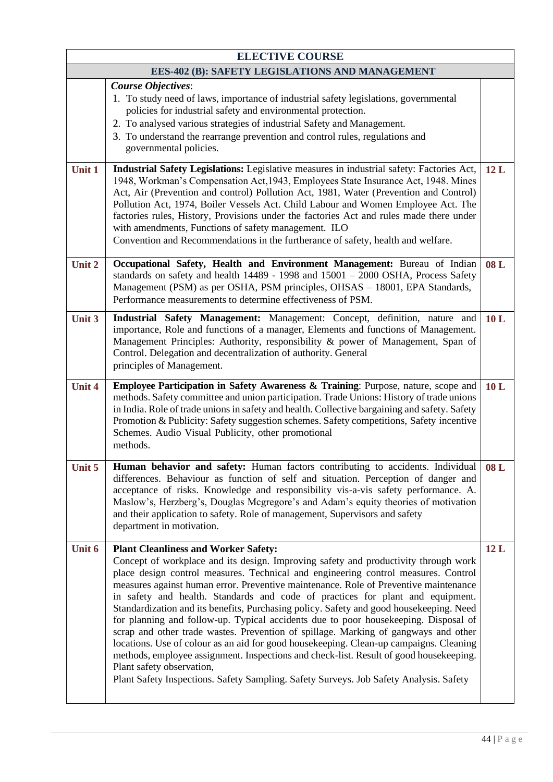|               | <b>ELECTIVE COURSE</b>                                                                                                                                                                                                                                                                                                                                                                                                                                                                                                                                                                                                                                                                                                                                                                                                                                                                                                                                                                 |     |
|---------------|----------------------------------------------------------------------------------------------------------------------------------------------------------------------------------------------------------------------------------------------------------------------------------------------------------------------------------------------------------------------------------------------------------------------------------------------------------------------------------------------------------------------------------------------------------------------------------------------------------------------------------------------------------------------------------------------------------------------------------------------------------------------------------------------------------------------------------------------------------------------------------------------------------------------------------------------------------------------------------------|-----|
|               | EES-402 (B): SAFETY LEGISLATIONS AND MANAGEMENT                                                                                                                                                                                                                                                                                                                                                                                                                                                                                                                                                                                                                                                                                                                                                                                                                                                                                                                                        |     |
|               | <b>Course Objectives:</b><br>1. To study need of laws, importance of industrial safety legislations, governmental<br>policies for industrial safety and environmental protection.<br>2. To analysed various strategies of industrial Safety and Management.<br>3. To understand the rearrange prevention and control rules, regulations and<br>governmental policies.                                                                                                                                                                                                                                                                                                                                                                                                                                                                                                                                                                                                                  |     |
| Unit 1        | Industrial Safety Legislations: Legislative measures in industrial safety: Factories Act,<br>1948, Workman's Compensation Act, 1943, Employees State Insurance Act, 1948. Mines<br>Act, Air (Prevention and control) Pollution Act, 1981, Water (Prevention and Control)<br>Pollution Act, 1974, Boiler Vessels Act. Child Labour and Women Employee Act. The<br>factories rules, History, Provisions under the factories Act and rules made there under<br>with amendments, Functions of safety management. ILO<br>Convention and Recommendations in the furtherance of safety, health and welfare.                                                                                                                                                                                                                                                                                                                                                                                   | 12L |
| Unit 2        | Occupational Safety, Health and Environment Management: Bureau of Indian<br>standards on safety and health 14489 - 1998 and 15001 - 2000 OSHA, Process Safety<br>Management (PSM) as per OSHA, PSM principles, OHSAS - 18001, EPA Standards,<br>Performance measurements to determine effectiveness of PSM.                                                                                                                                                                                                                                                                                                                                                                                                                                                                                                                                                                                                                                                                            | 08L |
| Unit 3        | Industrial Safety Management: Management: Concept, definition, nature and<br>importance, Role and functions of a manager, Elements and functions of Management.<br>Management Principles: Authority, responsibility & power of Management, Span of<br>Control. Delegation and decentralization of authority. General<br>principles of Management.                                                                                                                                                                                                                                                                                                                                                                                                                                                                                                                                                                                                                                      | 10L |
| <b>Unit 4</b> | <b>Employee Participation in Safety Awareness &amp; Training:</b> Purpose, nature, scope and<br>methods. Safety committee and union participation. Trade Unions: History of trade unions<br>in India. Role of trade unions in safety and health. Collective bargaining and safety. Safety<br>Promotion & Publicity: Safety suggestion schemes. Safety competitions, Safety incentive<br>Schemes. Audio Visual Publicity, other promotional<br>methods.                                                                                                                                                                                                                                                                                                                                                                                                                                                                                                                                 | 10L |
| Unit 5        | <b>Human behavior and safety:</b> Human factors contributing to accidents. Individual<br>differences. Behaviour as function of self and situation. Perception of danger and<br>acceptance of risks. Knowledge and responsibility vis-a-vis safety performance. A.<br>Maslow's, Herzberg's, Douglas Mcgregore's and Adam's equity theories of motivation<br>and their application to safety. Role of management, Supervisors and safety<br>department in motivation.                                                                                                                                                                                                                                                                                                                                                                                                                                                                                                                    | 08L |
| Unit 6        | <b>Plant Cleanliness and Worker Safety:</b><br>Concept of workplace and its design. Improving safety and productivity through work<br>place design control measures. Technical and engineering control measures. Control<br>measures against human error. Preventive maintenance. Role of Preventive maintenance<br>in safety and health. Standards and code of practices for plant and equipment.<br>Standardization and its benefits, Purchasing policy. Safety and good housekeeping. Need<br>for planning and follow-up. Typical accidents due to poor housekeeping. Disposal of<br>scrap and other trade wastes. Prevention of spillage. Marking of gangways and other<br>locations. Use of colour as an aid for good housekeeping. Clean-up campaigns. Cleaning<br>methods, employee assignment. Inspections and check-list. Result of good housekeeping.<br>Plant safety observation,<br>Plant Safety Inspections. Safety Sampling. Safety Surveys. Job Safety Analysis. Safety | 12L |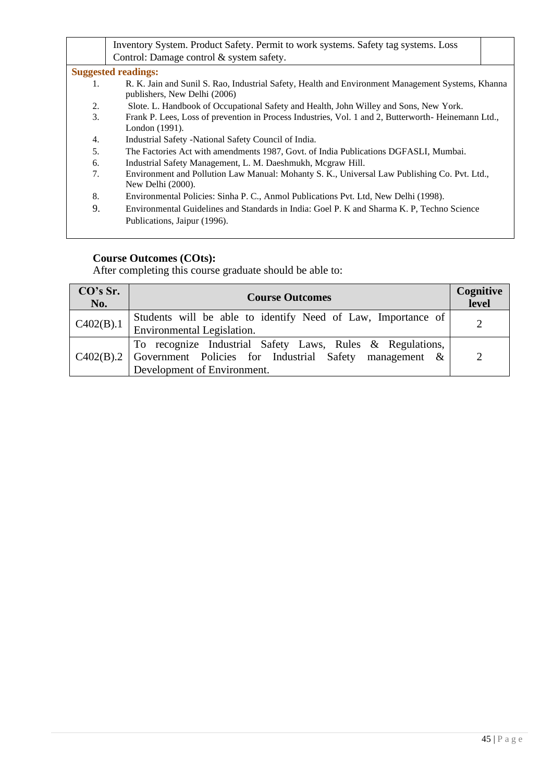|    | Inventory System. Product Safety. Permit to work systems. Safety tag systems. Loss                                                |  |
|----|-----------------------------------------------------------------------------------------------------------------------------------|--|
|    | Control: Damage control & system safety.                                                                                          |  |
|    | <b>Suggested readings:</b>                                                                                                        |  |
| 1. | R. K. Jain and Sunil S. Rao, Industrial Safety, Health and Environment Management Systems, Khanna<br>publishers, New Delhi (2006) |  |
| 2. | Slote. L. Handbook of Occupational Safety and Health, John Willey and Sons, New York.                                             |  |
| 3. | Frank P. Lees, Loss of prevention in Process Industries, Vol. 1 and 2, Butterworth-Heinemann Ltd.,                                |  |
|    | London (1991).                                                                                                                    |  |
| 4. | Industrial Safety - National Safety Council of India.                                                                             |  |
| 5. | The Factories Act with amendments 1987, Govt. of India Publications DGFASLI, Mumbai.                                              |  |
| 6. | Industrial Safety Management, L. M. Daeshmukh, Mcgraw Hill.                                                                       |  |
| 7. | Environment and Pollution Law Manual: Mohanty S. K., Universal Law Publishing Co. Pvt. Ltd.,                                      |  |
|    | New Delhi (2000).                                                                                                                 |  |
| 8. | Environmental Policies: Sinha P. C., Anmol Publications Pvt. Ltd, New Delhi (1998).                                               |  |
| 9. | Environmental Guidelines and Standards in India: Goel P. K and Sharma K. P. Techno Science                                        |  |
|    | Publications, Jaipur (1996).                                                                                                      |  |
|    |                                                                                                                                   |  |

| CO's Sr.<br>No.                | <b>Course Outcomes</b>                                                                                                                                                    | Cognitive<br>level |
|--------------------------------|---------------------------------------------------------------------------------------------------------------------------------------------------------------------------|--------------------|
| $\vert$ C <sub>402</sub> (B).1 | Students will be able to identify Need of Law, Importance of<br>Environmental Legislation.                                                                                |                    |
|                                | To recognize Industrial Safety Laws, Rules & Regulations,<br>$\mathcal{C}$ 402(B).2 Government Policies for Industrial Safety management &<br>Development of Environment. | $\mathcal{D}$      |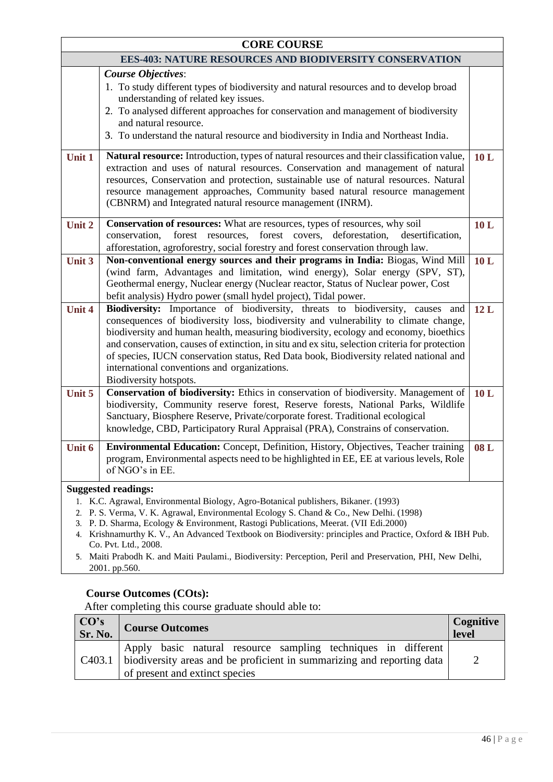|                                                                                                                                                                                                                                                                                                                                                                                                                                                                                                                                                                         | <b>CORE COURSE</b>                                                                                                                                                                                                                                                                                                                                                                                                                                                                                                                   |     |
|-------------------------------------------------------------------------------------------------------------------------------------------------------------------------------------------------------------------------------------------------------------------------------------------------------------------------------------------------------------------------------------------------------------------------------------------------------------------------------------------------------------------------------------------------------------------------|--------------------------------------------------------------------------------------------------------------------------------------------------------------------------------------------------------------------------------------------------------------------------------------------------------------------------------------------------------------------------------------------------------------------------------------------------------------------------------------------------------------------------------------|-----|
|                                                                                                                                                                                                                                                                                                                                                                                                                                                                                                                                                                         | <b>EES-403: NATURE RESOURCES AND BIODIVERSITY CONSERVATION</b>                                                                                                                                                                                                                                                                                                                                                                                                                                                                       |     |
|                                                                                                                                                                                                                                                                                                                                                                                                                                                                                                                                                                         | <b>Course Objectives:</b><br>1. To study different types of biodiversity and natural resources and to develop broad<br>understanding of related key issues.<br>2. To analysed different approaches for conservation and management of biodiversity<br>and natural resource.<br>3. To understand the natural resource and biodiversity in India and Northeast India.                                                                                                                                                                  |     |
| Unit 1                                                                                                                                                                                                                                                                                                                                                                                                                                                                                                                                                                  | Natural resource: Introduction, types of natural resources and their classification value,<br>extraction and uses of natural resources. Conservation and management of natural<br>resources, Conservation and protection, sustainable use of natural resources. Natural<br>resource management approaches, Community based natural resource management<br>(CBNRM) and Integrated natural resource management (INRM).                                                                                                                 | 10L |
| Unit 2                                                                                                                                                                                                                                                                                                                                                                                                                                                                                                                                                                  | Conservation of resources: What are resources, types of resources, why soil<br>forest covers,<br>conservation,<br>forest resources,<br>deforestation,<br>desertification,<br>afforestation, agroforestry, social forestry and forest conservation through law.                                                                                                                                                                                                                                                                       | 10L |
| Unit 3                                                                                                                                                                                                                                                                                                                                                                                                                                                                                                                                                                  | Non-conventional energy sources and their programs in India: Biogas, Wind Mill<br>(wind farm, Advantages and limitation, wind energy), Solar energy (SPV, ST),<br>Geothermal energy, Nuclear energy (Nuclear reactor, Status of Nuclear power, Cost<br>befit analysis) Hydro power (small hydel project), Tidal power.                                                                                                                                                                                                               | 10L |
| <b>Unit 4</b>                                                                                                                                                                                                                                                                                                                                                                                                                                                                                                                                                           | Biodiversity: Importance of biodiversity, threats to biodiversity, causes and<br>consequences of biodiversity loss, biodiversity and vulnerability to climate change,<br>biodiversity and human health, measuring biodiversity, ecology and economy, bioethics<br>and conservation, causes of extinction, in situ and ex situ, selection criteria for protection<br>of species, IUCN conservation status, Red Data book, Biodiversity related national and<br>international conventions and organizations.<br>Biodiversity hotspots. | 12L |
| Unit 5                                                                                                                                                                                                                                                                                                                                                                                                                                                                                                                                                                  | Conservation of biodiversity: Ethics in conservation of biodiversity. Management of<br>biodiversity, Community reserve forest, Reserve forests, National Parks, Wildlife<br>Sanctuary, Biosphere Reserve, Private/corporate forest. Traditional ecological<br>knowledge, CBD, Participatory Rural Appraisal (PRA), Constrains of conservation.                                                                                                                                                                                       | 10L |
| Unit 6                                                                                                                                                                                                                                                                                                                                                                                                                                                                                                                                                                  | Environmental Education: Concept, Definition, History, Objectives, Teacher training<br>program, Environmental aspects need to be highlighted in EE, EE at various levels, Role<br>of NGO's in EE.                                                                                                                                                                                                                                                                                                                                    | 08L |
| <b>Suggested readings:</b><br>1. K.C. Agrawal, Environmental Biology, Agro-Botanical publishers, Bikaner. (1993)<br>P. S. Verma, V. K. Agrawal, Environmental Ecology S. Chand & Co., New Delhi. (1998)<br>2.<br>3. P. D. Sharma, Ecology & Environment, Rastogi Publications, Meerat. (VII Edi.2000)<br>4. Krishnamurthy K. V., An Advanced Textbook on Biodiversity: principles and Practice, Oxford & IBH Pub.<br>Co. Pvt. Ltd., 2008.<br>5. Maiti Prabodh K. and Maiti Paulami., Biodiversity: Perception, Peril and Preservation, PHI, New Delhi,<br>2001. pp.560. |                                                                                                                                                                                                                                                                                                                                                                                                                                                                                                                                      |     |

| $\begin{array}{c}\n\text{CO's} \\ \text{Sr. No.}\n\end{array}$ | <b>Course Outcomes</b>                                                                                                                                                    | Cognitive<br>level |
|----------------------------------------------------------------|---------------------------------------------------------------------------------------------------------------------------------------------------------------------------|--------------------|
| C <sub>4</sub> 03.1                                            | Apply basic natural resource sampling techniques in different<br>biodiversity areas and be proficient in summarizing and reporting data<br>of present and extinct species | 2                  |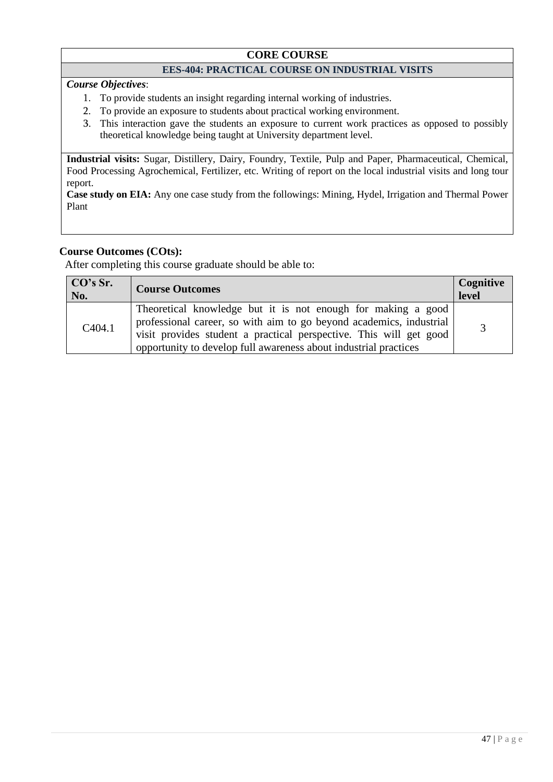### **CORE COURSE**

#### **EES-404: PRACTICAL COURSE ON INDUSTRIAL VISITS**

*Course Objectives*:

- 1. To provide students an insight regarding internal working of industries.
- 2. To provide an exposure to students about practical working environment.
- 3. This interaction gave the students an exposure to current work practices as opposed to possibly theoretical knowledge being taught at University department level.

**Industrial visits:** Sugar, Distillery, Dairy, Foundry, Textile, Pulp and Paper, Pharmaceutical, Chemical, Food Processing Agrochemical, Fertilizer, etc. Writing of report on the local industrial visits and long tour report.

**Case study on EIA:** Any one case study from the followings: Mining, Hydel, Irrigation and Thermal Power Plant

#### **Course Outcomes (COts):**

| CO's Sr.<br>No.     | <b>Course Outcomes</b>                                                                                                                                                                                                                                                        | Cognitive<br>devel <sup>-1</sup> |
|---------------------|-------------------------------------------------------------------------------------------------------------------------------------------------------------------------------------------------------------------------------------------------------------------------------|----------------------------------|
| C <sub>4</sub> 04.1 | Theoretical knowledge but it is not enough for making a good<br>professional career, so with aim to go beyond academics, industrial<br>visit provides student a practical perspective. This will get good<br>opportunity to develop full awareness about industrial practices |                                  |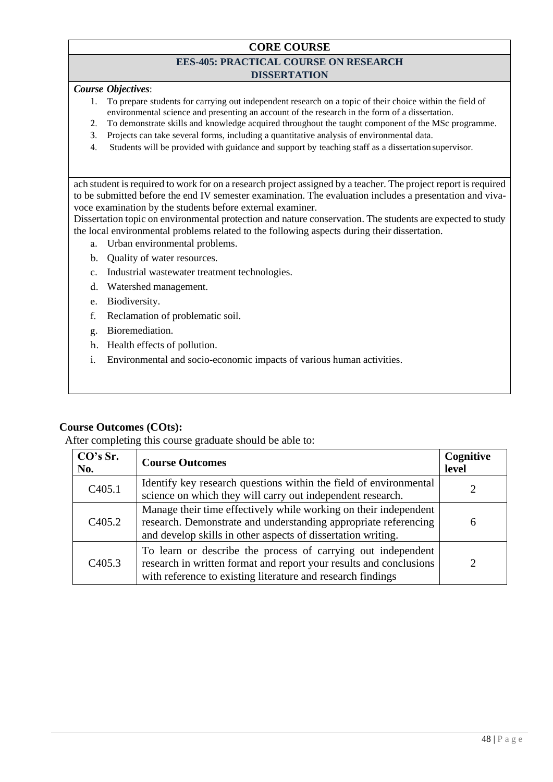### **CORE COURSE**

#### **EES-405: PRACTICAL COURSE ON RESEARCH DISSERTATION**

### *Course Objectives*:

- 1. To prepare students for carrying out independent research on a topic of their choice within the field of environmental science and presenting an account of the research in the form of a dissertation.
- 2. To demonstrate skills and knowledge acquired throughout the taught component of the MSc programme.
- 3. Projects can take several forms, including a quantitative analysis of environmental data.
- 4. Students will be provided with guidance and support by teaching staff as a dissertation supervisor.

ach student is required to work for on a research project assigned by a teacher. The project report is required to be submitted before the end IV semester examination. The evaluation includes a presentation and vivavoce examination by the students before external examiner.

Dissertation topic on environmental protection and nature conservation. The students are expected to study the local environmental problems related to the following aspects during their dissertation.

- a. Urban environmental problems.
- b. Quality of water resources.
- c. Industrial wastewater treatment technologies.
- d. Watershed management.
- e. Biodiversity.
- f. Reclamation of problematic soil.
- g. Bioremediation.
- h. Health effects of pollution.
- i. Environmental and socio-economic impacts of various human activities.

#### **Course Outcomes (COts):**

| CO's Sr.<br>No.     | <b>Course Outcomes</b>                                                                                                                                                                              | Cognitive<br>level |
|---------------------|-----------------------------------------------------------------------------------------------------------------------------------------------------------------------------------------------------|--------------------|
| C <sub>4</sub> 05.1 | Identify key research questions within the field of environmental<br>science on which they will carry out independent research.                                                                     |                    |
| C <sub>4</sub> 05.2 | Manage their time effectively while working on their independent<br>research. Demonstrate and understanding appropriate referencing<br>and develop skills in other aspects of dissertation writing. | 6                  |
| C <sub>4</sub> 05.3 | To learn or describe the process of carrying out independent<br>research in written format and report your results and conclusions<br>with reference to existing literature and research findings   |                    |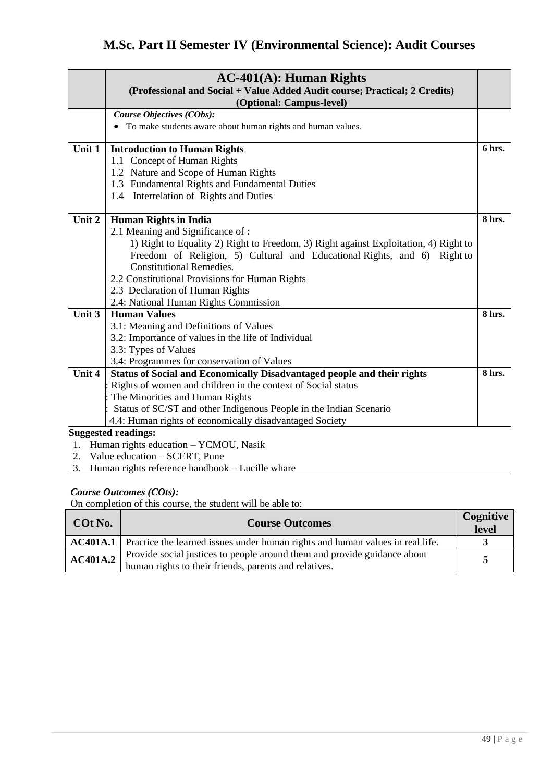# **M.Sc. Part II Semester IV (Environmental Science): Audit Courses**

|        | $AC-401(A)$ : Human Rights<br>(Professional and Social + Value Added Audit course; Practical; 2 Credits)<br>(Optional: Campus-level) |        |
|--------|--------------------------------------------------------------------------------------------------------------------------------------|--------|
|        | Course Objectives (CObs):                                                                                                            |        |
|        | • To make students aware about human rights and human values.                                                                        |        |
|        |                                                                                                                                      |        |
| Unit 1 | <b>Introduction to Human Rights</b>                                                                                                  | 6 hrs. |
|        | 1.1 Concept of Human Rights                                                                                                          |        |
|        | 1.2 Nature and Scope of Human Rights                                                                                                 |        |
|        | 1.3 Fundamental Rights and Fundamental Duties                                                                                        |        |
|        | 1.4 Interrelation of Rights and Duties                                                                                               |        |
|        |                                                                                                                                      |        |
| Unit 2 | <b>Human Rights in India</b>                                                                                                         | 8 hrs. |
|        | 2.1 Meaning and Significance of:                                                                                                     |        |
|        | 1) Right to Equality 2) Right to Freedom, 3) Right against Exploitation, 4) Right to                                                 |        |
|        | Freedom of Religion, 5) Cultural and Educational Rights, and 6) Right to                                                             |        |
|        | <b>Constitutional Remedies.</b>                                                                                                      |        |
|        | 2.2 Constitutional Provisions for Human Rights                                                                                       |        |
|        | 2.3 Declaration of Human Rights                                                                                                      |        |
|        | 2.4: National Human Rights Commission                                                                                                |        |
| Unit 3 | <b>Human Values</b>                                                                                                                  | 8 hrs. |
|        | 3.1: Meaning and Definitions of Values                                                                                               |        |
|        | 3.2: Importance of values in the life of Individual                                                                                  |        |
|        | 3.3: Types of Values                                                                                                                 |        |
|        | 3.4: Programmes for conservation of Values                                                                                           |        |
| Unit 4 | Status of Social and Economically Disadvantaged people and their rights                                                              | 8 hrs. |
|        | Rights of women and children in the context of Social status                                                                         |        |
|        | The Minorities and Human Rights                                                                                                      |        |
|        | Status of SC/ST and other Indigenous People in the Indian Scenario                                                                   |        |
|        | 4.4: Human rights of economically disadvantaged Society                                                                              |        |
|        | <b>Suggested readings:</b>                                                                                                           |        |
| 1.     | Human rights education - YCMOU, Nasik                                                                                                |        |
|        | 2. Value education – SCERT, Pune                                                                                                     |        |
|        | 3. Human rights reference handbook - Lucille whare                                                                                   |        |

#### *Course Outcomes (COts):*

On completion of this course, the student will be able to:

| COt No.  | <b>Course Outcomes</b>                                                                                                            | Cognitive<br>level |
|----------|-----------------------------------------------------------------------------------------------------------------------------------|--------------------|
|          | <b>AC401A.1</b> Practice the learned issues under human rights and human values in real life.                                     |                    |
| AC401A.2 | Provide social justices to people around them and provide guidance about<br>human rights to their friends, parents and relatives. | $\sim$             |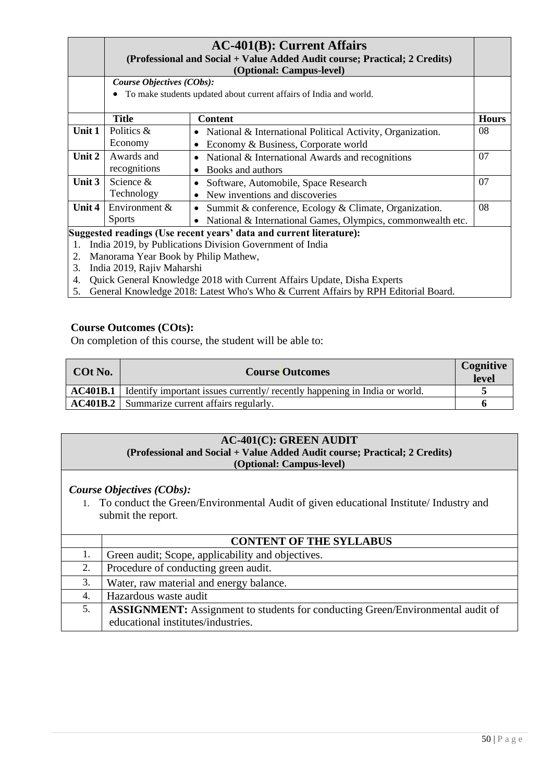|        |                                                                                                                    | $AC-401(B)$ : Current Affairs<br>(Professional and Social + Value Added Audit course; Practical; 2 Credits)<br>(Optional: Campus-level) |              |
|--------|--------------------------------------------------------------------------------------------------------------------|-----------------------------------------------------------------------------------------------------------------------------------------|--------------|
|        | Course Objectives (CObs):                                                                                          |                                                                                                                                         |              |
|        |                                                                                                                    | To make students updated about current affairs of India and world.                                                                      |              |
|        | Title                                                                                                              | <b>Content</b>                                                                                                                          | <b>Hours</b> |
| Unit 1 | Politics &                                                                                                         | • National & International Political Activity, Organization.                                                                            | 08           |
|        | Economy                                                                                                            | Economy & Business, Corporate world                                                                                                     |              |
| Unit 2 | Awards and                                                                                                         | National & International Awards and recognitions                                                                                        | 07           |
|        | recognitions                                                                                                       | Books and authors                                                                                                                       |              |
| Unit 3 | Science &                                                                                                          | Software, Automobile, Space Research                                                                                                    | 07           |
|        | Technology                                                                                                         | New inventions and discoveries                                                                                                          |              |
| Unit 4 | Environment &                                                                                                      | Summit & conference, Ecology & Climate, Organization.                                                                                   | 08           |
|        | <b>Sports</b>                                                                                                      | National & International Games, Olympics, commonwealth etc.                                                                             |              |
|        | Suggested readings (Use recent years' data and current literature):<br>$1$ $1$ $2010$ $1$ $11$ $1$ $1$ $1$ $1$ $1$ |                                                                                                                                         |              |

- 1. India 2019, by Publications Division Government of India
- 2. Manorama Year Book by Philip Mathew,
- 3. India 2019, Rajiv Maharshi
- 4. Quick General Knowledge 2018 with Current Affairs Update, Disha Experts
- 5. General Knowledge 2018: Latest Who's Who & Current Affairs by RPH Editorial Board.

On completion of this course, the student will be able to:

| COt No. | <b>Course Outcomes</b>                                                                       | Cognitive<br><b>level</b> |
|---------|----------------------------------------------------------------------------------------------|---------------------------|
|         | <b>AC401B.1</b> I Identify important issues currently/ recently happening in India or world. |                           |
|         | <b>AC401B.2</b> Summarize current affairs regularly.                                         |                           |

#### **AC-401(C): GREEN AUDIT (Professional and Social + Value Added Audit course; Practical; 2 Credits) (Optional: Campus-level)**

#### *Course Objectives (CObs):*

1. To conduct the Green/Environmental Audit of given educational Institute/ Industry and submit the report.

|    | <b>CONTENT OF THE SYLLABUS</b>                                                        |
|----|---------------------------------------------------------------------------------------|
| 1. | Green audit; Scope, applicability and objectives.                                     |
|    | Procedure of conducting green audit.                                                  |
| 3. | Water, raw material and energy balance.                                               |
| 4. | Hazardous waste audit                                                                 |
| 5. | <b>ASSIGNMENT:</b> Assignment to students for conducting Green/Environmental audit of |
|    | educational institutes/industries.                                                    |